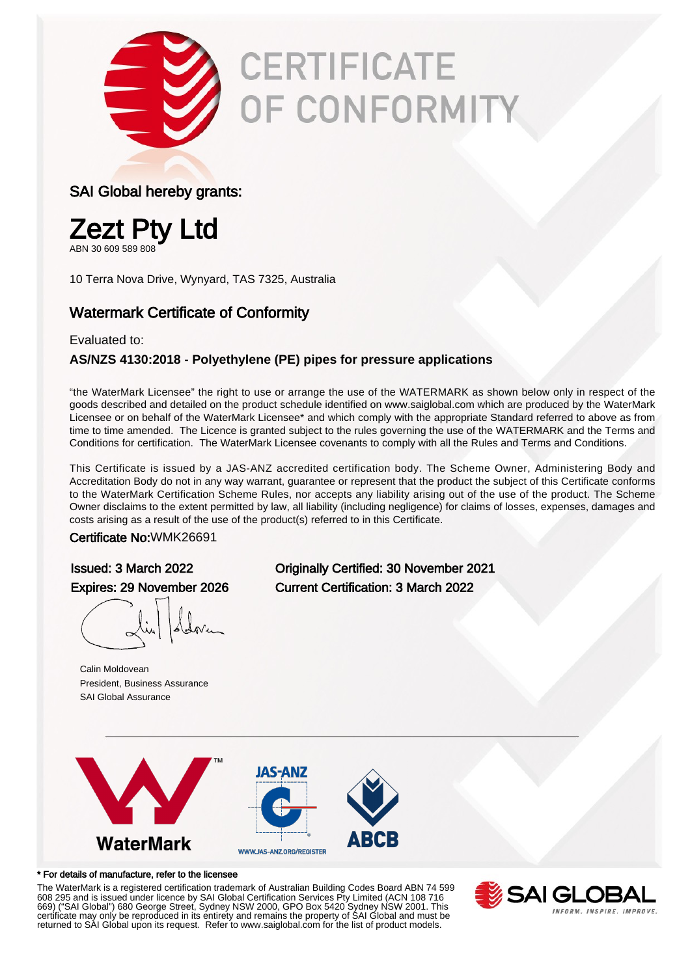

# **CERTIFICATE** OF CONFORMITY

#### SAI Global hereby grants:



ABN 30 609 589 808

10 Terra Nova Drive, Wynyard, TAS 7325, Australia

### Watermark Certificate of Conformity

#### Evaluated to:

#### **AS/NZS 4130:2018 - Polyethylene (PE) pipes for pressure applications**

"the WaterMark Licensee" the right to use or arrange the use of the WATERMARK as shown below only in respect of the goods described and detailed on the product schedule identified on www.saiglobal.com which are produced by the WaterMark Licensee or on behalf of the WaterMark Licensee\* and which comply with the appropriate Standard referred to above as from time to time amended. The Licence is granted subject to the rules governing the use of the WATERMARK and the Terms and Conditions for certification. The WaterMark Licensee covenants to comply with all the Rules and Terms and Conditions.

This Certificate is issued by a JAS-ANZ accredited certification body. The Scheme Owner, Administering Body and Accreditation Body do not in any way warrant, guarantee or represent that the product the subject of this Certificate conforms to the WaterMark Certification Scheme Rules, nor accepts any liability arising out of the use of the product. The Scheme Owner disclaims to the extent permitted by law, all liability (including negligence) for claims of losses, expenses, damages and costs arising as a result of the use of the product(s) referred to in this Certificate.

#### Certificate No:WMK26691

Calin Moldovean President, Business Assurance SAI Global Assurance

Issued: 3 March 2022 Originally Certified: 30 November 2021 Expires: 29 November 2026 Current Certification: 3 March 2022



#### \* For details of manufacture, refer to the licensee

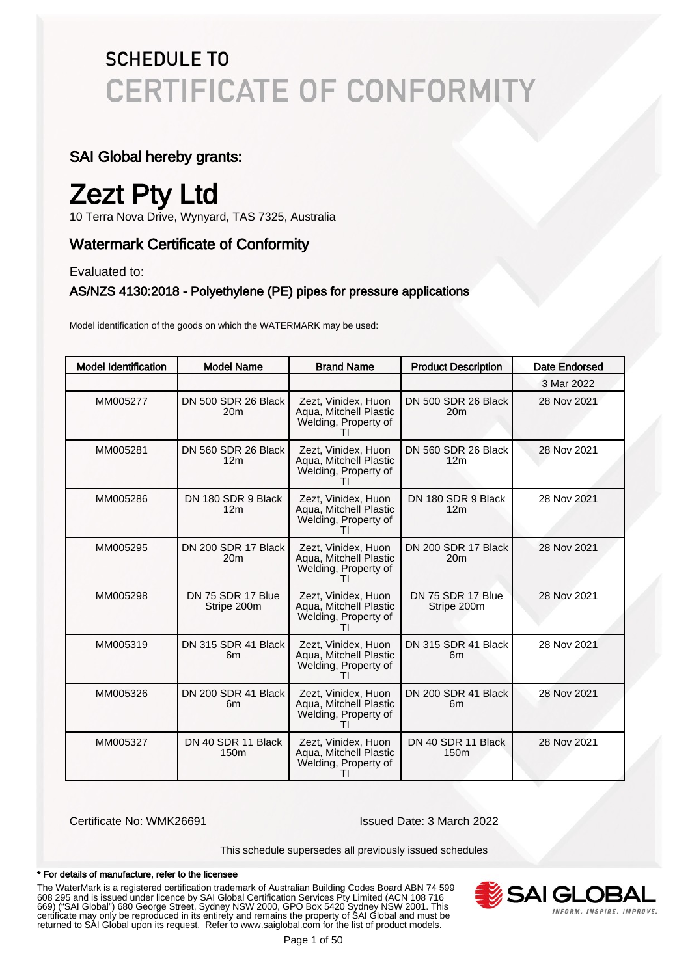### SAI Global hereby grants:

### Zezt Pty Ltd

10 Terra Nova Drive, Wynyard, TAS 7325, Australia

### Watermark Certificate of Conformity

Evaluated to:

#### AS/NZS 4130:2018 - Polyethylene (PE) pipes for pressure applications

Model identification of the goods on which the WATERMARK may be used:

| <b>Model Identification</b> | <b>Model Name</b>                      | <b>Brand Name</b>                                                                     | <b>Product Description</b>             | Date Endorsed |
|-----------------------------|----------------------------------------|---------------------------------------------------------------------------------------|----------------------------------------|---------------|
|                             |                                        |                                                                                       |                                        | 3 Mar 2022    |
| MM005277                    | DN 500 SDR 26 Black<br>20 <sub>m</sub> | Zezt, Vinidex, Huon<br>Agua, Mitchell Plastic<br>Welding, Property of                 | DN 500 SDR 26 Black<br>20 <sub>m</sub> | 28 Nov 2021   |
| MM005281                    | DN 560 SDR 26 Black<br>12 <sub>m</sub> | Zezt. Vinidex. Huon<br>Aqua, Mitchell Plastic<br>Welding, Property of                 | DN 560 SDR 26 Black<br>12 <sub>m</sub> | 28 Nov 2021   |
| MM005286                    | DN 180 SDR 9 Black<br>12 <sub>m</sub>  | Zezt, Vinidex, Huon<br>Aqua, Mitchell Plastic<br>Welding, Property of                 | DN 180 SDR 9 Black<br>12 <sub>m</sub>  | 28 Nov 2021   |
| MM005295                    | DN 200 SDR 17 Black<br>20 <sub>m</sub> | Zezt, Vinidex, Huon<br>Aqua, Mitchell Plastic<br>Welding, Property of                 | DN 200 SDR 17 Black<br>20 <sub>m</sub> | 28 Nov 2021   |
| MM005298                    | DN 75 SDR 17 Blue<br>Stripe 200m       | Zezt, Vinidex, Huon<br>Aqua, Mitchell Plastic<br>Welding, Property of                 | DN 75 SDR 17 Blue<br>Stripe 200m       | 28 Nov 2021   |
| MM005319                    | DN 315 SDR 41 Black<br>6 <sub>m</sub>  | Zezt, Vinidex, Huon<br>Aqua, Mitchell Plastic<br>Welding, Property of                 | DN 315 SDR 41 Black<br>6 <sub>m</sub>  | 28 Nov 2021   |
| MM005326                    | DN 200 SDR 41 Black<br>6 <sub>m</sub>  | Zezt, Vinidex, Huon<br>Aqua, Mitchell Plastic<br>Welding, Property of<br>ΤI           | DN 200 SDR 41 Black<br>6 <sub>m</sub>  | 28 Nov 2021   |
| MM005327                    | DN 40 SDR 11 Black<br>150 <sub>m</sub> | Zezt, Vinidex, Huon<br>Aqua, Mitchell Plastic<br>Welding, Property of<br>$\mathbf{H}$ | DN 40 SDR 11 Black<br>150 <sub>m</sub> | 28 Nov 2021   |

Certificate No: WMK26691 Issued Date: 3 March 2022

This schedule supersedes all previously issued schedules

#### \* For details of manufacture, refer to the licensee

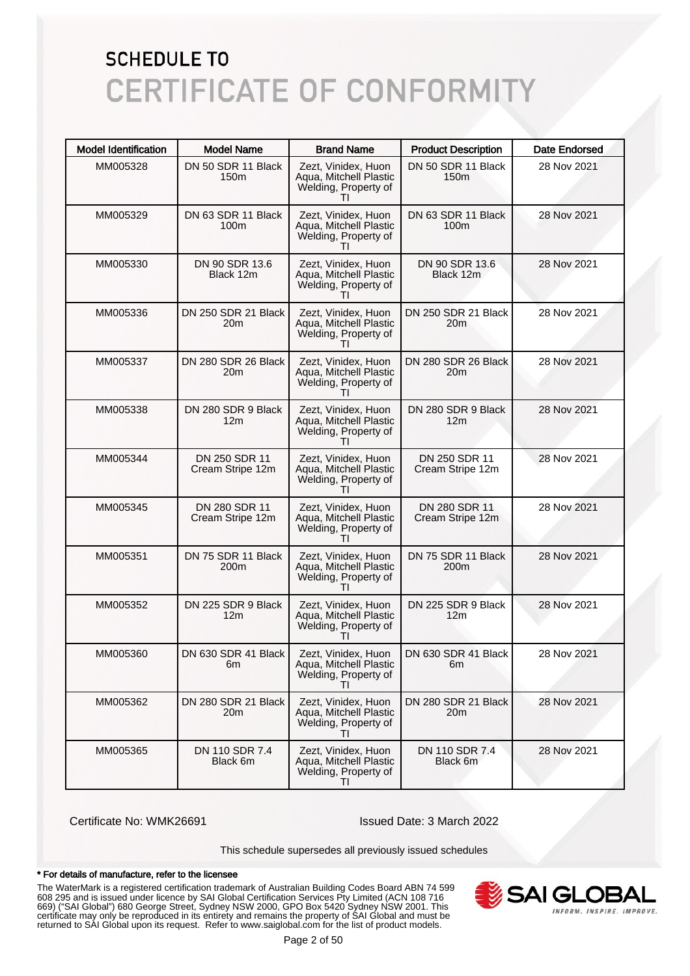| <b>Model Identification</b> | <b>Model Name</b>                     | <b>Brand Name</b>                                                                     | <b>Product Description</b>             | <b>Date Endorsed</b> |
|-----------------------------|---------------------------------------|---------------------------------------------------------------------------------------|----------------------------------------|----------------------|
| MM005328                    | DN 50 SDR 11 Black<br>150m            | Zezt, Vinidex, Huon<br>Aqua, Mitchell Plastic<br>Welding, Property of                 | DN 50 SDR 11 Black<br>150m             | 28 Nov 2021          |
| MM005329                    | DN 63 SDR 11 Black<br>100m            | Zezt, Vinidex, Huon<br>Aqua, Mitchell Plastic<br>Welding, Property of                 | DN 63 SDR 11 Black<br>100m             | 28 Nov 2021          |
| MM005330                    | DN 90 SDR 13.6<br>Black 12m           | Zezt, Vinidex, Huon<br>Aqua, Mitchell Plastic<br>Welding, Property of                 | DN 90 SDR 13.6<br>Black 12m            | 28 Nov 2021          |
| MM005336                    | DN 250 SDR 21 Black<br>20m            | Zezt, Vinidex, Huon<br>Aqua, Mitchell Plastic<br>Welding, Property of<br>Τl           | DN 250 SDR 21 Black<br>20 <sub>m</sub> | 28 Nov 2021          |
| MM005337                    | DN 280 SDR 26 Black<br>20m            | Zezt, Vinidex, Huon<br>Aqua, Mitchell Plastic<br>Welding, Property of                 | DN 280 SDR 26 Black<br>20m             | 28 Nov 2021          |
| MM005338                    | DN 280 SDR 9 Black<br>12 <sub>m</sub> | Zezt, Vinidex, Huon<br>Aqua, Mitchell Plastic<br>Welding, Property of<br>Τl           | DN 280 SDR 9 Black<br>12 <sub>m</sub>  | 28 Nov 2021          |
| MM005344                    | DN 250 SDR 11<br>Cream Stripe 12m     | Zezt, Vinidex, Huon<br>Aqua, Mitchell Plastic<br>Welding, Property of                 | DN 250 SDR 11<br>Cream Stripe 12m      | 28 Nov 2021          |
| MM005345                    | DN 280 SDR 11<br>Cream Stripe 12m     | Zezt, Vinidex, Huon<br>Aqua, Mitchell Plastic<br>Welding, Property of<br>Τl           | DN 280 SDR 11<br>Cream Stripe 12m      | 28 Nov 2021          |
| MM005351                    | DN 75 SDR 11 Black<br>200m            | Zezt, Vinidex, Huon<br>Aqua, Mitchell Plastic<br>Welding, Property of<br>$\mathbf{H}$ | DN 75 SDR 11 Black<br>200m             | 28 Nov 2021          |
| MM005352                    | DN 225 SDR 9 Black<br>12m             | Zezt, Vinidex, Huon<br>Aqua, Mitchell Plastic<br>Welding, Property of                 | DN 225 SDR 9 Black<br>12 <sub>m</sub>  | 28 Nov 2021          |
| MM005360                    | DN 630 SDR 41 Black I<br>6m           | Zezt, Vinidex, Huon<br>Aqua, Mitchell Plastic<br>Welding, Property of<br>ΤI           | DN 630 SDR 41 Black<br>6m              | 28 Nov 2021          |
| MM005362                    | DN 280 SDR 21 Black<br>20m            | Zezt. Vinidex. Huon<br>Aqua, Mitchell Plastic<br>Welding, Property of                 | DN 280 SDR 21 Black<br>20 <sub>m</sub> | 28 Nov 2021          |
| MM005365                    | DN 110 SDR 7.4<br>Black 6m            | Zezt, Vinidex, Huon<br>Aqua, Mitchell Plastic<br>Welding, Property of<br>ΤI           | DN 110 SDR 7.4<br>Black 6m             | 28 Nov 2021          |

Certificate No: WMK26691 Issued Date: 3 March 2022

This schedule supersedes all previously issued schedules

#### \* For details of manufacture, refer to the licensee

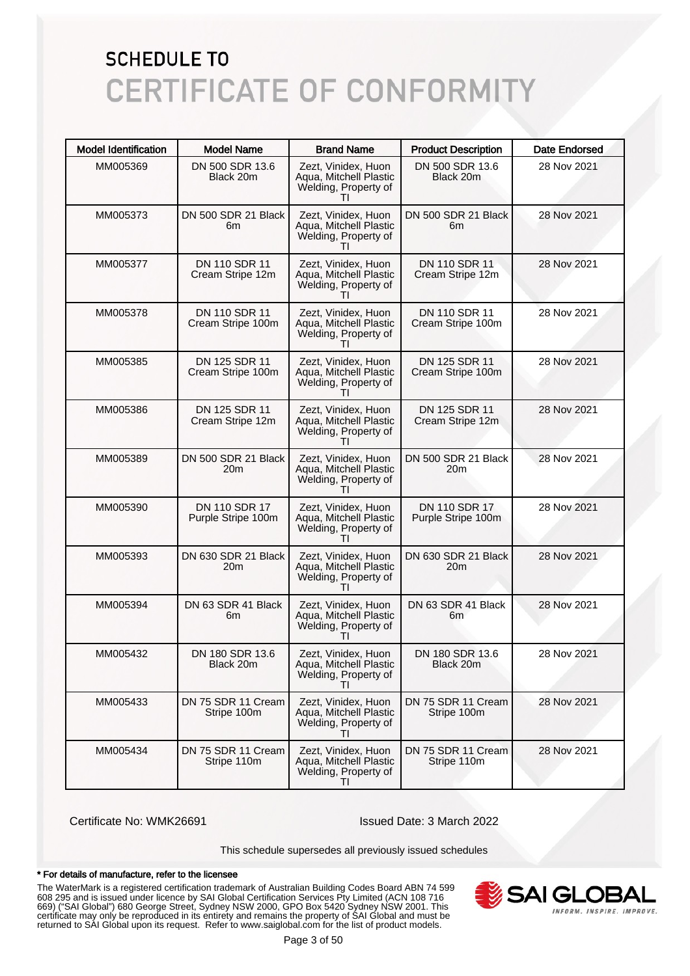| <b>Model Identification</b> | <b>Model Name</b>                   | <b>Brand Name</b>                                                                     | <b>Product Description</b>          | <b>Date Endorsed</b> |
|-----------------------------|-------------------------------------|---------------------------------------------------------------------------------------|-------------------------------------|----------------------|
| MM005369                    | DN 500 SDR 13.6<br>Black 20m        | Zezt, Vinidex, Huon<br>Aqua, Mitchell Plastic<br>Welding, Property of                 | DN 500 SDR 13.6<br>Black 20m        | 28 Nov 2021          |
| MM005373                    | DN 500 SDR 21 Black<br>6m           | Zezt, Vinidex, Huon<br>Aqua, Mitchell Plastic<br>Welding, Property of                 | DN 500 SDR 21 Black<br>6m           | 28 Nov 2021          |
| MM005377                    | DN 110 SDR 11<br>Cream Stripe 12m   | Zezt, Vinidex, Huon<br>Aqua, Mitchell Plastic<br>Welding, Property of                 | DN 110 SDR 11<br>Cream Stripe 12m   | 28 Nov 2021          |
| MM005378                    | DN 110 SDR 11<br>Cream Stripe 100m  | Zezt, Vinidex, Huon<br>Aqua, Mitchell Plastic<br>Welding, Property of<br>Τl           | DN 110 SDR 11<br>Cream Stripe 100m  | 28 Nov 2021          |
| MM005385                    | DN 125 SDR 11<br>Cream Stripe 100m  | Zezt, Vinidex, Huon<br>Aqua, Mitchell Plastic<br>Welding, Property of                 | DN 125 SDR 11<br>Cream Stripe 100m  | 28 Nov 2021          |
| MM005386                    | DN 125 SDR 11<br>Cream Stripe 12m   | Zezt, Vinidex, Huon<br>Aqua, Mitchell Plastic<br>Welding, Property of<br>Τl           | DN 125 SDR 11<br>Cream Stripe 12m   | 28 Nov 2021          |
| MM005389                    | DN 500 SDR 21 Black<br>20m          | Zezt, Vinidex, Huon<br>Aqua, Mitchell Plastic<br>Welding, Property of                 | DN 500 SDR 21 Black<br>20m          | 28 Nov 2021          |
| MM005390                    | DN 110 SDR 17<br>Purple Stripe 100m | Zezt, Vinidex, Huon<br>Aqua, Mitchell Plastic<br>Welding, Property of<br>Τl           | DN 110 SDR 17<br>Purple Stripe 100m | 28 Nov 2021          |
| MM005393                    | DN 630 SDR 21 Black<br>20m          | Zezt, Vinidex, Huon<br>Aqua, Mitchell Plastic<br>Welding, Property of                 | DN 630 SDR 21 Black<br>20m          | 28 Nov 2021          |
| MM005394                    | DN 63 SDR 41 Black<br>6m            | Zezt, Vinidex, Huon<br>Aqua, Mitchell Plastic<br>Welding, Property of                 | DN 63 SDR 41 Black<br>6m            | 28 Nov 2021          |
| MM005432                    | DN 180 SDR 13.6<br>Black 20m        | Zezt, Vinidex, Huon<br>Aqua, Mitchell Plastic<br>Welding, Property of<br>ΤI           | DN 180 SDR 13.6<br>Black 20m        | 28 Nov 2021          |
| MM005433                    | DN 75 SDR 11 Cream<br>Stripe 100m   | Zezt, Vinidex, Huon<br>Aqua, Mitchell Plastic<br>Welding, Property of                 | DN 75 SDR 11 Cream<br>Stripe 100m   | 28 Nov 2021          |
| MM005434                    | DN 75 SDR 11 Cream<br>Stripe 110m   | Zezt, Vinidex, Huon<br>Aqua, Mitchell Plastic<br>Welding, Property of<br>$\mathbf{H}$ | DN 75 SDR 11 Cream<br>Stripe 110m   | 28 Nov 2021          |

Certificate No: WMK26691 Issued Date: 3 March 2022

This schedule supersedes all previously issued schedules

#### \* For details of manufacture, refer to the licensee

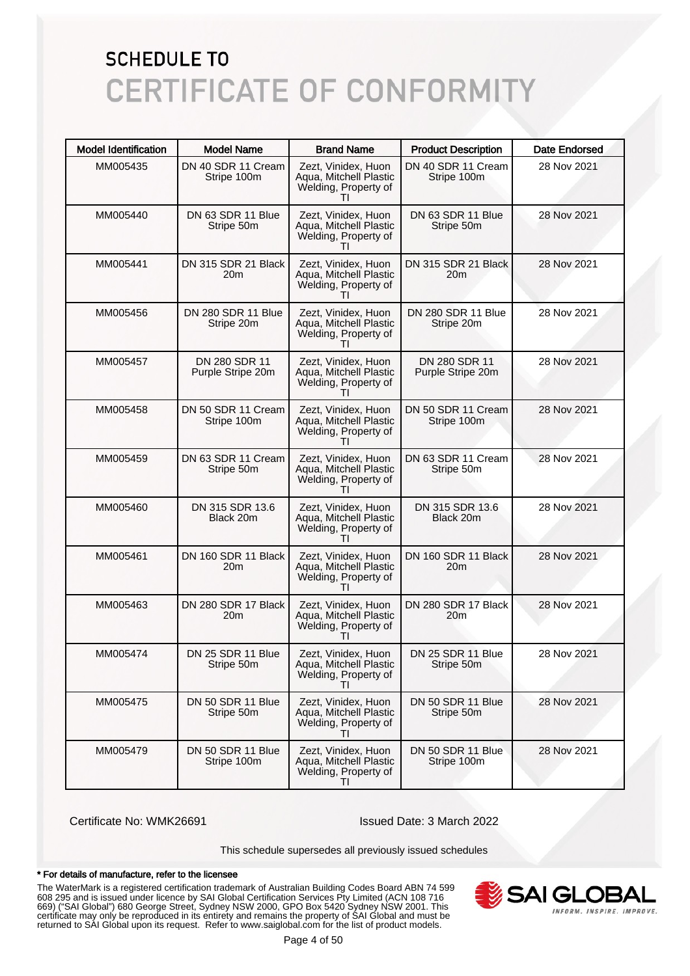| <b>Model Identification</b> | <b>Model Name</b>                  | <b>Brand Name</b>                                                                     | <b>Product Description</b>         | <b>Date Endorsed</b> |
|-----------------------------|------------------------------------|---------------------------------------------------------------------------------------|------------------------------------|----------------------|
| MM005435                    | DN 40 SDR 11 Cream<br>Stripe 100m  | Zezt, Vinidex, Huon<br>Aqua, Mitchell Plastic<br>Welding, Property of                 | DN 40 SDR 11 Cream<br>Stripe 100m  | 28 Nov 2021          |
| MM005440                    | DN 63 SDR 11 Blue<br>Stripe 50m    | Zezt, Vinidex, Huon<br>Aqua, Mitchell Plastic<br>Welding, Property of                 | DN 63 SDR 11 Blue<br>Stripe 50m    | 28 Nov 2021          |
| MM005441                    | DN 315 SDR 21 Black<br>20m         | Zezt, Vinidex, Huon<br>Aqua, Mitchell Plastic<br>Welding, Property of                 | DN 315 SDR 21 Black<br>20m         | 28 Nov 2021          |
| MM005456                    | DN 280 SDR 11 Blue<br>Stripe 20m   | Zezt, Vinidex, Huon<br>Aqua, Mitchell Plastic<br>Welding, Property of<br>Τl           | DN 280 SDR 11 Blue<br>Stripe 20m   | 28 Nov 2021          |
| MM005457                    | DN 280 SDR 11<br>Purple Stripe 20m | Zezt, Vinidex, Huon<br>Aqua, Mitchell Plastic<br>Welding, Property of                 | DN 280 SDR 11<br>Purple Stripe 20m | 28 Nov 2021          |
| MM005458                    | DN 50 SDR 11 Cream<br>Stripe 100m  | Zezt, Vinidex, Huon<br>Aqua, Mitchell Plastic<br>Welding, Property of<br>Τl           | DN 50 SDR 11 Cream<br>Stripe 100m  | 28 Nov 2021          |
| MM005459                    | DN 63 SDR 11 Cream<br>Stripe 50m   | Zezt, Vinidex, Huon<br>Aqua, Mitchell Plastic<br>Welding, Property of                 | DN 63 SDR 11 Cream<br>Stripe 50m   | 28 Nov 2021          |
| MM005460                    | DN 315 SDR 13.6<br>Black 20m       | Zezt, Vinidex, Huon<br>Aqua, Mitchell Plastic<br>Welding, Property of<br>Τl           | DN 315 SDR 13.6<br>Black 20m       | 28 Nov 2021          |
| MM005461                    | DN 160 SDR 11 Black<br>20m         | Zezt, Vinidex, Huon<br>Aqua, Mitchell Plastic<br>Welding, Property of                 | DN 160 SDR 11 Black<br>20m         | 28 Nov 2021          |
| MM005463                    | DN 280 SDR 17 Black<br>20m         | Zezt, Vinidex, Huon<br>Aqua, Mitchell Plastic<br>Welding, Property of                 | DN 280 SDR 17 Black<br>20m         | 28 Nov 2021          |
| MM005474                    | DN 25 SDR 11 Blue<br>Stripe 50m    | Zezt, Vinidex, Huon<br>Aqua, Mitchell Plastic<br>Welding, Property of<br>Τl           | DN 25 SDR 11 Blue<br>Stripe 50m    | 28 Nov 2021          |
| MM005475                    | DN 50 SDR 11 Blue<br>Stripe 50m    | Zezt, Vinidex, Huon<br>Aqua, Mitchell Plastic<br>Welding, Property of                 | DN 50 SDR 11 Blue<br>Stripe 50m    | 28 Nov 2021          |
| MM005479                    | DN 50 SDR 11 Blue<br>Stripe 100m   | Zezt, Vinidex, Huon<br>Aqua, Mitchell Plastic<br>Welding, Property of<br>$\mathbf{H}$ | DN 50 SDR 11 Blue<br>Stripe 100m   | 28 Nov 2021          |

Certificate No: WMK26691 Issued Date: 3 March 2022

This schedule supersedes all previously issued schedules

#### \* For details of manufacture, refer to the licensee

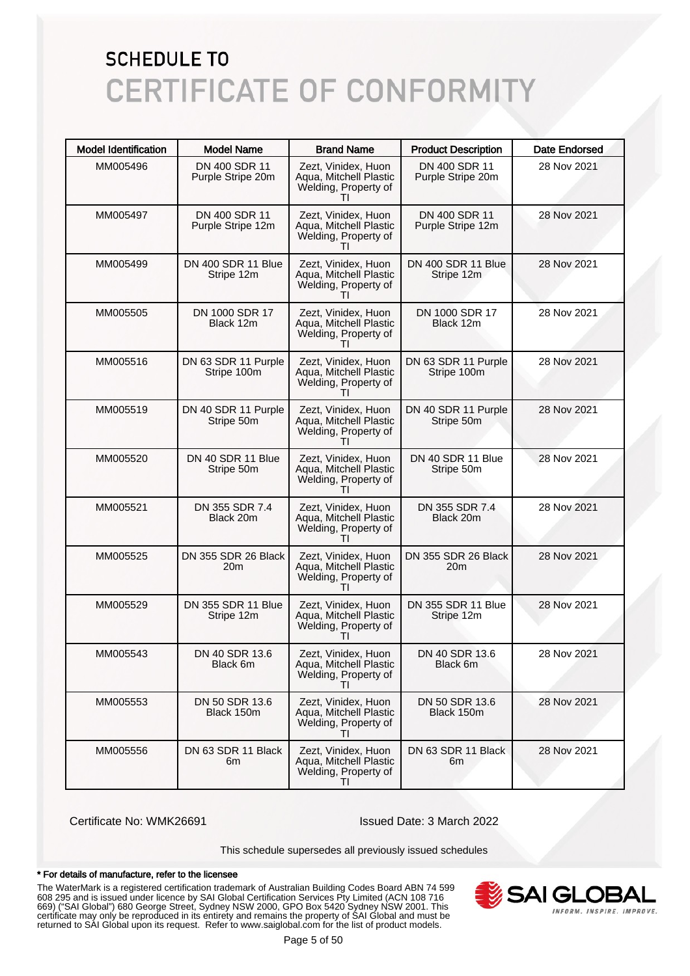| <b>Model Identification</b> | <b>Model Name</b>                  | <b>Brand Name</b>                                                                     | <b>Product Description</b>         | <b>Date Endorsed</b> |
|-----------------------------|------------------------------------|---------------------------------------------------------------------------------------|------------------------------------|----------------------|
| MM005496                    | DN 400 SDR 11<br>Purple Stripe 20m | Zezt, Vinidex, Huon<br>Aqua, Mitchell Plastic<br>Welding, Property of                 | DN 400 SDR 11<br>Purple Stripe 20m | 28 Nov 2021          |
| MM005497                    | DN 400 SDR 11<br>Purple Stripe 12m | Zezt, Vinidex, Huon<br>Aqua, Mitchell Plastic<br>Welding, Property of                 | DN 400 SDR 11<br>Purple Stripe 12m | 28 Nov 2021          |
| MM005499                    | DN 400 SDR 11 Blue<br>Stripe 12m   | Zezt, Vinidex, Huon<br>Aqua, Mitchell Plastic<br>Welding, Property of                 | DN 400 SDR 11 Blue<br>Stripe 12m   | 28 Nov 2021          |
| MM005505                    | DN 1000 SDR 17<br>Black 12m        | Zezt, Vinidex, Huon<br>Aqua, Mitchell Plastic<br>Welding, Property of<br>$\mathbf{H}$ | DN 1000 SDR 17<br>Black 12m        | 28 Nov 2021          |
| MM005516                    | DN 63 SDR 11 Purple<br>Stripe 100m | Zezt, Vinidex, Huon<br>Aqua, Mitchell Plastic<br>Welding, Property of                 | DN 63 SDR 11 Purple<br>Stripe 100m | 28 Nov 2021          |
| MM005519                    | DN 40 SDR 11 Purple<br>Stripe 50m  | Zezt, Vinidex, Huon<br>Aqua, Mitchell Plastic<br>Welding, Property of                 | DN 40 SDR 11 Purple<br>Stripe 50m  | 28 Nov 2021          |
| MM005520                    | DN 40 SDR 11 Blue<br>Stripe 50m    | Zezt, Vinidex, Huon<br>Aqua, Mitchell Plastic<br>Welding, Property of                 | DN 40 SDR 11 Blue<br>Stripe 50m    | 28 Nov 2021          |
| MM005521                    | DN 355 SDR 7.4<br>Black 20m        | Zezt, Vinidex, Huon<br>Aqua, Mitchell Plastic<br>Welding, Property of<br>$\mathbf{H}$ | DN 355 SDR 7.4<br>Black 20m        | 28 Nov 2021          |
| MM005525                    | DN 355 SDR 26 Black<br>20m         | Zezt, Vinidex, Huon<br>Aqua, Mitchell Plastic<br>Welding, Property of                 | DN 355 SDR 26 Black<br>20m         | 28 Nov 2021          |
| MM005529                    | DN 355 SDR 11 Blue<br>Stripe 12m   | Zezt, Vinidex, Huon<br>Aqua, Mitchell Plastic<br>Welding, Property of                 | DN 355 SDR 11 Blue<br>Stripe 12m   | 28 Nov 2021          |
| MM005543                    | DN 40 SDR 13.6<br>Black 6m         | Zezt. Vinidex. Huon<br>Aqua, Mitchell Plastic<br>Welding, Property of<br>ΤI           | DN 40 SDR 13.6<br>Black 6m         | 28 Nov 2021          |
| MM005553                    | DN 50 SDR 13.6<br>Black 150m       | Zezt, Vinidex, Huon<br>Aqua, Mitchell Plastic<br>Welding, Property of                 | DN 50 SDR 13.6<br>Black 150m       | 28 Nov 2021          |
| MM005556                    | DN 63 SDR 11 Black<br>6m           | Zezt, Vinidex, Huon<br>Agua, Mitchell Plastic<br>Welding, Property of<br>ΤI           | DN 63 SDR 11 Black<br>6m           | 28 Nov 2021          |

Certificate No: WMK26691 Issued Date: 3 March 2022

This schedule supersedes all previously issued schedules

#### \* For details of manufacture, refer to the licensee

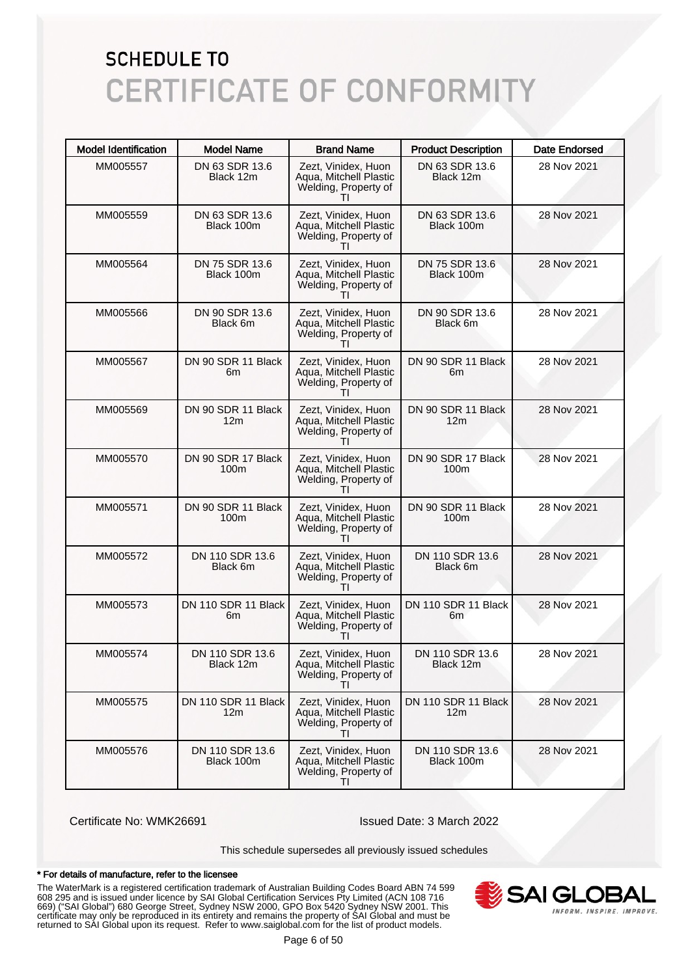| <b>Model Identification</b> | <b>Model Name</b>                      | <b>Brand Name</b>                                                                     | <b>Product Description</b>             | <b>Date Endorsed</b> |
|-----------------------------|----------------------------------------|---------------------------------------------------------------------------------------|----------------------------------------|----------------------|
| MM005557                    | DN 63 SDR 13.6<br>Black 12m            | Zezt, Vinidex, Huon<br>Aqua, Mitchell Plastic<br>Welding, Property of                 | DN 63 SDR 13.6<br>Black 12m            | 28 Nov 2021          |
| MM005559                    | DN 63 SDR 13.6<br>Black 100m           | Zezt, Vinidex, Huon<br>Aqua, Mitchell Plastic<br>Welding, Property of                 | DN 63 SDR 13.6<br>Black 100m           | 28 Nov 2021          |
| MM005564                    | DN 75 SDR 13.6<br>Black 100m           | Zezt, Vinidex, Huon<br>Aqua, Mitchell Plastic<br>Welding, Property of                 | DN 75 SDR 13.6<br>Black 100m           | 28 Nov 2021          |
| MM005566                    | DN 90 SDR 13.6<br>Black 6m             | Zezt, Vinidex, Huon<br>Aqua, Mitchell Plastic<br>Welding, Property of<br>Τl           | DN 90 SDR 13.6<br>Black 6m             | 28 Nov 2021          |
| MM005567                    | DN 90 SDR 11 Black<br>6m               | Zezt, Vinidex, Huon<br>Aqua, Mitchell Plastic<br>Welding, Property of                 | DN 90 SDR 11 Black<br>6m               | 28 Nov 2021          |
| MM005569                    | DN 90 SDR 11 Black<br>12 <sub>m</sub>  | Zezt, Vinidex, Huon<br>Aqua, Mitchell Plastic<br>Welding, Property of<br>Τl           | DN 90 SDR 11 Black<br>12 <sub>m</sub>  | 28 Nov 2021          |
| MM005570                    | DN 90 SDR 17 Black<br>100 <sub>m</sub> | Zezt, Vinidex, Huon<br>Aqua, Mitchell Plastic<br>Welding, Property of                 | DN 90 SDR 17 Black<br>100m             | 28 Nov 2021          |
| MM005571                    | DN 90 SDR 11 Black<br>100m             | Zezt, Vinidex, Huon<br>Aqua, Mitchell Plastic<br>Welding, Property of<br>Τl           | DN 90 SDR 11 Black<br>100m             | 28 Nov 2021          |
| MM005572                    | DN 110 SDR 13.6<br>Black 6m            | Zezt, Vinidex, Huon<br>Aqua, Mitchell Plastic<br>Welding, Property of<br>$\mathbf{H}$ | DN 110 SDR 13.6<br>Black 6m            | 28 Nov 2021          |
| MM005573                    | DN 110 SDR 11 Black<br>6m              | Zezt, Vinidex, Huon<br>Aqua, Mitchell Plastic<br>Welding, Property of                 | DN 110 SDR 11 Black<br>6m              | 28 Nov 2021          |
| MM005574                    | DN 110 SDR 13.6<br>Black 12m           | Zezt, Vinidex, Huon<br>Aqua, Mitchell Plastic<br>Welding, Property of<br>ΤI           | DN 110 SDR 13.6<br>Black 12m           | 28 Nov 2021          |
| MM005575                    | DN 110 SDR 11 Black<br>12m             | Zezt, Vinidex, Huon<br>Aqua, Mitchell Plastic<br>Welding, Property of<br>Τl           | DN 110 SDR 11 Black<br>12 <sub>m</sub> | 28 Nov 2021          |
| MM005576                    | DN 110 SDR 13.6<br>Black 100m          | Zezt, Vinidex, Huon<br>Aqua, Mitchell Plastic<br>Welding, Property of<br>ΤI           | DN 110 SDR 13.6<br>Black 100m          | 28 Nov 2021          |

Certificate No: WMK26691 Issued Date: 3 March 2022

This schedule supersedes all previously issued schedules

#### \* For details of manufacture, refer to the licensee

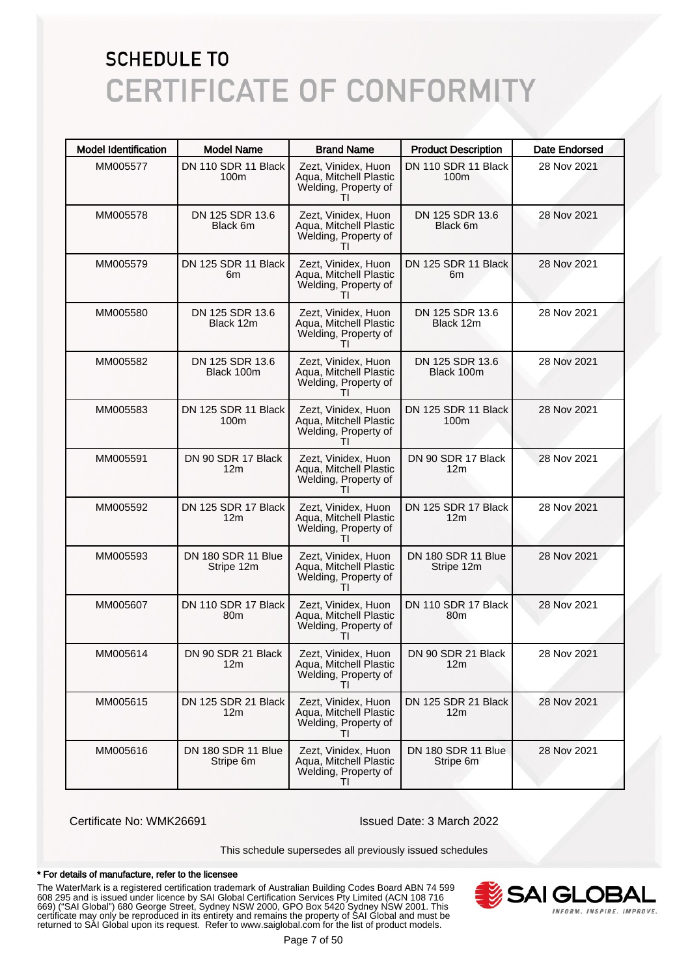| <b>Model Identification</b> | <b>Model Name</b>                       | <b>Brand Name</b>                                                                     | <b>Product Description</b>              | <b>Date Endorsed</b> |
|-----------------------------|-----------------------------------------|---------------------------------------------------------------------------------------|-----------------------------------------|----------------------|
| MM005577                    | DN 110 SDR 11 Black<br>100 <sub>m</sub> | Zezt, Vinidex, Huon<br>Aqua, Mitchell Plastic<br>Welding, Property of                 | DN 110 SDR 11 Black<br>100 <sub>m</sub> | 28 Nov 2021          |
| MM005578                    | DN 125 SDR 13.6<br>Black 6m             | Zezt, Vinidex, Huon<br>Aqua, Mitchell Plastic<br>Welding, Property of<br>$\mathbf{L}$ | DN 125 SDR 13.6<br>Black 6m             | 28 Nov 2021          |
| MM005579                    | DN 125 SDR 11 Black<br>6m               | Zezt, Vinidex, Huon<br>Aqua, Mitchell Plastic<br>Welding, Property of                 | DN 125 SDR 11 Black<br>6m               | 28 Nov 2021          |
| MM005580                    | DN 125 SDR 13.6<br>Black 12m            | Zezt, Vinidex, Huon<br>Aqua, Mitchell Plastic<br>Welding, Property of<br>ΤI           | DN 125 SDR 13.6<br>Black 12m            | 28 Nov 2021          |
| MM005582                    | DN 125 SDR 13.6<br>Black 100m           | Zezt, Vinidex, Huon<br>Aqua, Mitchell Plastic<br>Welding, Property of                 | DN 125 SDR 13.6<br>Black 100m           | 28 Nov 2021          |
| MM005583                    | DN 125 SDR 11 Black<br>100 <sub>m</sub> | Zezt, Vinidex, Huon<br>Aqua, Mitchell Plastic<br>Welding, Property of<br>Τl           | DN 125 SDR 11 Black<br>100 <sub>m</sub> | 28 Nov 2021          |
| MM005591                    | DN 90 SDR 17 Black<br>12m               | Zezt, Vinidex, Huon<br>Aqua, Mitchell Plastic<br>Welding, Property of                 | DN 90 SDR 17 Black<br>12 <sub>m</sub>   | 28 Nov 2021          |
| MM005592                    | DN 125 SDR 17 Black<br>12 <sub>m</sub>  | Zezt, Vinidex, Huon<br>Aqua, Mitchell Plastic<br>Welding, Property of<br>Τl           | DN 125 SDR 17 Black<br>12 <sub>m</sub>  | 28 Nov 2021          |
| MM005593                    | DN 180 SDR 11 Blue<br>Stripe 12m        | Zezt, Vinidex, Huon<br>Aqua, Mitchell Plastic<br>Welding, Property of<br>$\mathbf{H}$ | DN 180 SDR 11 Blue<br>Stripe 12m        | 28 Nov 2021          |
| MM005607                    | DN 110 SDR 17 Black<br>80 <sub>m</sub>  | Zezt, Vinidex, Huon<br>Aqua, Mitchell Plastic<br>Welding, Property of                 | DN 110 SDR 17 Black<br>80 <sub>m</sub>  | 28 Nov 2021          |
| MM005614                    | DN 90 SDR 21 Black<br>12m               | Zezt, Vinidex, Huon<br>Aqua, Mitchell Plastic<br>Welding, Property of<br>ΤI           | DN 90 SDR 21 Black<br>12m               | 28 Nov 2021          |
| MM005615                    | DN 125 SDR 21 Black<br>12m              | Zezt, Vinidex, Huon<br>Aqua, Mitchell Plastic<br>Welding, Property of                 | DN 125 SDR 21 Black<br>12 <sub>m</sub>  | 28 Nov 2021          |
| MM005616                    | DN 180 SDR 11 Blue<br>Stripe 6m         | Zezt, Vinidex, Huon<br>Aqua, Mitchell Plastic<br>Welding, Property of<br>ΤI           | DN 180 SDR 11 Blue<br>Stripe 6m         | 28 Nov 2021          |

Certificate No: WMK26691 Issued Date: 3 March 2022

This schedule supersedes all previously issued schedules

#### \* For details of manufacture, refer to the licensee

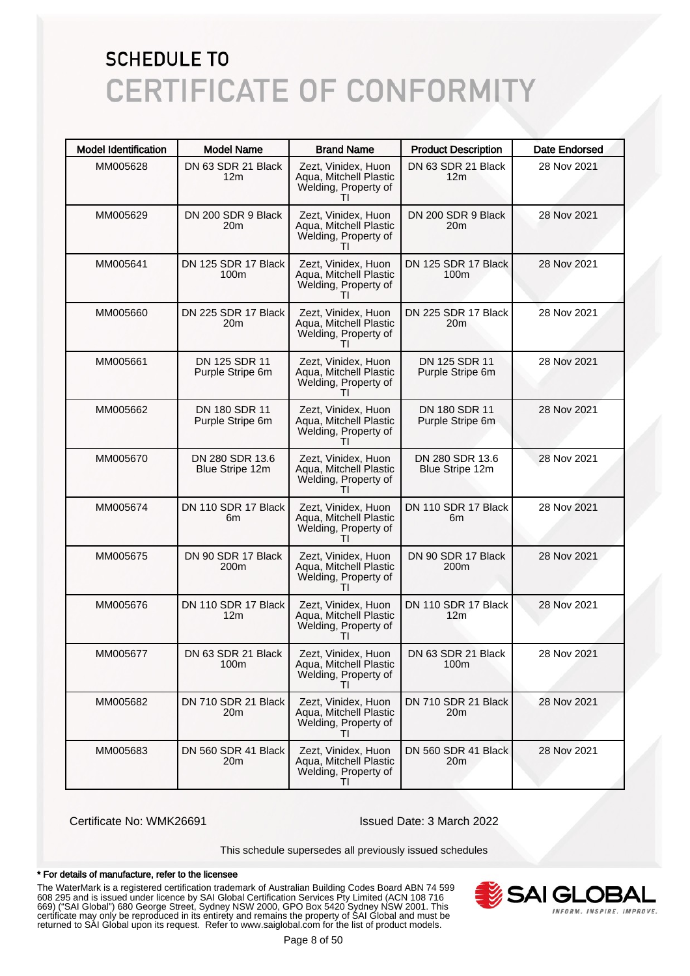| <b>Model Identification</b> | <b>Model Name</b>                       | <b>Brand Name</b>                                                           | <b>Product Description</b>             | <b>Date Endorsed</b> |
|-----------------------------|-----------------------------------------|-----------------------------------------------------------------------------|----------------------------------------|----------------------|
| MM005628                    | DN 63 SDR 21 Black<br>12m               | Zezt, Vinidex, Huon<br>Aqua, Mitchell Plastic<br>Welding, Property of       | DN 63 SDR 21 Black<br>12 <sub>m</sub>  | 28 Nov 2021          |
| MM005629                    | DN 200 SDR 9 Black<br>20m               | Zezt, Vinidex, Huon<br>Aqua, Mitchell Plastic<br>Welding, Property of       | DN 200 SDR 9 Black<br>20m              | 28 Nov 2021          |
| MM005641                    | DN 125 SDR 17 Black<br>100 <sub>m</sub> | Zezt, Vinidex, Huon<br>Aqua, Mitchell Plastic<br>Welding, Property of       | DN 125 SDR 17 Black<br>100m            | 28 Nov 2021          |
| MM005660                    | DN 225 SDR 17 Black<br>20m              | Zezt, Vinidex, Huon<br>Aqua, Mitchell Plastic<br>Welding, Property of<br>Τl | DN 225 SDR 17 Black<br>20 <sub>m</sub> | 28 Nov 2021          |
| MM005661                    | DN 125 SDR 11<br>Purple Stripe 6m       | Zezt, Vinidex, Huon<br>Aqua, Mitchell Plastic<br>Welding, Property of       | DN 125 SDR 11<br>Purple Stripe 6m      | 28 Nov 2021          |
| MM005662                    | DN 180 SDR 11<br>Purple Stripe 6m       | Zezt, Vinidex, Huon<br>Aqua, Mitchell Plastic<br>Welding, Property of<br>Τl | DN 180 SDR 11<br>Purple Stripe 6m      | 28 Nov 2021          |
| MM005670                    | DN 280 SDR 13.6<br>Blue Stripe 12m      | Zezt, Vinidex, Huon<br>Aqua, Mitchell Plastic<br>Welding, Property of       | DN 280 SDR 13.6<br>Blue Stripe 12m     | 28 Nov 2021          |
| MM005674                    | DN 110 SDR 17 Black<br>6m               | Zezt, Vinidex, Huon<br>Aqua, Mitchell Plastic<br>Welding, Property of<br>Τl | DN 110 SDR 17 Black<br>6m              | 28 Nov 2021          |
| MM005675                    | DN 90 SDR 17 Black<br>200m              | Zezt, Vinidex, Huon<br>Aqua, Mitchell Plastic<br>Welding, Property of       | DN 90 SDR 17 Black<br>200m             | 28 Nov 2021          |
| MM005676                    | DN 110 SDR 17 Black<br>12m              | Zezt, Vinidex, Huon<br>Aqua, Mitchell Plastic<br>Welding, Property of       | DN 110 SDR 17 Black<br>12 <sub>m</sub> | 28 Nov 2021          |
| MM005677                    | DN 63 SDR 21 Black<br>100m              | Zezt, Vinidex, Huon<br>Aqua, Mitchell Plastic<br>Welding, Property of<br>ΤI | DN 63 SDR 21 Black<br>100m             | 28 Nov 2021          |
| MM005682                    | DN 710 SDR 21 Black<br>20m              | Zezt, Vinidex, Huon<br>Aqua, Mitchell Plastic<br>Welding, Property of       | DN 710 SDR 21 Black<br>20 <sub>m</sub> | 28 Nov 2021          |
| MM005683                    | DN 560 SDR 41 Black<br>20m              | Zezt, Vinidex, Huon<br>Aqua, Mitchell Plastic<br>Welding, Property of<br>ΤI | DN 560 SDR 41 Black<br>20 <sub>m</sub> | 28 Nov 2021          |

Certificate No: WMK26691 Issued Date: 3 March 2022

This schedule supersedes all previously issued schedules

#### \* For details of manufacture, refer to the licensee

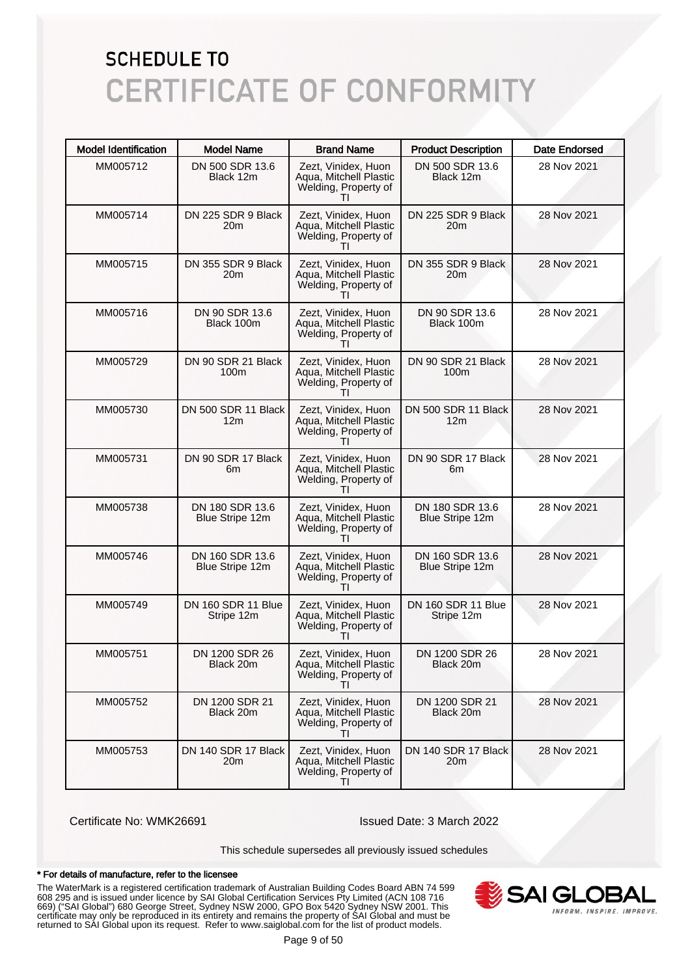| <b>Model Identification</b> | <b>Model Name</b>                      | <b>Brand Name</b>                                                                     | <b>Product Description</b>             | <b>Date Endorsed</b> |
|-----------------------------|----------------------------------------|---------------------------------------------------------------------------------------|----------------------------------------|----------------------|
| MM005712                    | DN 500 SDR 13.6<br>Black 12m           | Zezt, Vinidex, Huon<br>Aqua, Mitchell Plastic<br>Welding, Property of                 | DN 500 SDR 13.6<br>Black 12m           | 28 Nov 2021          |
| MM005714                    | DN 225 SDR 9 Black<br>20m              | Zezt, Vinidex, Huon<br>Aqua, Mitchell Plastic<br>Welding, Property of                 | DN 225 SDR 9 Black<br>20 <sub>m</sub>  | 28 Nov 2021          |
| MM005715                    | DN 355 SDR 9 Black<br>20m              | Zezt, Vinidex, Huon<br>Aqua, Mitchell Plastic<br>Welding, Property of                 | DN 355 SDR 9 Black<br>20 <sub>m</sub>  | 28 Nov 2021          |
| MM005716                    | DN 90 SDR 13.6<br>Black 100m           | Zezt, Vinidex, Huon<br>Aqua, Mitchell Plastic<br>Welding, Property of<br>Τl           | DN 90 SDR 13.6<br>Black 100m           | 28 Nov 2021          |
| MM005729                    | DN 90 SDR 21 Black<br>100m             | Zezt, Vinidex, Huon<br>Aqua, Mitchell Plastic<br>Welding, Property of                 | DN 90 SDR 21 Black<br>100m             | 28 Nov 2021          |
| MM005730                    | DN 500 SDR 11 Black<br>12 <sub>m</sub> | Zezt, Vinidex, Huon<br>Aqua, Mitchell Plastic<br>Welding, Property of<br>$\mathbf{H}$ | DN 500 SDR 11 Black<br>12 <sub>m</sub> | 28 Nov 2021          |
| MM005731                    | DN 90 SDR 17 Black<br>6m               | Zezt, Vinidex, Huon<br>Aqua, Mitchell Plastic<br>Welding, Property of                 | DN 90 SDR 17 Black<br>6m               | 28 Nov 2021          |
| MM005738                    | DN 180 SDR 13.6<br>Blue Stripe 12m     | Zezt, Vinidex, Huon<br>Aqua, Mitchell Plastic<br>Welding, Property of<br>$\mathbf{H}$ | DN 180 SDR 13.6<br>Blue Stripe 12m     | 28 Nov 2021          |
| MM005746                    | DN 160 SDR 13.6<br>Blue Stripe 12m     | Zezt, Vinidex, Huon<br>Aqua, Mitchell Plastic<br>Welding, Property of<br>$\mathbf{H}$ | DN 160 SDR 13.6<br>Blue Stripe 12m     | 28 Nov 2021          |
| MM005749                    | DN 160 SDR 11 Blue<br>Stripe 12m       | Zezt, Vinidex, Huon<br>Aqua, Mitchell Plastic<br>Welding, Property of                 | DN 160 SDR 11 Blue<br>Stripe 12m       | 28 Nov 2021          |
| MM005751                    | DN 1200 SDR 26<br>Black 20m            | Zezt. Vinidex. Huon<br>Aqua, Mitchell Plastic<br>Welding, Property of<br>Τl           | DN 1200 SDR 26<br>Black 20m            | 28 Nov 2021          |
| MM005752                    | DN 1200 SDR 21<br>Black 20m            | Zezt, Vinidex, Huon<br>Aqua, Mitchell Plastic<br>Welding, Property of                 | DN 1200 SDR 21<br>Black 20m            | 28 Nov 2021          |
| MM005753                    | DN 140 SDR 17 Black<br>20m             | Zezt, Vinidex, Huon<br>Agua, Mitchell Plastic<br>Welding, Property of<br>ΤI           | DN 140 SDR 17 Black<br>20 <sub>m</sub> | 28 Nov 2021          |

Certificate No: WMK26691 Issued Date: 3 March 2022

This schedule supersedes all previously issued schedules

#### \* For details of manufacture, refer to the licensee

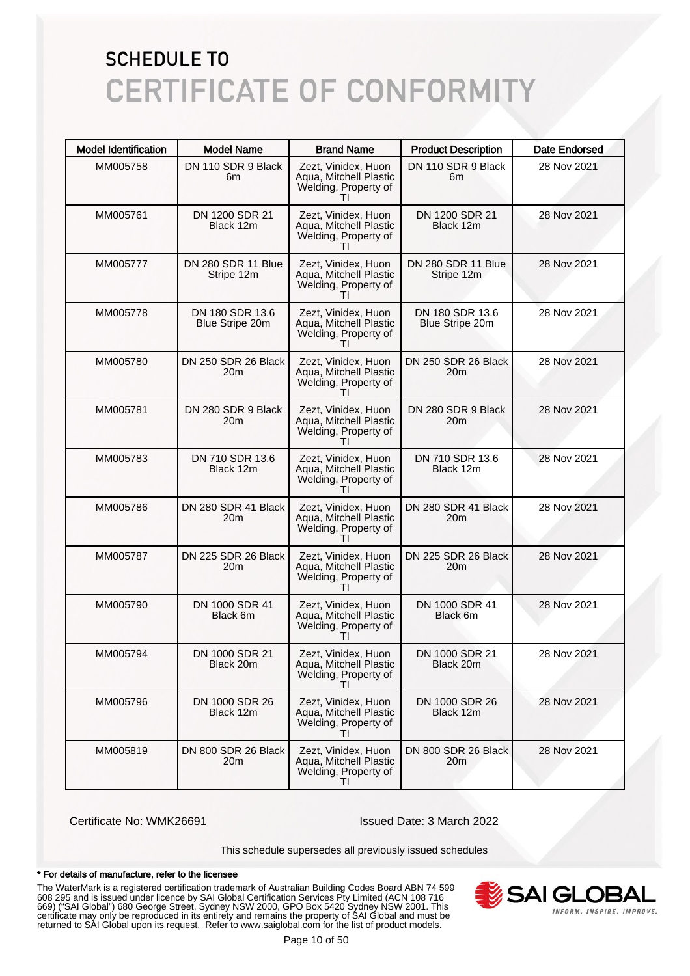| <b>Model Identification</b> | <b>Model Name</b>                  | <b>Brand Name</b>                                                                     | <b>Product Description</b>                | <b>Date Endorsed</b> |
|-----------------------------|------------------------------------|---------------------------------------------------------------------------------------|-------------------------------------------|----------------------|
| MM005758                    | DN 110 SDR 9 Black<br>6m           | Zezt, Vinidex, Huon<br>Aqua, Mitchell Plastic<br>Welding, Property of                 | DN 110 SDR 9 Black<br>6m                  | 28 Nov 2021          |
| MM005761                    | DN 1200 SDR 21<br>Black 12m        | Zezt, Vinidex, Huon<br>Aqua, Mitchell Plastic<br>Welding, Property of<br>$\mathbf{H}$ | DN 1200 SDR 21<br>Black 12m               | 28 Nov 2021          |
| MM005777                    | DN 280 SDR 11 Blue<br>Stripe 12m   | Zezt, Vinidex, Huon<br>Aqua, Mitchell Plastic<br>Welding, Property of                 | DN 280 SDR 11 Blue<br>Stripe 12m          | 28 Nov 2021          |
| MM005778                    | DN 180 SDR 13.6<br>Blue Stripe 20m | Zezt, Vinidex, Huon<br>Aqua, Mitchell Plastic<br>Welding, Property of<br>ΤI           | DN 180 SDR 13.6<br><b>Blue Stripe 20m</b> | 28 Nov 2021          |
| MM005780                    | DN 250 SDR 26 Black<br>20m         | Zezt, Vinidex, Huon<br>Aqua, Mitchell Plastic<br>Welding, Property of                 | DN 250 SDR 26 Black<br>20m                | 28 Nov 2021          |
| MM005781                    | DN 280 SDR 9 Black<br>20m          | Zezt, Vinidex, Huon<br>Aqua, Mitchell Plastic<br>Welding, Property of<br>ΤI           | DN 280 SDR 9 Black<br>20m                 | 28 Nov 2021          |
| MM005783                    | DN 710 SDR 13.6<br>Black 12m       | Zezt, Vinidex, Huon<br>Aqua, Mitchell Plastic<br>Welding, Property of<br>$\mathbf{H}$ | DN 710 SDR 13.6<br>Black 12m              | 28 Nov 2021          |
| MM005786                    | DN 280 SDR 41 Black<br>20m         | Zezt, Vinidex, Huon<br>Aqua, Mitchell Plastic<br>Welding, Property of<br>ΤI           | DN 280 SDR 41 Black<br>20m                | 28 Nov 2021          |
| MM005787                    | DN 225 SDR 26 Black<br>20m         | Zezt, Vinidex, Huon<br>Aqua, Mitchell Plastic<br>Welding, Property of<br>ΤI           | DN 225 SDR 26 Black<br>20m                | 28 Nov 2021          |
| MM005790                    | DN 1000 SDR 41<br>Black 6m         | Zezt, Vinidex, Huon<br>Aqua, Mitchell Plastic<br>Welding, Property of<br>$\mathbf{H}$ | DN 1000 SDR 41<br>Black 6m                | 28 Nov 2021          |
| MM005794                    | DN 1000 SDR 21<br>Black 20m        | Zezt, Vinidex, Huon<br>Aqua, Mitchell Plastic<br>Welding, Property of<br>TI           | DN 1000 SDR 21<br>Black 20m               | 28 Nov 2021          |
| MM005796                    | DN 1000 SDR 26<br>Black 12m        | Zezt, Vinidex, Huon<br>Aqua, Mitchell Plastic<br>Welding, Property of<br>$\mathbf{H}$ | DN 1000 SDR 26<br>Black 12m               | 28 Nov 2021          |
| MM005819                    | DN 800 SDR 26 Black<br>20m         | Zezt, Vinidex, Huon<br>Aqua, Mitchell Plastic<br>Welding, Property of<br>ΤI           | DN 800 SDR 26 Black<br>20 <sub>m</sub>    | 28 Nov 2021          |

Certificate No: WMK26691 Issued Date: 3 March 2022

This schedule supersedes all previously issued schedules

#### \* For details of manufacture, refer to the licensee

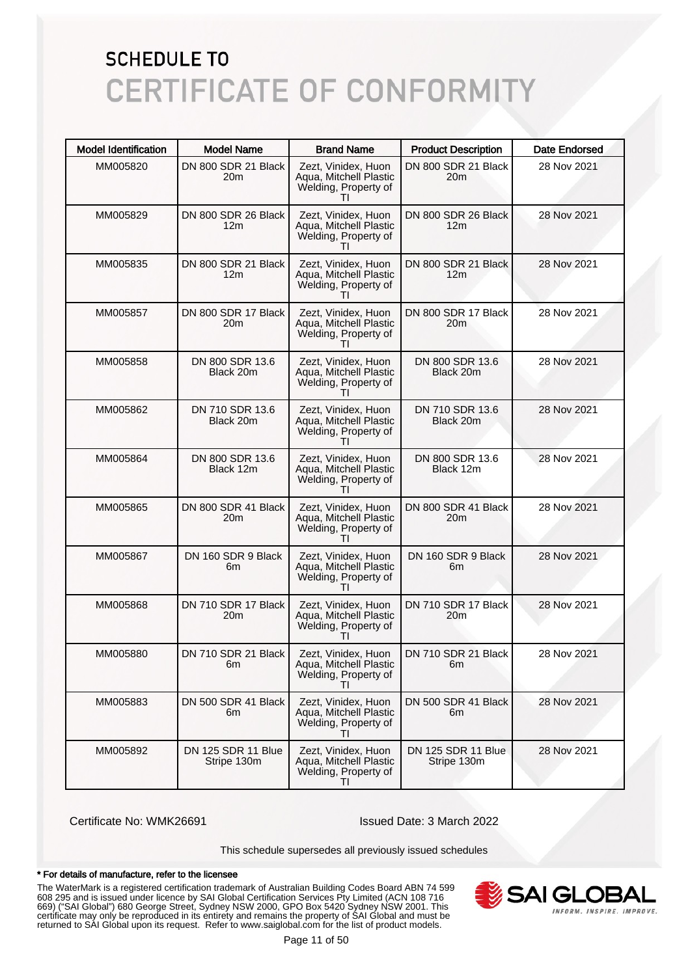| <b>Model Identification</b> | <b>Model Name</b>                      | <b>Brand Name</b>                                                                     | <b>Product Description</b>               | <b>Date Endorsed</b> |
|-----------------------------|----------------------------------------|---------------------------------------------------------------------------------------|------------------------------------------|----------------------|
| MM005820                    | DN 800 SDR 21 Black<br>20m             | Zezt, Vinidex, Huon<br>Aqua, Mitchell Plastic<br>Welding, Property of                 | DN 800 SDR 21 Black<br>20 <sub>m</sub>   | 28 Nov 2021          |
| MM005829                    | DN 800 SDR 26 Black<br>12m             | Zezt, Vinidex, Huon<br>Aqua, Mitchell Plastic<br>Welding, Property of<br>Ш            | DN 800 SDR 26 Black<br>12 <sub>m</sub>   | 28 Nov 2021          |
| MM005835                    | DN 800 SDR 21 Black<br>12 <sub>m</sub> | Zezt, Vinidex, Huon<br>Aqua, Mitchell Plastic<br>Welding, Property of                 | DN 800 SDR 21 Black<br>12 <sub>m</sub>   | 28 Nov 2021          |
| MM005857                    | DN 800 SDR 17 Black<br>20m             | Zezt, Vinidex, Huon<br>Agua, Mitchell Plastic<br>Welding, Property of<br>TΙ           | DN 800 SDR 17 Black<br>20 <sub>m</sub>   | 28 Nov 2021          |
| MM005858                    | DN 800 SDR 13.6<br>Black 20m           | Zezt, Vinidex, Huon<br>Aqua, Mitchell Plastic<br>Welding, Property of                 | DN 800 SDR 13.6<br>Black 20m             | 28 Nov 2021          |
| MM005862                    | DN 710 SDR 13.6<br>Black 20m           | Zezt, Vinidex, Huon<br>Agua, Mitchell Plastic<br>Welding, Property of<br>ΤI           | DN 710 SDR 13.6<br>Black 20m             | 28 Nov 2021          |
| MM005864                    | DN 800 SDR 13.6<br>Black 12m           | Zezt, Vinidex, Huon<br>Aqua, Mitchell Plastic<br>Welding, Property of<br>$\mathbf{H}$ | DN 800 SDR 13.6<br>Black 12m             | 28 Nov 2021          |
| MM005865                    | DN 800 SDR 41 Black<br>20m             | Zezt, Vinidex, Huon<br>Aqua, Mitchell Plastic<br>Welding, Property of<br>ΤI           | DN 800 SDR 41 Black<br>20 <sub>m</sub>   | 28 Nov 2021          |
| MM005867                    | DN 160 SDR 9 Black<br>6m               | Zezt, Vinidex, Huon<br>Aqua, Mitchell Plastic<br>Welding, Property of<br>ΤI           | DN 160 SDR 9 Black<br>6m                 | 28 Nov 2021          |
| MM005868                    | DN 710 SDR 17 Black<br>20m             | Zezt, Vinidex, Huon<br>Aqua, Mitchell Plastic<br>Welding, Property of<br>$\mathbf{H}$ | DN 710 SDR 17 Black<br>20 <sub>m</sub>   | 28 Nov 2021          |
| MM005880                    | DN 710 SDR 21 Black<br>6m              | Zezt, Vinidex, Huon<br>Aqua, Mitchell Plastic<br>Welding, Property of<br>TI           | DN 710 SDR 21 Black<br>6m                | 28 Nov 2021          |
| MM005883                    | DN 500 SDR 41 Black<br>6m              | Zezt, Vinidex, Huon<br>Aqua, Mitchell Plastic<br>Welding, Property of<br>$\mathbf{H}$ | DN 500 SDR 41 Black<br>6m                | 28 Nov 2021          |
| MM005892                    | DN 125 SDR 11 Blue<br>Stripe 130m      | Zezt, Vinidex, Huon<br>Aqua, Mitchell Plastic<br>Welding, Property of<br>ΤI           | <b>DN 125 SDR 11 Blue</b><br>Stripe 130m | 28 Nov 2021          |

Certificate No: WMK26691 Issued Date: 3 March 2022

This schedule supersedes all previously issued schedules

#### \* For details of manufacture, refer to the licensee

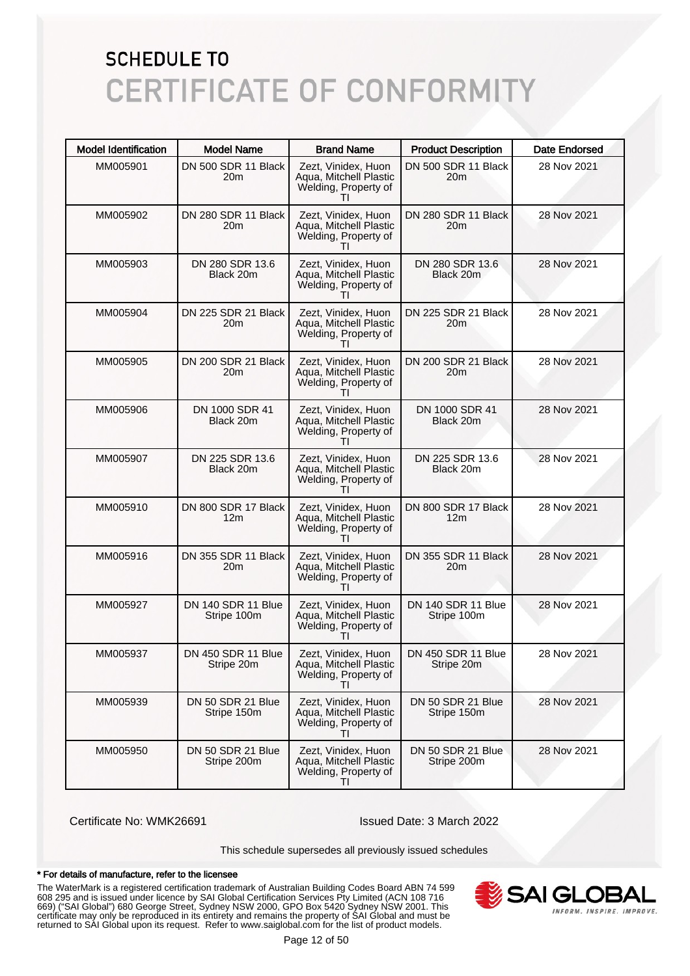| <b>Model Identification</b> | <b>Model Name</b>                      | <b>Brand Name</b>                                                                     | <b>Product Description</b>             | <b>Date Endorsed</b> |
|-----------------------------|----------------------------------------|---------------------------------------------------------------------------------------|----------------------------------------|----------------------|
| MM005901                    | DN 500 SDR 11 Black<br>20m             | Zezt, Vinidex, Huon<br>Aqua, Mitchell Plastic<br>Welding, Property of                 | DN 500 SDR 11 Black<br>20 <sub>m</sub> | 28 Nov 2021          |
| MM005902                    | DN 280 SDR 11 Black<br>20m             | Zezt, Vinidex, Huon<br>Aqua, Mitchell Plastic<br>Welding, Property of                 | DN 280 SDR 11 Black<br>20m             | 28 Nov 2021          |
| MM005903                    | DN 280 SDR 13.6<br>Black 20m           | Zezt, Vinidex, Huon<br>Aqua, Mitchell Plastic<br>Welding, Property of                 | DN 280 SDR 13.6<br>Black 20m           | 28 Nov 2021          |
| MM005904                    | DN 225 SDR 21 Black<br>20m             | Zezt, Vinidex, Huon<br>Aqua, Mitchell Plastic<br>Welding, Property of<br>Τl           | DN 225 SDR 21 Black<br>20 <sub>m</sub> | 28 Nov 2021          |
| MM005905                    | DN 200 SDR 21 Black<br>20m             | Zezt, Vinidex, Huon<br>Aqua, Mitchell Plastic<br>Welding, Property of                 | DN 200 SDR 21 Black<br>20m             | 28 Nov 2021          |
| MM005906                    | DN 1000 SDR 41<br>Black 20m            | Zezt, Vinidex, Huon<br>Aqua, Mitchell Plastic<br>Welding, Property of<br>Τl           | DN 1000 SDR 41<br>Black 20m            | 28 Nov 2021          |
| MM005907                    | DN 225 SDR 13.6<br>Black 20m           | Zezt, Vinidex, Huon<br>Aqua, Mitchell Plastic<br>Welding, Property of                 | DN 225 SDR 13.6<br>Black 20m           | 28 Nov 2021          |
| MM005910                    | DN 800 SDR 17 Black<br>12 <sub>m</sub> | Zezt, Vinidex, Huon<br>Aqua, Mitchell Plastic<br>Welding, Property of<br>Τl           | DN 800 SDR 17 Black<br>12 <sub>m</sub> | 28 Nov 2021          |
| MM005916                    | DN 355 SDR 11 Black<br>20m             | Zezt, Vinidex, Huon<br>Aqua, Mitchell Plastic<br>Welding, Property of<br>Τl           | DN 355 SDR 11 Black<br>20m             | 28 Nov 2021          |
| MM005927                    | DN 140 SDR 11 Blue<br>Stripe 100m      | Zezt, Vinidex, Huon<br>Aqua, Mitchell Plastic<br>Welding, Property of                 | DN 140 SDR 11 Blue<br>Stripe 100m      | 28 Nov 2021          |
| MM005937                    | DN 450 SDR 11 Blue<br>Stripe 20m       | Zezt, Vinidex, Huon<br>Aqua, Mitchell Plastic<br>Welding, Property of<br>Τl           | DN 450 SDR 11 Blue<br>Stripe 20m       | 28 Nov 2021          |
| MM005939                    | DN 50 SDR 21 Blue<br>Stripe 150m       | Zezt, Vinidex, Huon<br>Aqua, Mitchell Plastic<br>Welding, Property of                 | DN 50 SDR 21 Blue<br>Stripe 150m       | 28 Nov 2021          |
| MM005950                    | DN 50 SDR 21 Blue<br>Stripe 200m       | Zezt, Vinidex, Huon<br>Aqua, Mitchell Plastic<br>Welding, Property of<br>$\mathbf{H}$ | DN 50 SDR 21 Blue<br>Stripe 200m       | 28 Nov 2021          |

Certificate No: WMK26691 Issued Date: 3 March 2022

This schedule supersedes all previously issued schedules

#### \* For details of manufacture, refer to the licensee

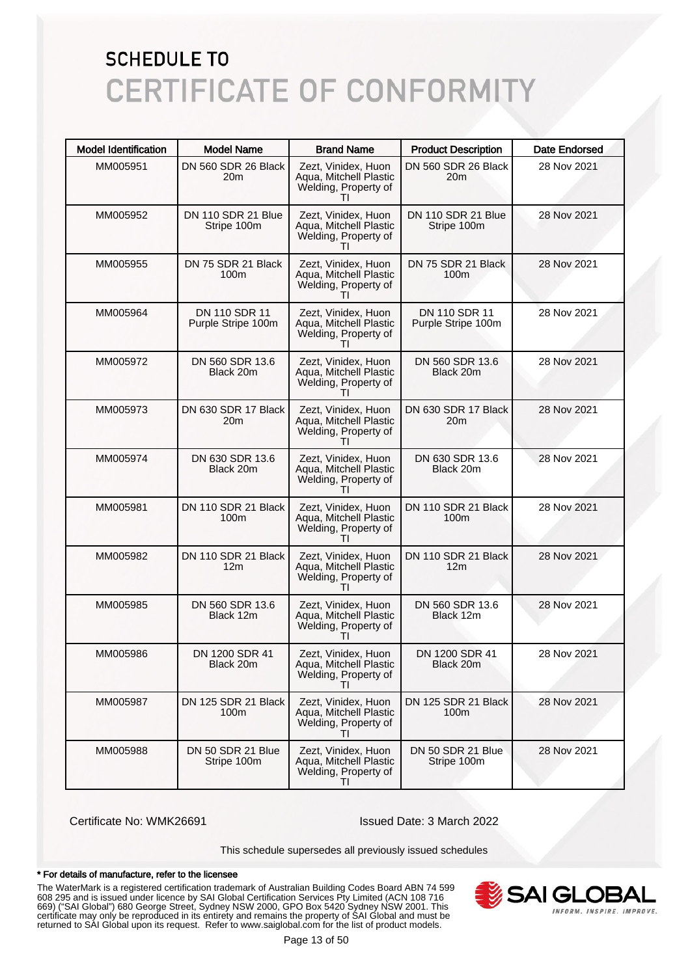| <b>Model Identification</b> | <b>Model Name</b>                      | <b>Brand Name</b>                                                                     | <b>Product Description</b>              | <b>Date Endorsed</b> |
|-----------------------------|----------------------------------------|---------------------------------------------------------------------------------------|-----------------------------------------|----------------------|
| MM005951                    | DN 560 SDR 26 Black<br>20m             | Zezt, Vinidex, Huon<br>Aqua, Mitchell Plastic<br>Welding, Property of                 | DN 560 SDR 26 Black<br>20 <sub>m</sub>  | 28 Nov 2021          |
| MM005952                    | DN 110 SDR 21 Blue<br>Stripe 100m      | Zezt, Vinidex, Huon<br>Aqua, Mitchell Plastic<br>Welding, Property of<br>$\mathbf{H}$ | DN 110 SDR 21 Blue<br>Stripe 100m       | 28 Nov 2021          |
| MM005955                    | DN 75 SDR 21 Black<br>100 <sub>m</sub> | Zezt, Vinidex, Huon<br>Aqua, Mitchell Plastic<br>Welding, Property of                 | DN 75 SDR 21 Black<br>100 <sub>m</sub>  | 28 Nov 2021          |
| MM005964                    | DN 110 SDR 11<br>Purple Stripe 100m    | Zezt, Vinidex, Huon<br>Aqua, Mitchell Plastic<br>Welding, Property of<br>$\mathbf{H}$ | DN 110 SDR 11<br>Purple Stripe 100m     | 28 Nov 2021          |
| MM005972                    | DN 560 SDR 13.6<br>Black 20m           | Zezt, Vinidex, Huon<br>Aqua, Mitchell Plastic<br>Welding, Property of                 | DN 560 SDR 13.6<br>Black 20m            | 28 Nov 2021          |
| MM005973                    | DN 630 SDR 17 Black<br>20m             | Zezt, Vinidex, Huon<br>Aqua, Mitchell Plastic<br>Welding, Property of<br>ΤI           | DN 630 SDR 17 Black<br>20 <sub>m</sub>  | 28 Nov 2021          |
| MM005974                    | DN 630 SDR 13.6<br>Black 20m           | Zezt, Vinidex, Huon<br>Aqua, Mitchell Plastic<br>Welding, Property of<br>$\mathbf{H}$ | DN 630 SDR 13.6<br>Black 20m            | 28 Nov 2021          |
| MM005981                    | DN 110 SDR 21 Black<br>100m            | Zezt, Vinidex, Huon<br>Aqua, Mitchell Plastic<br>Welding, Property of<br>ΤI           | DN 110 SDR 21 Black<br>100 <sub>m</sub> | 28 Nov 2021          |
| MM005982                    | DN 110 SDR 21 Black<br>12m             | Zezt, Vinidex, Huon<br>Aqua, Mitchell Plastic<br>Welding, Property of<br>Τl           | DN 110 SDR 21 Black<br>12 <sub>m</sub>  | 28 Nov 2021          |
| MM005985                    | DN 560 SDR 13.6<br>Black 12m           | Zezt, Vinidex, Huon<br>Aqua, Mitchell Plastic<br>Welding, Property of<br>$\mathbf{H}$ | DN 560 SDR 13.6<br>Black 12m            | 28 Nov 2021          |
| MM005986                    | DN 1200 SDR 41<br>Black 20m            | Zezt, Vinidex, Huon<br>Aqua, Mitchell Plastic<br>Welding, Property of<br>ΤI           | DN 1200 SDR 41<br>Black 20m             | 28 Nov 2021          |
| MM005987                    | DN 125 SDR 21 Black<br>100m            | Zezt, Vinidex, Huon<br>Aqua, Mitchell Plastic<br>Welding, Property of<br>$\mathbf{H}$ | DN 125 SDR 21 Black<br>100m             | 28 Nov 2021          |
| MM005988                    | DN 50 SDR 21 Blue<br>Stripe 100m       | Zezt, Vinidex, Huon<br>Aqua, Mitchell Plastic<br>Welding, Property of<br>ΤI           | DN 50 SDR 21 Blue<br>Stripe 100m        | 28 Nov 2021          |

Certificate No: WMK26691 Issued Date: 3 March 2022

This schedule supersedes all previously issued schedules

#### \* For details of manufacture, refer to the licensee

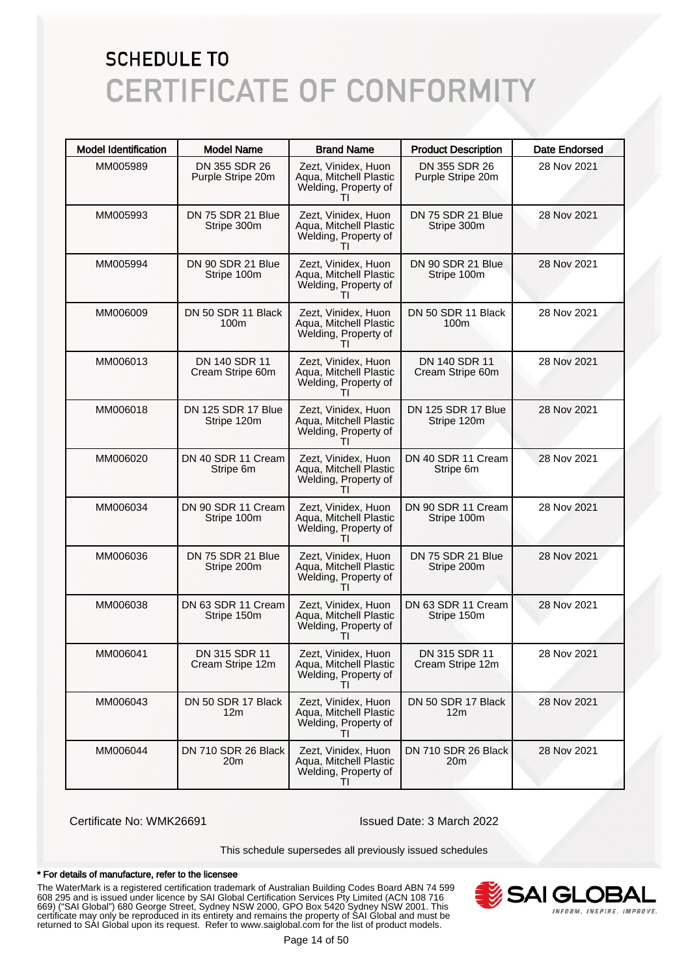| <b>Model Identification</b> | <b>Model Name</b>                  | <b>Brand Name</b>                                                           | <b>Product Description</b>             | <b>Date Endorsed</b> |
|-----------------------------|------------------------------------|-----------------------------------------------------------------------------|----------------------------------------|----------------------|
| MM005989                    | DN 355 SDR 26<br>Purple Stripe 20m | Zezt, Vinidex, Huon<br>Aqua, Mitchell Plastic<br>Welding, Property of       | DN 355 SDR 26<br>Purple Stripe 20m     | 28 Nov 2021          |
| MM005993                    | DN 75 SDR 21 Blue<br>Stripe 300m   | Zezt, Vinidex, Huon<br>Aqua, Mitchell Plastic<br>Welding, Property of       | DN 75 SDR 21 Blue<br>Stripe 300m       | 28 Nov 2021          |
| MM005994                    | DN 90 SDR 21 Blue<br>Stripe 100m   | Zezt, Vinidex, Huon<br>Aqua, Mitchell Plastic<br>Welding, Property of       | DN 90 SDR 21 Blue<br>Stripe 100m       | 28 Nov 2021          |
| MM006009                    | DN 50 SDR 11 Black<br>100m         | Zezt, Vinidex, Huon<br>Aqua, Mitchell Plastic<br>Welding, Property of<br>Τl | DN 50 SDR 11 Black<br>100 <sub>m</sub> | 28 Nov 2021          |
| MM006013                    | DN 140 SDR 11<br>Cream Stripe 60m  | Zezt, Vinidex, Huon<br>Aqua, Mitchell Plastic<br>Welding, Property of       | DN 140 SDR 11<br>Cream Stripe 60m      | 28 Nov 2021          |
| MM006018                    | DN 125 SDR 17 Blue<br>Stripe 120m  | Zezt, Vinidex, Huon<br>Aqua, Mitchell Plastic<br>Welding, Property of<br>Τl | DN 125 SDR 17 Blue<br>Stripe 120m      | 28 Nov 2021          |
| MM006020                    | DN 40 SDR 11 Cream<br>Stripe 6m    | Zezt, Vinidex, Huon<br>Aqua, Mitchell Plastic<br>Welding, Property of       | DN 40 SDR 11 Cream<br>Stripe 6m        | 28 Nov 2021          |
| MM006034                    | DN 90 SDR 11 Cream<br>Stripe 100m  | Zezt, Vinidex, Huon<br>Aqua, Mitchell Plastic<br>Welding, Property of<br>Τl | DN 90 SDR 11 Cream<br>Stripe 100m      | 28 Nov 2021          |
| MM006036                    | DN 75 SDR 21 Blue<br>Stripe 200m   | Zezt, Vinidex, Huon<br>Aqua, Mitchell Plastic<br>Welding, Property of       | DN 75 SDR 21 Blue<br>Stripe 200m       | 28 Nov 2021          |
| MM006038                    | DN 63 SDR 11 Cream<br>Stripe 150m  | Zezt, Vinidex, Huon<br>Aqua, Mitchell Plastic<br>Welding, Property of       | DN 63 SDR 11 Cream<br>Stripe 150m      | 28 Nov 2021          |
| MM006041                    | DN 315 SDR 11<br>Cream Stripe 12m  | Zezt, Vinidex, Huon<br>Aqua, Mitchell Plastic<br>Welding, Property of<br>ΤI | DN 315 SDR 11<br>Cream Stripe 12m      | 28 Nov 2021          |
| MM006043                    | DN 50 SDR 17 Black<br>12m          | Zezt. Vinidex. Huon<br>Aqua, Mitchell Plastic<br>Welding, Property of       | DN 50 SDR 17 Black<br>12 <sub>m</sub>  | 28 Nov 2021          |
| MM006044                    | DN 710 SDR 26 Black<br>20m         | Zezt, Vinidex, Huon<br>Aqua, Mitchell Plastic<br>Welding, Property of<br>ΤI | DN 710 SDR 26 Black<br>20 <sub>m</sub> | 28 Nov 2021          |

Certificate No: WMK26691 Issued Date: 3 March 2022

This schedule supersedes all previously issued schedules

#### \* For details of manufacture, refer to the licensee

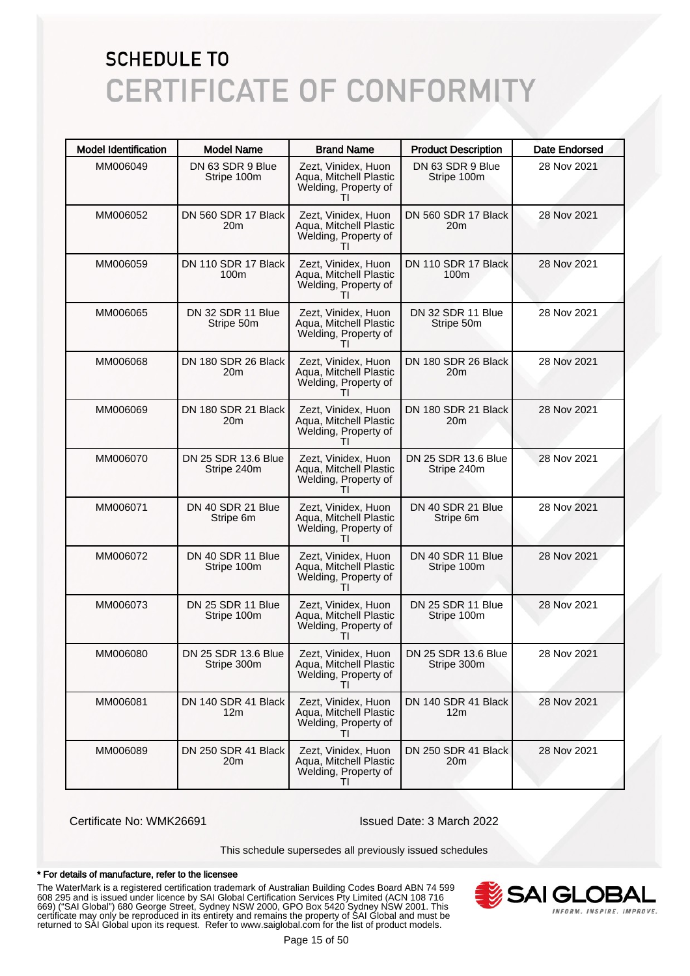| <b>Model Identification</b> | <b>Model Name</b>                       | <b>Brand Name</b>                                                           | <b>Product Description</b>             | <b>Date Endorsed</b> |
|-----------------------------|-----------------------------------------|-----------------------------------------------------------------------------|----------------------------------------|----------------------|
| MM006049                    | DN 63 SDR 9 Blue<br>Stripe 100m         | Zezt, Vinidex, Huon<br>Aqua, Mitchell Plastic<br>Welding, Property of       | DN 63 SDR 9 Blue<br>Stripe 100m        | 28 Nov 2021          |
| MM006052                    | DN 560 SDR 17 Black<br>20m              | Zezt, Vinidex, Huon<br>Aqua, Mitchell Plastic<br>Welding, Property of       | DN 560 SDR 17 Black<br>20 <sub>m</sub> | 28 Nov 2021          |
| MM006059                    | DN 110 SDR 17 Black<br>100 <sub>m</sub> | Zezt, Vinidex, Huon<br>Aqua, Mitchell Plastic<br>Welding, Property of       | DN 110 SDR 17 Black<br>100m            | 28 Nov 2021          |
| MM006065                    | DN 32 SDR 11 Blue<br>Stripe 50m         | Zezt, Vinidex, Huon<br>Aqua, Mitchell Plastic<br>Welding, Property of<br>Τl | DN 32 SDR 11 Blue<br>Stripe 50m        | 28 Nov 2021          |
| MM006068                    | DN 180 SDR 26 Black<br>20m              | Zezt, Vinidex, Huon<br>Aqua, Mitchell Plastic<br>Welding, Property of       | DN 180 SDR 26 Black<br>20 <sub>m</sub> | 28 Nov 2021          |
| MM006069                    | DN 180 SDR 21 Black<br>20m              | Zezt, Vinidex, Huon<br>Aqua, Mitchell Plastic<br>Welding, Property of<br>Τl | DN 180 SDR 21 Black<br>20 <sub>m</sub> | 28 Nov 2021          |
| MM006070                    | DN 25 SDR 13.6 Blue<br>Stripe 240m      | Zezt, Vinidex, Huon<br>Aqua, Mitchell Plastic<br>Welding, Property of       | DN 25 SDR 13.6 Blue<br>Stripe 240m     | 28 Nov 2021          |
| MM006071                    | DN 40 SDR 21 Blue<br>Stripe 6m          | Zezt, Vinidex, Huon<br>Aqua, Mitchell Plastic<br>Welding, Property of<br>Τl | DN 40 SDR 21 Blue<br>Stripe 6m         | 28 Nov 2021          |
| MM006072                    | DN 40 SDR 11 Blue<br>Stripe 100m        | Zezt, Vinidex, Huon<br>Aqua, Mitchell Plastic<br>Welding, Property of<br>Τl | DN 40 SDR 11 Blue<br>Stripe 100m       | 28 Nov 2021          |
| MM006073                    | DN 25 SDR 11 Blue<br>Stripe 100m        | Zezt, Vinidex, Huon<br>Aqua, Mitchell Plastic<br>Welding, Property of       | DN 25 SDR 11 Blue<br>Stripe 100m       | 28 Nov 2021          |
| MM006080                    | DN 25 SDR 13.6 Blue<br>Stripe 300m      | Zezt, Vinidex, Huon<br>Aqua, Mitchell Plastic<br>Welding, Property of<br>ΤI | DN 25 SDR 13.6 Blue<br>Stripe 300m     | 28 Nov 2021          |
| MM006081                    | DN 140 SDR 41 Black<br>12m              | Zezt. Vinidex. Huon<br>Aqua, Mitchell Plastic<br>Welding, Property of       | DN 140 SDR 41 Black<br>12 <sub>m</sub> | 28 Nov 2021          |
| MM006089                    | DN 250 SDR 41 Black<br>20m              | Zezt, Vinidex, Huon<br>Aqua, Mitchell Plastic<br>Welding, Property of<br>ΤI | DN 250 SDR 41 Black<br>20 <sub>m</sub> | 28 Nov 2021          |

Certificate No: WMK26691 Issued Date: 3 March 2022

This schedule supersedes all previously issued schedules

#### \* For details of manufacture, refer to the licensee

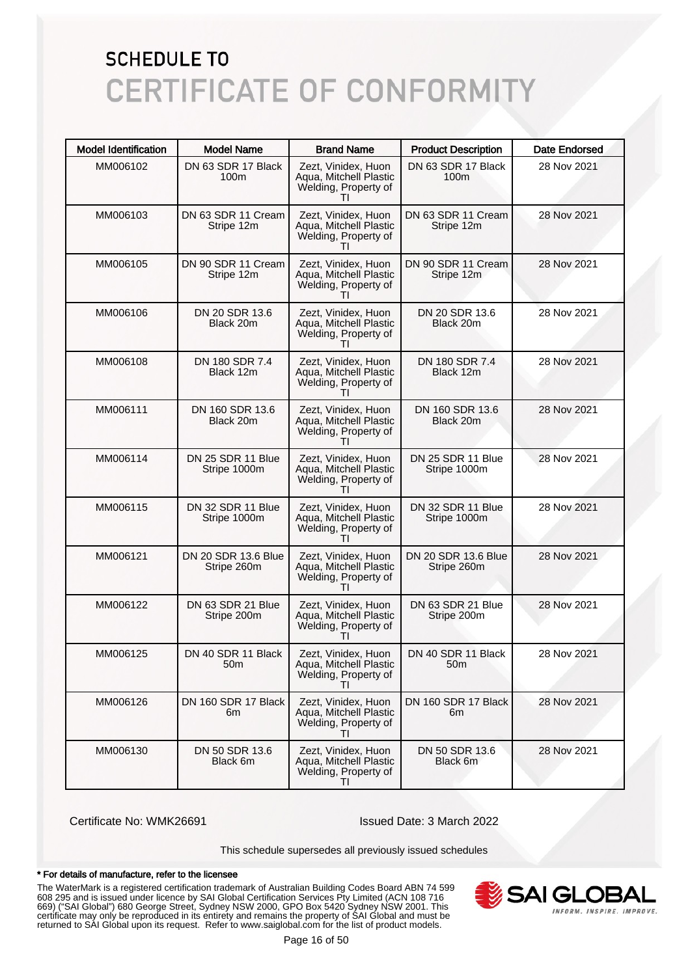| <b>Model Identification</b> | <b>Model Name</b>                     | <b>Brand Name</b>                                                                     | <b>Product Description</b>             | <b>Date Endorsed</b> |
|-----------------------------|---------------------------------------|---------------------------------------------------------------------------------------|----------------------------------------|----------------------|
| MM006102                    | DN 63 SDR 17 Black<br>100m            | Zezt, Vinidex, Huon<br>Aqua, Mitchell Plastic<br>Welding, Property of                 | DN 63 SDR 17 Black<br>100 <sub>m</sub> | 28 Nov 2021          |
| MM006103                    | DN 63 SDR 11 Cream<br>Stripe 12m      | Zezt, Vinidex, Huon<br>Aqua, Mitchell Plastic<br>Welding, Property of<br>$\mathbf{H}$ | DN 63 SDR 11 Cream<br>Stripe 12m       | 28 Nov 2021          |
| MM006105                    | DN 90 SDR 11 Cream<br>Stripe 12m      | Zezt, Vinidex, Huon<br>Aqua, Mitchell Plastic<br>Welding, Property of                 | DN 90 SDR 11 Cream<br>Stripe 12m       | 28 Nov 2021          |
| MM006106                    | DN 20 SDR 13.6<br>Black 20m           | Zezt, Vinidex, Huon<br>Aqua, Mitchell Plastic<br>Welding, Property of<br>$\mathbf{H}$ | DN 20 SDR 13.6<br>Black 20m            | 28 Nov 2021          |
| MM006108                    | DN 180 SDR 7.4<br>Black 12m           | Zezt, Vinidex, Huon<br>Aqua, Mitchell Plastic<br>Welding, Property of                 | DN 180 SDR 7.4<br>Black 12m            | 28 Nov 2021          |
| MM006111                    | DN 160 SDR 13.6<br>Black 20m          | Zezt, Vinidex, Huon<br>Aqua, Mitchell Plastic<br>Welding, Property of<br>ΤI           | DN 160 SDR 13.6<br>Black 20m           | 28 Nov 2021          |
| MM006114                    | DN 25 SDR 11 Blue<br>Stripe 1000m     | Zezt, Vinidex, Huon<br>Aqua, Mitchell Plastic<br>Welding, Property of<br>$\mathbf{H}$ | DN 25 SDR 11 Blue<br>Stripe 1000m      | 28 Nov 2021          |
| MM006115                    | DN 32 SDR 11 Blue<br>Stripe 1000m     | Zezt, Vinidex, Huon<br>Aqua, Mitchell Plastic<br>Welding, Property of<br>ΤI           | DN 32 SDR 11 Blue<br>Stripe 1000m      | 28 Nov 2021          |
| MM006121                    | DN 20 SDR 13.6 Blue<br>Stripe 260m    | Zezt, Vinidex, Huon<br>Aqua, Mitchell Plastic<br>Welding, Property of<br>$\mathbf{H}$ | DN 20 SDR 13.6 Blue<br>Stripe 260m     | 28 Nov 2021          |
| MM006122                    | DN 63 SDR 21 Blue<br>Stripe 200m      | Zezt, Vinidex, Huon<br>Aqua, Mitchell Plastic<br>Welding, Property of<br>$\mathbf{H}$ | DN 63 SDR 21 Blue<br>Stripe 200m       | 28 Nov 2021          |
| MM006125                    | DN 40 SDR 11 Black<br>50 <sub>m</sub> | Zezt, Vinidex, Huon<br>Aqua, Mitchell Plastic<br>Welding, Property of<br>TI           | DN 40 SDR 11 Black<br>50 <sub>m</sub>  | 28 Nov 2021          |
| MM006126                    | DN 160 SDR 17 Black<br>6m             | Zezt, Vinidex, Huon<br>Aqua, Mitchell Plastic<br>Welding, Property of<br>$\mathbf{H}$ | DN 160 SDR 17 Black<br>6m              | 28 Nov 2021          |
| MM006130                    | DN 50 SDR 13.6<br>Black 6m            | Zezt, Vinidex, Huon<br>Aqua, Mitchell Plastic<br>Welding, Property of<br>ΤI           | DN 50 SDR 13.6<br>Black 6m             | 28 Nov 2021          |

Certificate No: WMK26691 Issued Date: 3 March 2022

This schedule supersedes all previously issued schedules

#### \* For details of manufacture, refer to the licensee

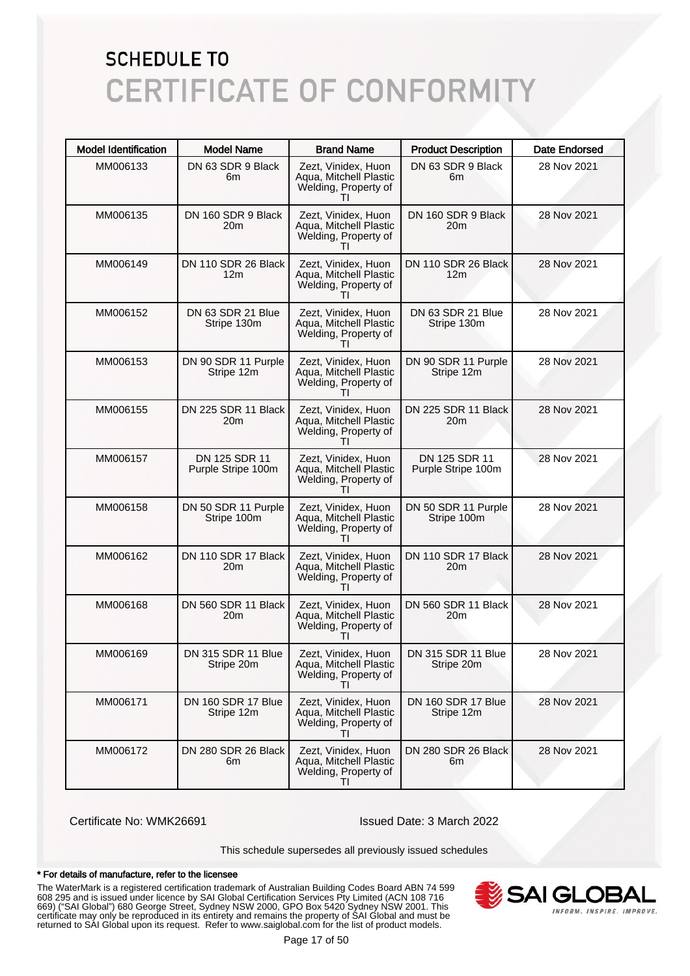| <b>Model Identification</b> | <b>Model Name</b>                      | <b>Brand Name</b>                                                                     | <b>Product Description</b>             | <b>Date Endorsed</b> |
|-----------------------------|----------------------------------------|---------------------------------------------------------------------------------------|----------------------------------------|----------------------|
| MM006133                    | DN 63 SDR 9 Black<br>6m                | Zezt, Vinidex, Huon<br>Aqua, Mitchell Plastic<br>Welding, Property of                 | DN 63 SDR 9 Black<br>6m                | 28 Nov 2021          |
| MM006135                    | DN 160 SDR 9 Black<br>20m              | Zezt, Vinidex, Huon<br>Aqua, Mitchell Plastic<br>Welding, Property of                 | DN 160 SDR 9 Black<br>20 <sub>m</sub>  | 28 Nov 2021          |
| MM006149                    | DN 110 SDR 26 Black<br>12 <sub>m</sub> | Zezt, Vinidex, Huon<br>Aqua, Mitchell Plastic<br>Welding, Property of                 | DN 110 SDR 26 Black<br>12 <sub>m</sub> | 28 Nov 2021          |
| MM006152                    | DN 63 SDR 21 Blue<br>Stripe 130m       | Zezt, Vinidex, Huon<br>Aqua, Mitchell Plastic<br>Welding, Property of<br>Τl           | DN 63 SDR 21 Blue<br>Stripe 130m       | 28 Nov 2021          |
| MM006153                    | DN 90 SDR 11 Purple<br>Stripe 12m      | Zezt, Vinidex, Huon<br>Aqua, Mitchell Plastic<br>Welding, Property of                 | DN 90 SDR 11 Purple<br>Stripe 12m      | 28 Nov 2021          |
| MM006155                    | DN 225 SDR 11 Black<br>20m             | Zezt, Vinidex, Huon<br>Aqua, Mitchell Plastic<br>Welding, Property of<br>Τl           | DN 225 SDR 11 Black<br>20 <sub>m</sub> | 28 Nov 2021          |
| MM006157                    | DN 125 SDR 11<br>Purple Stripe 100m    | Zezt, Vinidex, Huon<br>Aqua, Mitchell Plastic<br>Welding, Property of                 | DN 125 SDR 11<br>Purple Stripe 100m    | 28 Nov 2021          |
| MM006158                    | DN 50 SDR 11 Purple<br>Stripe 100m     | Zezt, Vinidex, Huon<br>Aqua, Mitchell Plastic<br>Welding, Property of<br>Τl           | DN 50 SDR 11 Purple<br>Stripe 100m     | 28 Nov 2021          |
| MM006162                    | DN 110 SDR 17 Black<br>20m             | Zezt, Vinidex, Huon<br>Aqua, Mitchell Plastic<br>Welding, Property of                 | DN 110 SDR 17 Black<br>20m             | 28 Nov 2021          |
| MM006168                    | DN 560 SDR 11 Black<br>20m             | Zezt, Vinidex, Huon<br>Aqua, Mitchell Plastic<br>Welding, Property of                 | DN 560 SDR 11 Black<br>20m             | 28 Nov 2021          |
| MM006169                    | DN 315 SDR 11 Blue<br>Stripe 20m       | Zezt, Vinidex, Huon<br>Aqua, Mitchell Plastic<br>Welding, Property of<br>Τl           | DN 315 SDR 11 Blue<br>Stripe 20m       | 28 Nov 2021          |
| MM006171                    | DN 160 SDR 17 Blue<br>Stripe 12m       | Zezt, Vinidex, Huon<br>Aqua, Mitchell Plastic<br>Welding, Property of                 | DN 160 SDR 17 Blue<br>Stripe 12m       | 28 Nov 2021          |
| MM006172                    | DN 280 SDR 26 Black<br>6m              | Zezt, Vinidex, Huon<br>Aqua, Mitchell Plastic<br>Welding, Property of<br>$\mathbf{H}$ | DN 280 SDR 26 Black<br>6m              | 28 Nov 2021          |

Certificate No: WMK26691 Issued Date: 3 March 2022

This schedule supersedes all previously issued schedules

#### \* For details of manufacture, refer to the licensee

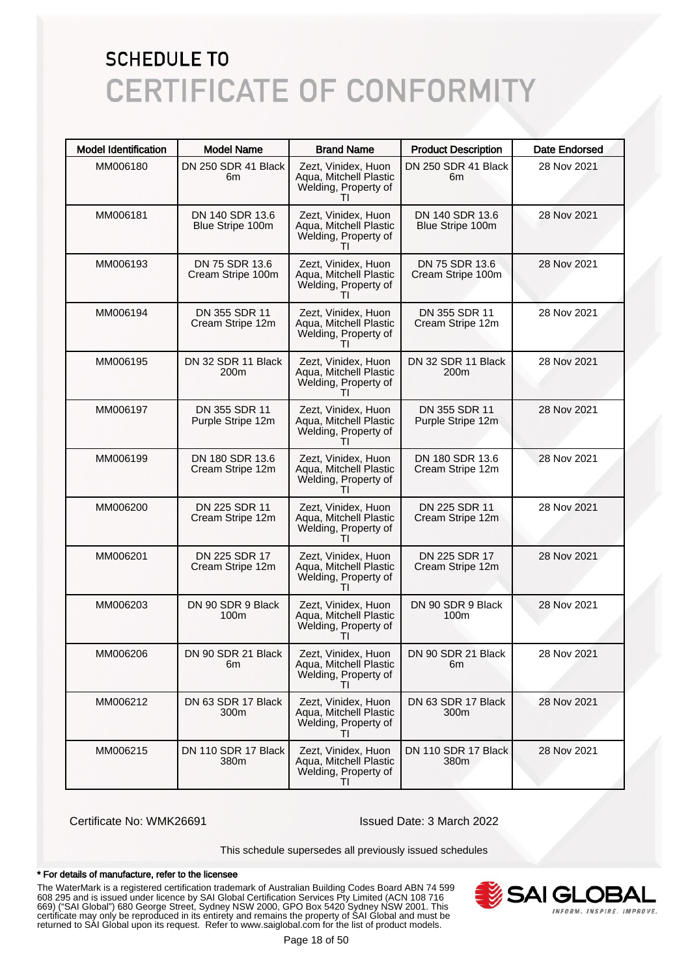| <b>Model Identification</b> | <b>Model Name</b>                   | <b>Brand Name</b>                                                                     | <b>Product Description</b>          | Date Endorsed |
|-----------------------------|-------------------------------------|---------------------------------------------------------------------------------------|-------------------------------------|---------------|
| MM006180                    | DN 250 SDR 41 Black<br>6m           | Zezt, Vinidex, Huon<br>Aqua, Mitchell Plastic<br>Welding, Property of                 | DN 250 SDR 41 Black<br>6m           | 28 Nov 2021   |
| MM006181                    | DN 140 SDR 13.6<br>Blue Stripe 100m | Zezt, Vinidex, Huon<br>Aqua, Mitchell Plastic<br>Welding, Property of                 | DN 140 SDR 13.6<br>Blue Stripe 100m | 28 Nov 2021   |
| MM006193                    | DN 75 SDR 13.6<br>Cream Stripe 100m | Zezt, Vinidex, Huon<br>Aqua, Mitchell Plastic<br>Welding, Property of                 | DN 75 SDR 13.6<br>Cream Stripe 100m | 28 Nov 2021   |
| MM006194                    | DN 355 SDR 11<br>Cream Stripe 12m   | Zezt, Vinidex, Huon<br>Aqua, Mitchell Plastic<br>Welding, Property of<br>$\mathbf{H}$ | DN 355 SDR 11<br>Cream Stripe 12m   | 28 Nov 2021   |
| MM006195                    | DN 32 SDR 11 Black<br>200m          | Zezt, Vinidex, Huon<br>Aqua, Mitchell Plastic<br>Welding, Property of                 | DN 32 SDR 11 Black<br>200m          | 28 Nov 2021   |
| MM006197                    | DN 355 SDR 11<br>Purple Stripe 12m  | Zezt, Vinidex, Huon<br>Aqua, Mitchell Plastic<br>Welding, Property of<br>Τl           | DN 355 SDR 11<br>Purple Stripe 12m  | 28 Nov 2021   |
| MM006199                    | DN 180 SDR 13.6<br>Cream Stripe 12m | Zezt, Vinidex, Huon<br>Aqua, Mitchell Plastic<br>Welding, Property of                 | DN 180 SDR 13.6<br>Cream Stripe 12m | 28 Nov 2021   |
| MM006200                    | DN 225 SDR 11<br>Cream Stripe 12m   | Zezt, Vinidex, Huon<br>Aqua, Mitchell Plastic<br>Welding, Property of<br>Τl           | DN 225 SDR 11<br>Cream Stripe 12m   | 28 Nov 2021   |
| MM006201                    | DN 225 SDR 17<br>Cream Stripe 12m   | Zezt, Vinidex, Huon<br>Aqua, Mitchell Plastic<br>Welding, Property of<br>$\mathbf{H}$ | DN 225 SDR 17<br>Cream Stripe 12m   | 28 Nov 2021   |
| MM006203                    | DN 90 SDR 9 Black<br>100m           | Zezt, Vinidex, Huon<br>Aqua, Mitchell Plastic<br>Welding, Property of<br>$\mathbf{H}$ | DN 90 SDR 9 Black<br>100m           | 28 Nov 2021   |
| MM006206                    | DN 90 SDR 21 Black<br>6m            | Zezt, Vinidex, Huon<br>Aqua, Mitchell Plastic<br>Welding, Property of<br>TI           | DN 90 SDR 21 Black<br>6m            | 28 Nov 2021   |
| MM006212                    | DN 63 SDR 17 Black<br>300m          | Zezt, Vinidex, Huon<br>Aqua, Mitchell Plastic<br>Welding, Property of<br>$\mathbf{H}$ | DN 63 SDR 17 Black<br>300m          | 28 Nov 2021   |
| MM006215                    | DN 110 SDR 17 Black<br>380m         | Zezt, Vinidex, Huon<br>Aqua, Mitchell Plastic<br>Welding, Property of<br>ΤI           | DN 110 SDR 17 Black<br>380m         | 28 Nov 2021   |

Certificate No: WMK26691 Issued Date: 3 March 2022

This schedule supersedes all previously issued schedules

#### \* For details of manufacture, refer to the licensee

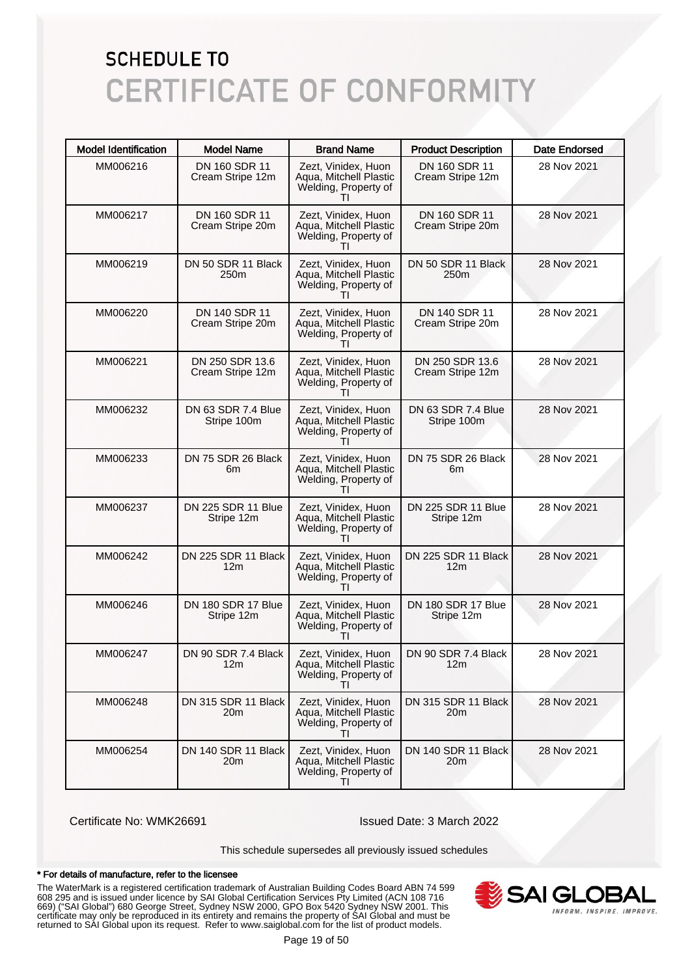| <b>Model Identification</b> | <b>Model Name</b>                      | <b>Brand Name</b>                                                                     | <b>Product Description</b>             | <b>Date Endorsed</b> |
|-----------------------------|----------------------------------------|---------------------------------------------------------------------------------------|----------------------------------------|----------------------|
| MM006216                    | DN 160 SDR 11<br>Cream Stripe 12m      | Zezt, Vinidex, Huon<br>Aqua, Mitchell Plastic<br>Welding, Property of                 | DN 160 SDR 11<br>Cream Stripe 12m      | 28 Nov 2021          |
| MM006217                    | DN 160 SDR 11<br>Cream Stripe 20m      | Zezt, Vinidex, Huon<br>Aqua, Mitchell Plastic<br>Welding, Property of                 | DN 160 SDR 11<br>Cream Stripe 20m      | 28 Nov 2021          |
| MM006219                    | DN 50 SDR 11 Black<br>250 <sub>m</sub> | Zezt, Vinidex, Huon<br>Aqua, Mitchell Plastic<br>Welding, Property of                 | DN 50 SDR 11 Black<br>250m             | 28 Nov 2021          |
| MM006220                    | DN 140 SDR 11<br>Cream Stripe 20m      | Zezt, Vinidex, Huon<br>Aqua, Mitchell Plastic<br>Welding, Property of<br>$\mathbf{H}$ | DN 140 SDR 11<br>Cream Stripe 20m      | 28 Nov 2021          |
| MM006221                    | DN 250 SDR 13.6<br>Cream Stripe 12m    | Zezt, Vinidex, Huon<br>Aqua, Mitchell Plastic<br>Welding, Property of                 | DN 250 SDR 13.6<br>Cream Stripe 12m    | 28 Nov 2021          |
| MM006232                    | DN 63 SDR 7.4 Blue<br>Stripe 100m      | Zezt, Vinidex, Huon<br>Aqua, Mitchell Plastic<br>Welding, Property of                 | DN 63 SDR 7.4 Blue<br>Stripe 100m      | 28 Nov 2021          |
| MM006233                    | DN 75 SDR 26 Black<br>6m               | Zezt, Vinidex, Huon<br>Aqua, Mitchell Plastic<br>Welding, Property of                 | DN 75 SDR 26 Black<br>6m               | 28 Nov 2021          |
| MM006237                    | DN 225 SDR 11 Blue<br>Stripe 12m       | Zezt, Vinidex, Huon<br>Aqua, Mitchell Plastic<br>Welding, Property of<br>$\mathbf{H}$ | DN 225 SDR 11 Blue<br>Stripe 12m       | 28 Nov 2021          |
| MM006242                    | DN 225 SDR 11 Black<br>12m             | Zezt, Vinidex, Huon<br>Aqua, Mitchell Plastic<br>Welding, Property of                 | DN 225 SDR 11 Black<br>12m             | 28 Nov 2021          |
| MM006246                    | DN 180 SDR 17 Blue<br>Stripe 12m       | Zezt, Vinidex, Huon<br>Aqua, Mitchell Plastic<br>Welding, Property of                 | DN 180 SDR 17 Blue<br>Stripe 12m       | 28 Nov 2021          |
| MM006247                    | DN 90 SDR 7.4 Black<br>12m             | Zezt. Vinidex. Huon<br>Aqua, Mitchell Plastic<br>Welding, Property of<br>Τl           | DN 90 SDR 7.4 Black<br>12 <sub>m</sub> | 28 Nov 2021          |
| MM006248                    | DN 315 SDR 11 Black<br>20m             | Zezt, Vinidex, Huon<br>Agua, Mitchell Plastic<br>Welding, Property of                 | DN 315 SDR 11 Black<br>20 <sub>m</sub> | 28 Nov 2021          |
| MM006254                    | DN 140 SDR 11 Black<br>20m             | Zezt, Vinidex, Huon<br>Agua, Mitchell Plastic<br>Welding, Property of<br>ΤI           | DN 140 SDR 11 Black<br>20 <sub>m</sub> | 28 Nov 2021          |

Certificate No: WMK26691 Issued Date: 3 March 2022

This schedule supersedes all previously issued schedules

#### \* For details of manufacture, refer to the licensee

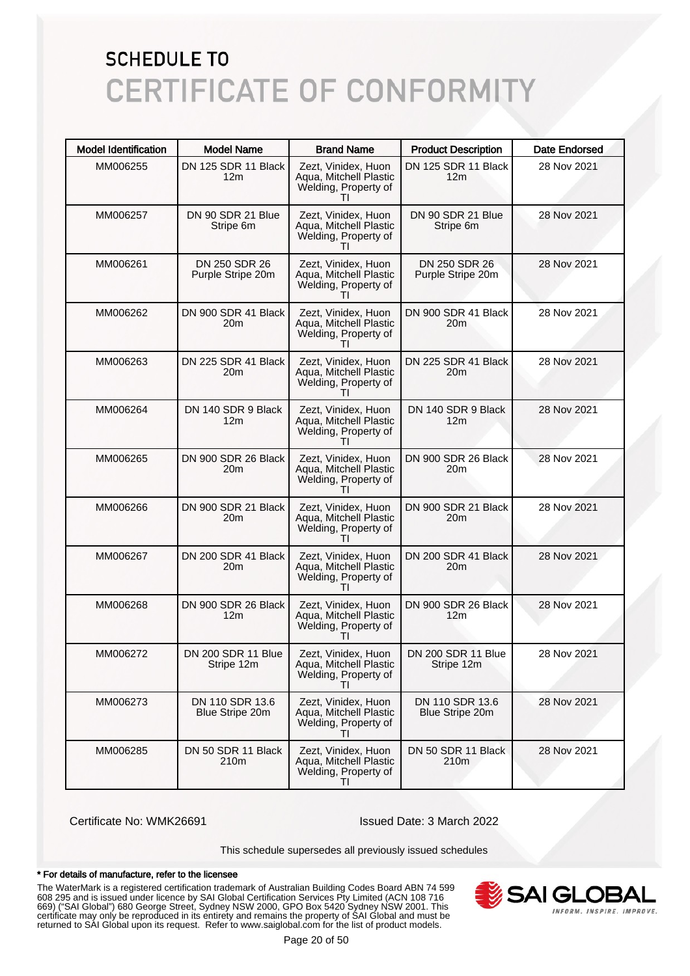| <b>Model Identification</b> | <b>Model Name</b>                     | <b>Brand Name</b>                                                                     | <b>Product Description</b>             | <b>Date Endorsed</b> |
|-----------------------------|---------------------------------------|---------------------------------------------------------------------------------------|----------------------------------------|----------------------|
| MM006255                    | DN 125 SDR 11 Black<br>12m            | Zezt, Vinidex, Huon<br>Aqua, Mitchell Plastic<br>Welding, Property of                 | DN 125 SDR 11 Black<br>12 <sub>m</sub> | 28 Nov 2021          |
| MM006257                    | DN 90 SDR 21 Blue<br>Stripe 6m        | Zezt, Vinidex, Huon<br>Aqua, Mitchell Plastic<br>Welding, Property of<br>$\mathbf{H}$ | DN 90 SDR 21 Blue<br>Stripe 6m         | 28 Nov 2021          |
| MM006261                    | DN 250 SDR 26<br>Purple Stripe 20m    | Zezt, Vinidex, Huon<br>Aqua, Mitchell Plastic<br>Welding, Property of                 | DN 250 SDR 26<br>Purple Stripe 20m     | 28 Nov 2021          |
| MM006262                    | DN 900 SDR 41 Black<br>20m            | Zezt, Vinidex, Huon<br>Aqua, Mitchell Plastic<br>Welding, Property of<br>ΤI           | DN 900 SDR 41 Black<br>20 <sub>m</sub> | 28 Nov 2021          |
| MM006263                    | DN 225 SDR 41 Black<br>20m            | Zezt, Vinidex, Huon<br>Aqua, Mitchell Plastic<br>Welding, Property of                 | DN 225 SDR 41 Black<br>20m             | 28 Nov 2021          |
| MM006264                    | DN 140 SDR 9 Black<br>12 <sub>m</sub> | Zezt, Vinidex, Huon<br>Aqua, Mitchell Plastic<br>Welding, Property of<br>ΤI           | DN 140 SDR 9 Black<br>12 <sub>m</sub>  | 28 Nov 2021          |
| MM006265                    | DN 900 SDR 26 Black<br>20m            | Zezt, Vinidex, Huon<br>Aqua, Mitchell Plastic<br>Welding, Property of<br>$\mathbf{H}$ | DN 900 SDR 26 Black<br>20 <sub>m</sub> | 28 Nov 2021          |
| MM006266                    | DN 900 SDR 21 Black<br>20m            | Zezt, Vinidex, Huon<br>Aqua, Mitchell Plastic<br>Welding, Property of<br>ΤI           | DN 900 SDR 21 Black<br>20m             | 28 Nov 2021          |
| MM006267                    | DN 200 SDR 41 Black<br>20m            | Zezt, Vinidex, Huon<br>Aqua, Mitchell Plastic<br>Welding, Property of<br>ΤI           | DN 200 SDR 41 Black<br>20m             | 28 Nov 2021          |
| MM006268                    | DN 900 SDR 26 Black<br>12m            | Zezt, Vinidex, Huon<br>Aqua, Mitchell Plastic<br>Welding, Property of<br>$\mathbf{H}$ | DN 900 SDR 26 Black<br>12 <sub>m</sub> | 28 Nov 2021          |
| MM006272                    | DN 200 SDR 11 Blue<br>Stripe 12m      | Zezt, Vinidex, Huon<br>Aqua, Mitchell Plastic<br>Welding, Property of<br>ΤI           | DN 200 SDR 11 Blue<br>Stripe 12m       | 28 Nov 2021          |
| MM006273                    | DN 110 SDR 13.6<br>Blue Stripe 20m    | Zezt, Vinidex, Huon<br>Aqua, Mitchell Plastic<br>Welding, Property of<br>$\mathbf{H}$ | DN 110 SDR 13.6<br>Blue Stripe 20m     | 28 Nov 2021          |
| MM006285                    | DN 50 SDR 11 Black<br>210m            | Zezt, Vinidex, Huon<br>Aqua, Mitchell Plastic<br>Welding, Property of<br>ΤI           | DN 50 SDR 11 Black<br>210m             | 28 Nov 2021          |

Certificate No: WMK26691 Issued Date: 3 March 2022

This schedule supersedes all previously issued schedules

#### \* For details of manufacture, refer to the licensee

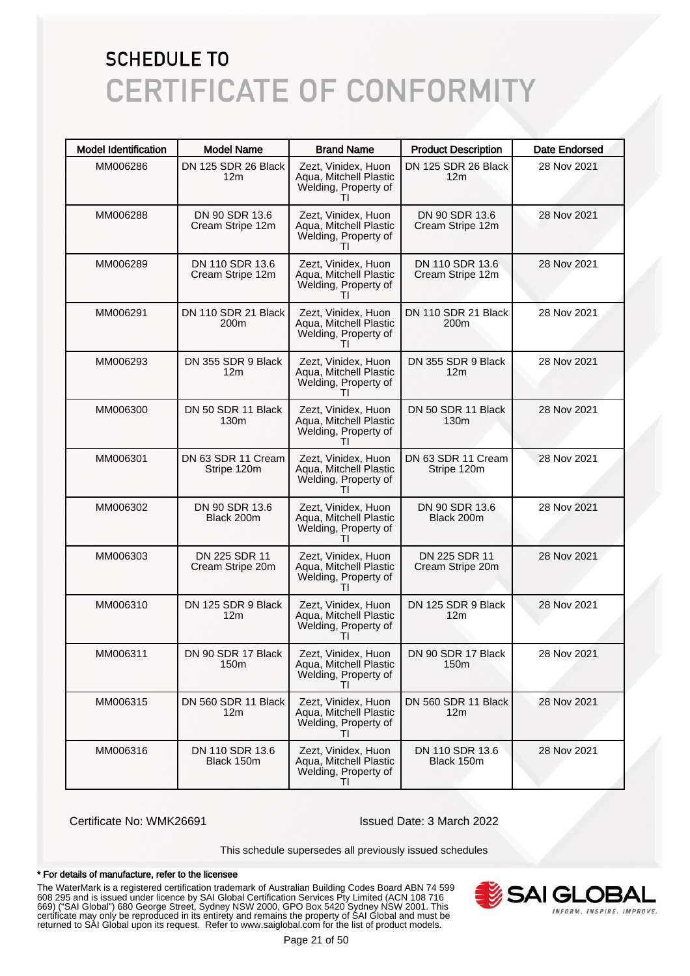| <b>Model Identification</b> | <b>Model Name</b>                       | <b>Brand Name</b>                                                                     | <b>Product Description</b>              | <b>Date Endorsed</b> |
|-----------------------------|-----------------------------------------|---------------------------------------------------------------------------------------|-----------------------------------------|----------------------|
| MM006286                    | DN 125 SDR 26 Black<br>12m              | Zezt, Vinidex, Huon<br>Aqua, Mitchell Plastic<br>Welding, Property of                 | DN 125 SDR 26 Black<br>12 <sub>m</sub>  | 28 Nov 2021          |
| MM006288                    | DN 90 SDR 13.6<br>Cream Stripe 12m      | Zezt, Vinidex, Huon<br>Aqua, Mitchell Plastic<br>Welding, Property of                 | DN 90 SDR 13.6<br>Cream Stripe 12m      | 28 Nov 2021          |
| MM006289                    | DN 110 SDR 13.6<br>Cream Stripe 12m     | Zezt, Vinidex, Huon<br>Aqua, Mitchell Plastic<br>Welding, Property of                 | DN 110 SDR 13.6<br>Cream Stripe 12m     | 28 Nov 2021          |
| MM006291                    | DN 110 SDR 21 Black<br>200 <sub>m</sub> | Zezt, Vinidex, Huon<br>Aqua, Mitchell Plastic<br>Welding, Property of<br>Τl           | DN 110 SDR 21 Black<br>200 <sub>m</sub> | 28 Nov 2021          |
| MM006293                    | DN 355 SDR 9 Black<br>12m               | Zezt, Vinidex, Huon<br>Aqua, Mitchell Plastic<br>Welding, Property of                 | DN 355 SDR 9 Black<br>12 <sub>m</sub>   | 28 Nov 2021          |
| MM006300                    | DN 50 SDR 11 Black<br>130 <sub>m</sub>  | Zezt, Vinidex, Huon<br>Aqua, Mitchell Plastic<br>Welding, Property of<br>ΤI           | DN 50 SDR 11 Black<br>130 <sub>m</sub>  | 28 Nov 2021          |
| MM006301                    | DN 63 SDR 11 Cream<br>Stripe 120m       | Zezt, Vinidex, Huon<br>Aqua, Mitchell Plastic<br>Welding, Property of<br>$\mathbf{H}$ | DN 63 SDR 11 Cream<br>Stripe 120m       | 28 Nov 2021          |
| MM006302                    | DN 90 SDR 13.6<br>Black 200m            | Zezt, Vinidex, Huon<br>Aqua, Mitchell Plastic<br>Welding, Property of<br>Τl           | DN 90 SDR 13.6<br>Black 200m            | 28 Nov 2021          |
| MM006303                    | DN 225 SDR 11<br>Cream Stripe 20m       | Zezt, Vinidex, Huon<br>Aqua, Mitchell Plastic<br>Welding, Property of<br>$\mathbf{H}$ | DN 225 SDR 11<br>Cream Stripe 20m       | 28 Nov 2021          |
| MM006310                    | DN 125 SDR 9 Black<br>12m               | Zezt, Vinidex, Huon<br>Aqua, Mitchell Plastic<br>Welding, Property of<br>$\mathbf{H}$ | DN 125 SDR 9 Black<br>12 <sub>m</sub>   | 28 Nov 2021          |
| MM006311                    | DN 90 SDR 17 Black<br>150m              | Zezt, Vinidex, Huon<br>Aqua, Mitchell Plastic<br>Welding, Property of<br>TI           | DN 90 SDR 17 Black<br>150m              | 28 Nov 2021          |
| MM006315                    | DN 560 SDR 11 Black<br>12m              | Zezt, Vinidex, Huon<br>Aqua, Mitchell Plastic<br>Welding, Property of<br>$\mathbf{H}$ | DN 560 SDR 11 Black<br>12 <sub>m</sub>  | 28 Nov 2021          |
| MM006316                    | DN 110 SDR 13.6<br>Black 150m           | Zezt, Vinidex, Huon<br>Aqua, Mitchell Plastic<br>Welding, Property of<br>ΤI           | DN 110 SDR 13.6<br>Black 150m           | 28 Nov 2021          |

Certificate No: WMK26691 Issued Date: 3 March 2022

This schedule supersedes all previously issued schedules

#### \* For details of manufacture, refer to the licensee

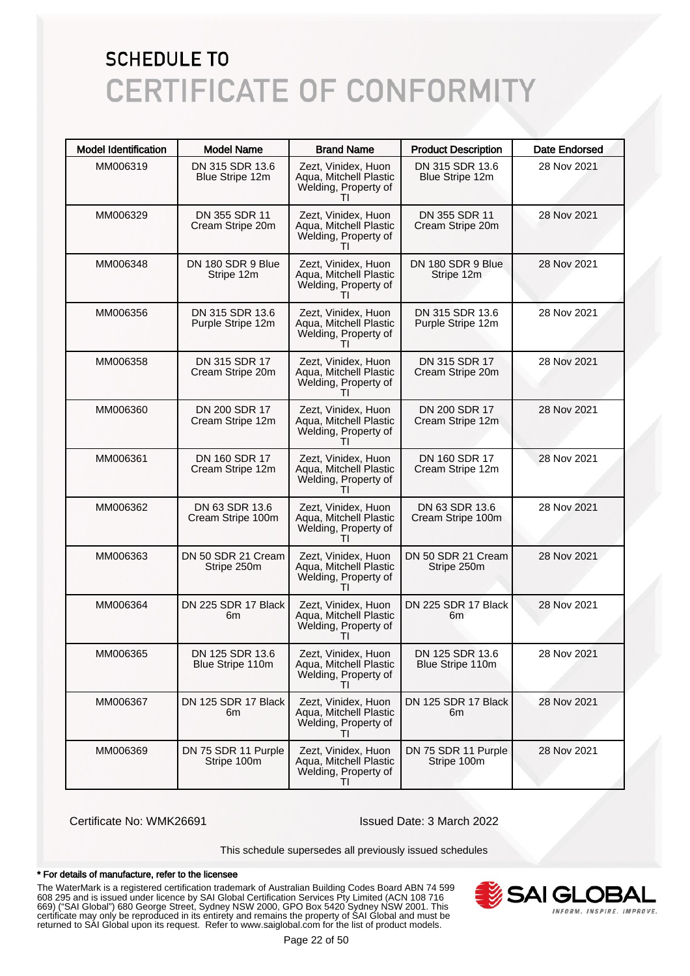| <b>Model Identification</b> | <b>Model Name</b>                    | <b>Brand Name</b>                                                                     | <b>Product Description</b>           | <b>Date Endorsed</b> |
|-----------------------------|--------------------------------------|---------------------------------------------------------------------------------------|--------------------------------------|----------------------|
| MM006319                    | DN 315 SDR 13.6<br>Blue Stripe 12m   | Zezt, Vinidex, Huon<br>Aqua, Mitchell Plastic<br>Welding, Property of                 | DN 315 SDR 13.6<br>Blue Stripe 12m   | 28 Nov 2021          |
| MM006329                    | DN 355 SDR 11<br>Cream Stripe 20m    | Zezt, Vinidex, Huon<br>Aqua, Mitchell Plastic<br>Welding, Property of                 | DN 355 SDR 11<br>Cream Stripe 20m    | 28 Nov 2021          |
| MM006348                    | DN 180 SDR 9 Blue<br>Stripe 12m      | Zezt, Vinidex, Huon<br>Aqua, Mitchell Plastic<br>Welding, Property of                 | DN 180 SDR 9 Blue<br>Stripe 12m      | 28 Nov 2021          |
| MM006356                    | DN 315 SDR 13.6<br>Purple Stripe 12m | Zezt, Vinidex, Huon<br>Aqua, Mitchell Plastic<br>Welding, Property of                 | DN 315 SDR 13.6<br>Purple Stripe 12m | 28 Nov 2021          |
| MM006358                    | DN 315 SDR 17<br>Cream Stripe 20m    | Zezt, Vinidex, Huon<br>Aqua, Mitchell Plastic<br>Welding, Property of                 | DN 315 SDR 17<br>Cream Stripe 20m    | 28 Nov 2021          |
| MM006360                    | DN 200 SDR 17<br>Cream Stripe 12m    | Zezt, Vinidex, Huon<br>Aqua, Mitchell Plastic<br>Welding, Property of                 | DN 200 SDR 17<br>Cream Stripe 12m    | 28 Nov 2021          |
| MM006361                    | DN 160 SDR 17<br>Cream Stripe 12m    | Zezt, Vinidex, Huon<br>Aqua, Mitchell Plastic<br>Welding, Property of                 | DN 160 SDR 17<br>Cream Stripe 12m    | 28 Nov 2021          |
| MM006362                    | DN 63 SDR 13.6<br>Cream Stripe 100m  | Zezt, Vinidex, Huon<br>Aqua, Mitchell Plastic<br>Welding, Property of<br>$\mathbf{H}$ | DN 63 SDR 13.6<br>Cream Stripe 100m  | 28 Nov 2021          |
| MM006363                    | DN 50 SDR 21 Cream<br>Stripe 250m    | Zezt, Vinidex, Huon<br>Aqua, Mitchell Plastic<br>Welding, Property of                 | DN 50 SDR 21 Cream<br>Stripe 250m    | 28 Nov 2021          |
| MM006364                    | DN 225 SDR 17 Black<br>6m            | Zezt, Vinidex, Huon<br>Aqua, Mitchell Plastic<br>Welding, Property of                 | DN 225 SDR 17 Black<br>6m            | 28 Nov 2021          |
| MM006365                    | DN 125 SDR 13.6<br>Blue Stripe 110m  | Zezt, Vinidex, Huon<br>Aqua, Mitchell Plastic<br>Welding, Property of<br>ΤI           | DN 125 SDR 13.6<br>Blue Stripe 110m  | 28 Nov 2021          |
| MM006367                    | DN 125 SDR 17 Black<br>6m            | Zezt, Vinidex, Huon<br>Aqua, Mitchell Plastic<br>Welding, Property of                 | DN 125 SDR 17 Black<br>6m            | 28 Nov 2021          |
| MM006369                    | DN 75 SDR 11 Purple<br>Stripe 100m   | Zezt, Vinidex, Huon<br>Aqua, Mitchell Plastic<br>Welding, Property of<br>$\mathbf{H}$ | DN 75 SDR 11 Purple<br>Stripe 100m   | 28 Nov 2021          |

Certificate No: WMK26691 Issued Date: 3 March 2022

This schedule supersedes all previously issued schedules

#### \* For details of manufacture, refer to the licensee

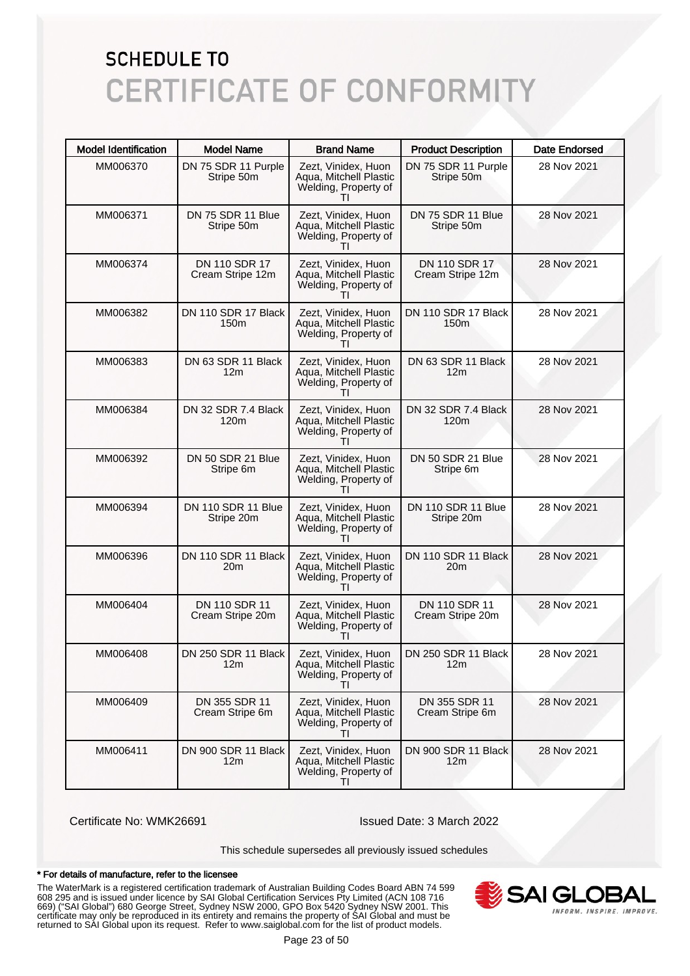| <b>Model Identification</b> | <b>Model Name</b>                       | <b>Brand Name</b>                                                           | <b>Product Description</b>              | <b>Date Endorsed</b> |
|-----------------------------|-----------------------------------------|-----------------------------------------------------------------------------|-----------------------------------------|----------------------|
| MM006370                    | DN 75 SDR 11 Purple<br>Stripe 50m       | Zezt, Vinidex, Huon<br>Aqua, Mitchell Plastic<br>Welding, Property of       | DN 75 SDR 11 Purple<br>Stripe 50m       | 28 Nov 2021          |
| MM006371                    | DN 75 SDR 11 Blue<br>Stripe 50m         | Zezt, Vinidex, Huon<br>Aqua, Mitchell Plastic<br>Welding, Property of       | DN 75 SDR 11 Blue<br>Stripe 50m         | 28 Nov 2021          |
| MM006374                    | DN 110 SDR 17<br>Cream Stripe 12m       | Zezt, Vinidex, Huon<br>Aqua, Mitchell Plastic<br>Welding, Property of       | DN 110 SDR 17<br>Cream Stripe 12m       | 28 Nov 2021          |
| MM006382                    | DN 110 SDR 17 Black<br>150 <sub>m</sub> | Zezt, Vinidex, Huon<br>Aqua, Mitchell Plastic<br>Welding, Property of<br>Τl | DN 110 SDR 17 Black<br>150 <sub>m</sub> | 28 Nov 2021          |
| MM006383                    | DN 63 SDR 11 Black<br>12 <sub>m</sub>   | Zezt, Vinidex, Huon<br>Aqua, Mitchell Plastic<br>Welding, Property of       | DN 63 SDR 11 Black<br>12 <sub>m</sub>   | 28 Nov 2021          |
| MM006384                    | DN 32 SDR 7.4 Black<br>120 <sub>m</sub> | Zezt, Vinidex, Huon<br>Aqua, Mitchell Plastic<br>Welding, Property of<br>Τl | DN 32 SDR 7.4 Black<br>120 <sub>m</sub> | 28 Nov 2021          |
| MM006392                    | DN 50 SDR 21 Blue<br>Stripe 6m          | Zezt, Vinidex, Huon<br>Aqua, Mitchell Plastic<br>Welding, Property of       | DN 50 SDR 21 Blue<br>Stripe 6m          | 28 Nov 2021          |
| MM006394                    | DN 110 SDR 11 Blue<br>Stripe 20m        | Zezt, Vinidex, Huon<br>Aqua, Mitchell Plastic<br>Welding, Property of<br>Τl | DN 110 SDR 11 Blue<br>Stripe 20m        | 28 Nov 2021          |
| MM006396                    | DN 110 SDR 11 Black<br>20m              | Zezt, Vinidex, Huon<br>Aqua, Mitchell Plastic<br>Welding, Property of<br>Τl | DN 110 SDR 11 Black<br>20m              | 28 Nov 2021          |
| MM006404                    | DN 110 SDR 11<br>Cream Stripe 20m       | Zezt, Vinidex, Huon<br>Aqua, Mitchell Plastic<br>Welding, Property of       | DN 110 SDR 11<br>Cream Stripe 20m       | 28 Nov 2021          |
| MM006408                    | DN 250 SDR 11 Black<br>12m              | Zezt, Vinidex, Huon<br>Aqua, Mitchell Plastic<br>Welding, Property of<br>ΤI | DN 250 SDR 11 Black<br>12m              | 28 Nov 2021          |
| MM006409                    | DN 355 SDR 11<br>Cream Stripe 6m        | Zezt. Vinidex. Huon<br>Aqua, Mitchell Plastic<br>Welding, Property of       | DN 355 SDR 11<br>Cream Stripe 6m        | 28 Nov 2021          |
| MM006411                    | DN 900 SDR 11 Black<br>12m              | Zezt, Vinidex, Huon<br>Aqua, Mitchell Plastic<br>Welding, Property of<br>ΤI | DN 900 SDR 11 Black<br>12 <sub>m</sub>  | 28 Nov 2021          |

Certificate No: WMK26691 Issued Date: 3 March 2022

This schedule supersedes all previously issued schedules

#### \* For details of manufacture, refer to the licensee

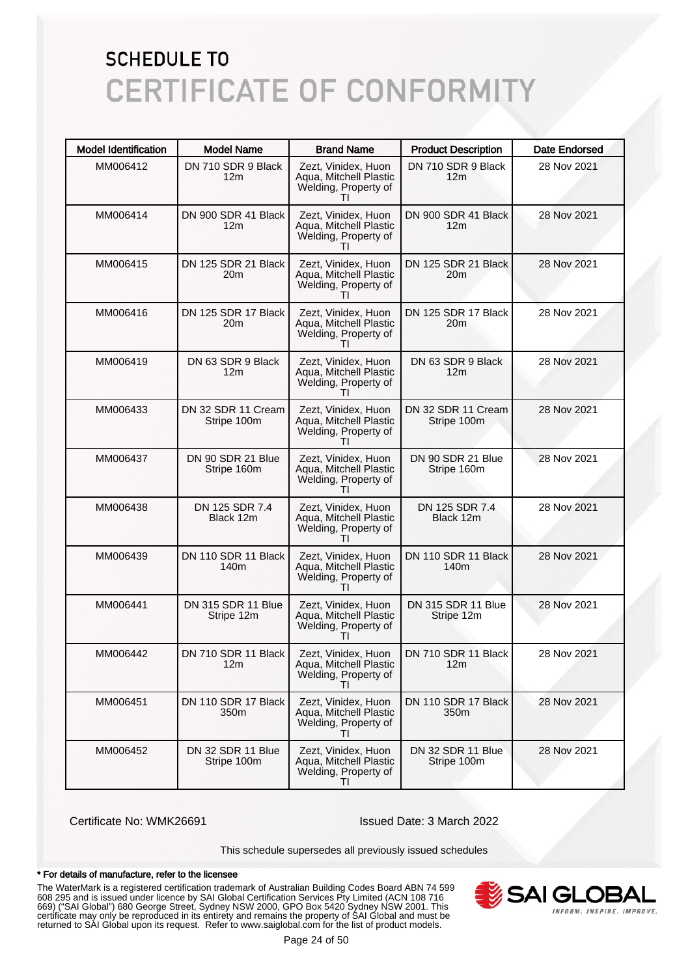| <b>Model Identification</b> | <b>Model Name</b>                       | <b>Brand Name</b>                                                           | <b>Product Description</b>              | Date Endorsed |
|-----------------------------|-----------------------------------------|-----------------------------------------------------------------------------|-----------------------------------------|---------------|
| MM006412                    | DN 710 SDR 9 Black<br>12m               | Zezt, Vinidex, Huon<br>Aqua, Mitchell Plastic<br>Welding, Property of       | DN 710 SDR 9 Black<br>12 <sub>m</sub>   | 28 Nov 2021   |
| MM006414                    | DN 900 SDR 41 Black<br>12m              | Zezt, Vinidex, Huon<br>Aqua, Mitchell Plastic<br>Welding, Property of<br>Τl | DN 900 SDR 41 Black<br>12 <sub>m</sub>  | 28 Nov 2021   |
| MM006415                    | DN 125 SDR 21 Black<br>20m              | Zezt, Vinidex, Huon<br>Aqua, Mitchell Plastic<br>Welding, Property of       | DN 125 SDR 21 Black<br>20 <sub>m</sub>  | 28 Nov 2021   |
| MM006416                    | DN 125 SDR 17 Black<br>20 <sub>m</sub>  | Zezt, Vinidex, Huon<br>Aqua, Mitchell Plastic<br>Welding, Property of<br>ΤI | DN 125 SDR 17 Black<br>20 <sub>m</sub>  | 28 Nov 2021   |
| MM006419                    | DN 63 SDR 9 Black<br>12m                | Zezt, Vinidex, Huon<br>Aqua, Mitchell Plastic<br>Welding, Property of       | DN 63 SDR 9 Black<br>12m                | 28 Nov 2021   |
| MM006433                    | DN 32 SDR 11 Cream<br>Stripe 100m       | Zezt, Vinidex, Huon<br>Aqua, Mitchell Plastic<br>Welding, Property of<br>ΤI | DN 32 SDR 11 Cream<br>Stripe 100m       | 28 Nov 2021   |
| MM006437                    | DN 90 SDR 21 Blue<br>Stripe 160m        | Zezt, Vinidex, Huon<br>Aqua, Mitchell Plastic<br>Welding, Property of       | DN 90 SDR 21 Blue<br>Stripe 160m        | 28 Nov 2021   |
| MM006438                    | DN 125 SDR 7.4<br>Black 12m             | Zezt, Vinidex, Huon<br>Aqua, Mitchell Plastic<br>Welding, Property of<br>Τl | DN 125 SDR 7.4<br>Black 12m             | 28 Nov 2021   |
| MM006439                    | DN 110 SDR 11 Black<br>140 <sub>m</sub> | Zezt, Vinidex, Huon<br>Aqua, Mitchell Plastic<br>Welding, Property of<br>Τl | DN 110 SDR 11 Black<br>140 <sub>m</sub> | 28 Nov 2021   |
| MM006441                    | DN 315 SDR 11 Blue<br>Stripe 12m        | Zezt, Vinidex, Huon<br>Aqua, Mitchell Plastic<br>Welding, Property of       | DN 315 SDR 11 Blue<br>Stripe 12m        | 28 Nov 2021   |
| MM006442                    | DN 710 SDR 11 Black I<br>12m            | Zezt, Vinidex, Huon<br>Aqua, Mitchell Plastic<br>Welding, Property of<br>Τl | DN 710 SDR 11 Black<br>12m              | 28 Nov 2021   |
| MM006451                    | DN 110 SDR 17 Black<br>350m             | Zezt, Vinidex, Huon<br>Aqua, Mitchell Plastic<br>Welding, Property of       | DN 110 SDR 17 Black<br>350m             | 28 Nov 2021   |
| MM006452                    | DN 32 SDR 11 Blue<br>Stripe 100m        | Zezt, Vinidex, Huon<br>Aqua, Mitchell Plastic<br>Welding, Property of<br>ΤI | DN 32 SDR 11 Blue<br>Stripe 100m        | 28 Nov 2021   |

Certificate No: WMK26691 Issued Date: 3 March 2022

This schedule supersedes all previously issued schedules

#### \* For details of manufacture, refer to the licensee

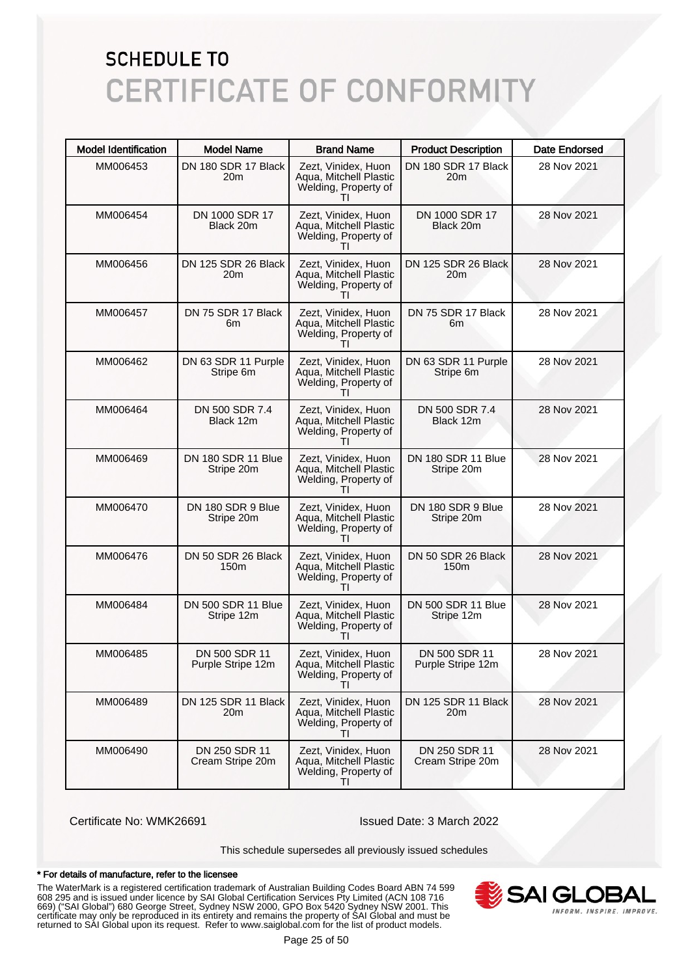| <b>Model Identification</b> | <b>Model Name</b>                      | <b>Brand Name</b>                                                                     | <b>Product Description</b>             | <b>Date Endorsed</b> |
|-----------------------------|----------------------------------------|---------------------------------------------------------------------------------------|----------------------------------------|----------------------|
| MM006453                    | DN 180 SDR 17 Black<br>20m             | Zezt, Vinidex, Huon<br>Aqua, Mitchell Plastic<br>Welding, Property of                 | DN 180 SDR 17 Black<br>20 <sub>m</sub> | 28 Nov 2021          |
| MM006454                    | DN 1000 SDR 17<br>Black 20m            | Zezt, Vinidex, Huon<br>Aqua, Mitchell Plastic<br>Welding, Property of<br>$\mathbf{H}$ | DN 1000 SDR 17<br>Black 20m            | 28 Nov 2021          |
| MM006456                    | DN 125 SDR 26 Black<br>20m             | Zezt, Vinidex, Huon<br>Aqua, Mitchell Plastic<br>Welding, Property of                 | DN 125 SDR 26 Black<br>20 <sub>m</sub> | 28 Nov 2021          |
| MM006457                    | DN 75 SDR 17 Black<br>6m               | Zezt, Vinidex, Huon<br>Aqua, Mitchell Plastic<br>Welding, Property of<br>Τl           | DN 75 SDR 17 Black<br>6m               | 28 Nov 2021          |
| MM006462                    | DN 63 SDR 11 Purple<br>Stripe 6m       | Zezt, Vinidex, Huon<br>Aqua, Mitchell Plastic<br>Welding, Property of                 | DN 63 SDR 11 Purple<br>Stripe 6m       | 28 Nov 2021          |
| MM006464                    | DN 500 SDR 7.4<br>Black 12m            | Zezt, Vinidex, Huon<br>Aqua, Mitchell Plastic<br>Welding, Property of<br>ΤI           | DN 500 SDR 7.4<br>Black 12m            | 28 Nov 2021          |
| MM006469                    | DN 180 SDR 11 Blue<br>Stripe 20m       | Zezt, Vinidex, Huon<br>Aqua, Mitchell Plastic<br>Welding, Property of<br>$\mathbf{H}$ | DN 180 SDR 11 Blue<br>Stripe 20m       | 28 Nov 2021          |
| MM006470                    | DN 180 SDR 9 Blue<br>Stripe 20m        | Zezt, Vinidex, Huon<br>Aqua, Mitchell Plastic<br>Welding, Property of<br>ΤI           | DN 180 SDR 9 Blue<br>Stripe 20m        | 28 Nov 2021          |
| MM006476                    | DN 50 SDR 26 Black<br>150 <sub>m</sub> | Zezt, Vinidex, Huon<br>Aqua, Mitchell Plastic<br>Welding, Property of<br>Τl           | DN 50 SDR 26 Black<br>150 <sub>m</sub> | 28 Nov 2021          |
| MM006484                    | DN 500 SDR 11 Blue<br>Stripe 12m       | Zezt, Vinidex, Huon<br>Aqua, Mitchell Plastic<br>Welding, Property of<br>$\mathbf{H}$ | DN 500 SDR 11 Blue<br>Stripe 12m       | 28 Nov 2021          |
| MM006485                    | DN 500 SDR 11<br>Purple Stripe 12m     | Zezt, Vinidex, Huon<br>Aqua, Mitchell Plastic<br>Welding, Property of<br>ΤI           | DN 500 SDR 11<br>Purple Stripe 12m     | 28 Nov 2021          |
| MM006489                    | DN 125 SDR 11 Black<br>20m             | Zezt, Vinidex, Huon<br>Aqua, Mitchell Plastic<br>Welding, Property of<br>$\mathbf{H}$ | DN 125 SDR 11 Black<br>20m             | 28 Nov 2021          |
| MM006490                    | DN 250 SDR 11<br>Cream Stripe 20m      | Zezt, Vinidex, Huon<br>Aqua, Mitchell Plastic<br>Welding, Property of<br>ΤI           | DN 250 SDR 11<br>Cream Stripe 20m      | 28 Nov 2021          |

Certificate No: WMK26691 Issued Date: 3 March 2022

This schedule supersedes all previously issued schedules

#### \* For details of manufacture, refer to the licensee

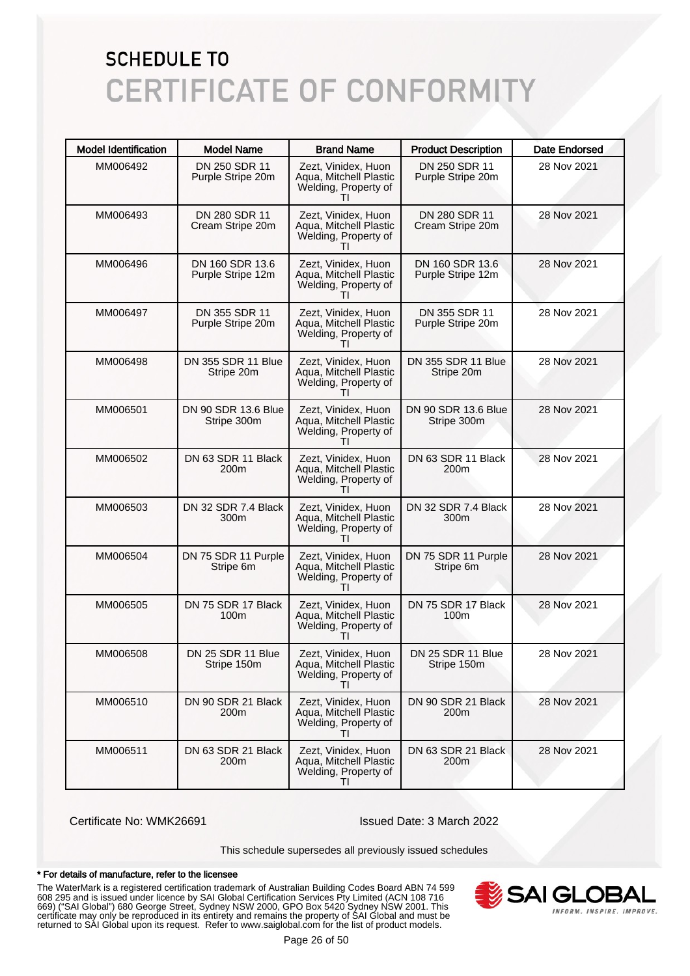| <b>Model Identification</b> | <b>Model Name</b>                      | <b>Brand Name</b>                                                                     | <b>Product Description</b>           | <b>Date Endorsed</b> |
|-----------------------------|----------------------------------------|---------------------------------------------------------------------------------------|--------------------------------------|----------------------|
| MM006492                    | DN 250 SDR 11<br>Purple Stripe 20m     | Zezt, Vinidex, Huon<br>Aqua, Mitchell Plastic<br>Welding, Property of                 | DN 250 SDR 11<br>Purple Stripe 20m   | 28 Nov 2021          |
| MM006493                    | DN 280 SDR 11<br>Cream Stripe 20m      | Zezt, Vinidex, Huon<br>Aqua, Mitchell Plastic<br>Welding, Property of                 | DN 280 SDR 11<br>Cream Stripe 20m    | 28 Nov 2021          |
| MM006496                    | DN 160 SDR 13.6<br>Purple Stripe 12m   | Zezt, Vinidex, Huon<br>Aqua, Mitchell Plastic<br>Welding, Property of                 | DN 160 SDR 13.6<br>Purple Stripe 12m | 28 Nov 2021          |
| MM006497                    | DN 355 SDR 11<br>Purple Stripe 20m     | Zezt, Vinidex, Huon<br>Aqua, Mitchell Plastic<br>Welding, Property of<br>$\mathbf{H}$ | DN 355 SDR 11<br>Purple Stripe 20m   | 28 Nov 2021          |
| MM006498                    | DN 355 SDR 11 Blue<br>Stripe 20m       | Zezt, Vinidex, Huon<br>Aqua, Mitchell Plastic<br>Welding, Property of                 | DN 355 SDR 11 Blue<br>Stripe 20m     | 28 Nov 2021          |
| MM006501                    | DN 90 SDR 13.6 Blue<br>Stripe 300m     | Zezt, Vinidex, Huon<br>Aqua, Mitchell Plastic<br>Welding, Property of                 | DN 90 SDR 13.6 Blue<br>Stripe 300m   | 28 Nov 2021          |
| MM006502                    | DN 63 SDR 11 Black<br>200m             | Zezt, Vinidex, Huon<br>Aqua, Mitchell Plastic<br>Welding, Property of                 | DN 63 SDR 11 Black<br>200m           | 28 Nov 2021          |
| MM006503                    | DN 32 SDR 7.4 Black<br>300m            | Zezt, Vinidex, Huon<br>Aqua, Mitchell Plastic<br>Welding, Property of<br>$\mathbf{H}$ | DN 32 SDR 7.4 Black<br>300m          | 28 Nov 2021          |
| MM006504                    | DN 75 SDR 11 Purple<br>Stripe 6m       | Zezt, Vinidex, Huon<br>Aqua, Mitchell Plastic<br>Welding, Property of                 | DN 75 SDR 11 Purple<br>Stripe 6m     | 28 Nov 2021          |
| MM006505                    | DN 75 SDR 17 Black<br>100m             | Zezt, Vinidex, Huon<br>Aqua, Mitchell Plastic<br>Welding, Property of                 | DN 75 SDR 17 Black<br>100m           | 28 Nov 2021          |
| MM006508                    | DN 25 SDR 11 Blue<br>Stripe 150m       | Zezt. Vinidex. Huon<br>Aqua, Mitchell Plastic<br>Welding, Property of<br>Τl           | DN 25 SDR 11 Blue<br>Stripe 150m     | 28 Nov 2021          |
| MM006510                    | DN 90 SDR 21 Black<br>200m             | Zezt, Vinidex, Huon<br>Aqua, Mitchell Plastic<br>Welding, Property of                 | DN 90 SDR 21 Black<br>200m           | 28 Nov 2021          |
| MM006511                    | DN 63 SDR 21 Black<br>200 <sub>m</sub> | Zezt, Vinidex, Huon<br>Agua, Mitchell Plastic<br>Welding, Property of<br>ΤI           | DN 63 SDR 21 Black<br>200m           | 28 Nov 2021          |

Certificate No: WMK26691 Issued Date: 3 March 2022

This schedule supersedes all previously issued schedules

#### \* For details of manufacture, refer to the licensee

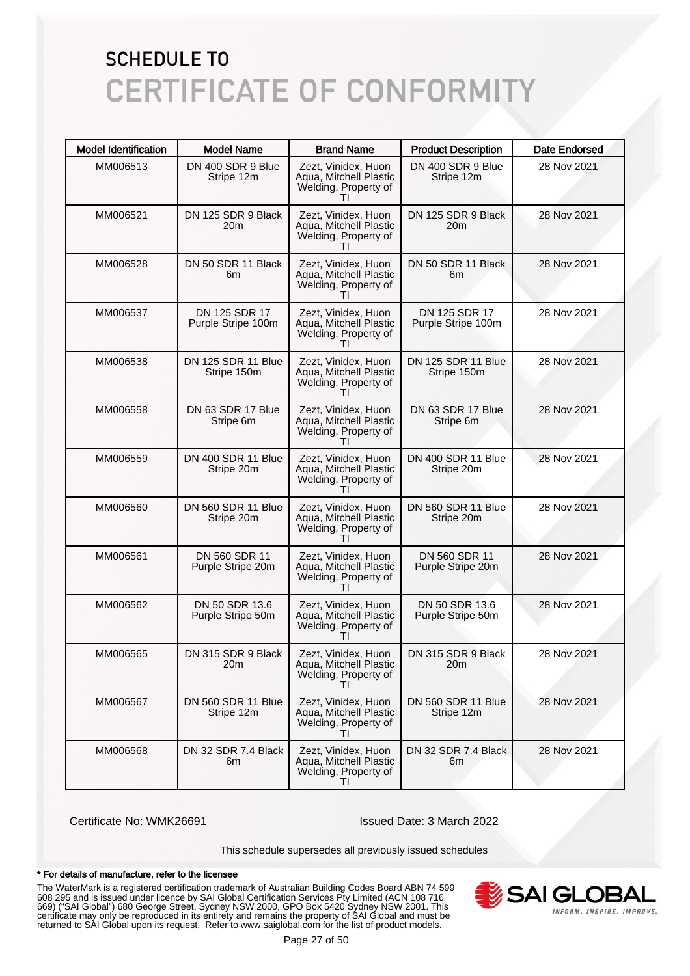| <b>Model Identification</b> | <b>Model Name</b>                   | <b>Brand Name</b>                                                                     | <b>Product Description</b>              | <b>Date Endorsed</b> |
|-----------------------------|-------------------------------------|---------------------------------------------------------------------------------------|-----------------------------------------|----------------------|
| MM006513                    | DN 400 SDR 9 Blue<br>Stripe 12m     | Zezt, Vinidex, Huon<br>Aqua, Mitchell Plastic<br>Welding, Property of                 | DN 400 SDR 9 Blue<br>Stripe 12m         | 28 Nov 2021          |
| MM006521                    | DN 125 SDR 9 Black<br>20m           | Zezt, Vinidex, Huon<br>Aqua, Mitchell Plastic<br>Welding, Property of                 | DN 125 SDR 9 Black<br>20 <sub>m</sub>   | 28 Nov 2021          |
| MM006528                    | DN 50 SDR 11 Black<br>6m            | Zezt, Vinidex, Huon<br>Aqua, Mitchell Plastic<br>Welding, Property of                 | DN 50 SDR 11 Black<br>6m                | 28 Nov 2021          |
| MM006537                    | DN 125 SDR 17<br>Purple Stripe 100m | Zezt, Vinidex, Huon<br>Aqua, Mitchell Plastic<br>Welding, Property of<br>$\mathbf{H}$ | DN 125 SDR 17<br>Purple Stripe 100m     | 28 Nov 2021          |
| MM006538                    | DN 125 SDR 11 Blue<br>Stripe 150m   | Zezt, Vinidex, Huon<br>Aqua, Mitchell Plastic<br>Welding, Property of                 | DN 125 SDR 11 Blue<br>Stripe 150m       | 28 Nov 2021          |
| MM006558                    | DN 63 SDR 17 Blue<br>Stripe 6m      | Zezt, Vinidex, Huon<br>Aqua, Mitchell Plastic<br>Welding, Property of                 | DN 63 SDR 17 Blue<br>Stripe 6m          | 28 Nov 2021          |
| MM006559                    | DN 400 SDR 11 Blue<br>Stripe 20m    | Zezt, Vinidex, Huon<br>Aqua, Mitchell Plastic<br>Welding, Property of                 | DN 400 SDR 11 Blue<br>Stripe 20m        | 28 Nov 2021          |
| MM006560                    | DN 560 SDR 11 Blue<br>Stripe 20m    | Zezt, Vinidex, Huon<br>Aqua, Mitchell Plastic<br>Welding, Property of<br>$\mathbf{H}$ | DN 560 SDR 11 Blue<br>Stripe 20m        | 28 Nov 2021          |
| MM006561                    | DN 560 SDR 11<br>Purple Stripe 20m  | Zezt, Vinidex, Huon<br>Aqua, Mitchell Plastic<br>Welding, Property of                 | DN 560 SDR 11<br>Purple Stripe 20m      | 28 Nov 2021          |
| MM006562                    | DN 50 SDR 13.6<br>Purple Stripe 50m | Zezt, Vinidex, Huon<br>Aqua, Mitchell Plastic<br>Welding, Property of                 | DN 50 SDR 13.6<br>Purple Stripe 50m     | 28 Nov 2021          |
| MM006565                    | DN 315 SDR 9 Black<br>20m           | Zezt. Vinidex. Huon<br>Aqua, Mitchell Plastic<br>Welding, Property of<br>Τl           | DN 315 SDR 9 Black<br>20m               | 28 Nov 2021          |
| MM006567                    | DN 560 SDR 11 Blue<br>Stripe 12m    | Zezt, Vinidex, Huon<br>Aqua, Mitchell Plastic<br>Welding, Property of                 | <b>DN 560 SDR 11 Blue</b><br>Stripe 12m | 28 Nov 2021          |
| MM006568                    | DN 32 SDR 7.4 Black<br>6m           | Zezt, Vinidex, Huon<br>Aqua, Mitchell Plastic<br>Welding, Property of<br>ΤI           | DN 32 SDR 7.4 Black<br>6m               | 28 Nov 2021          |

Certificate No: WMK26691 Issued Date: 3 March 2022

This schedule supersedes all previously issued schedules

#### \* For details of manufacture, refer to the licensee

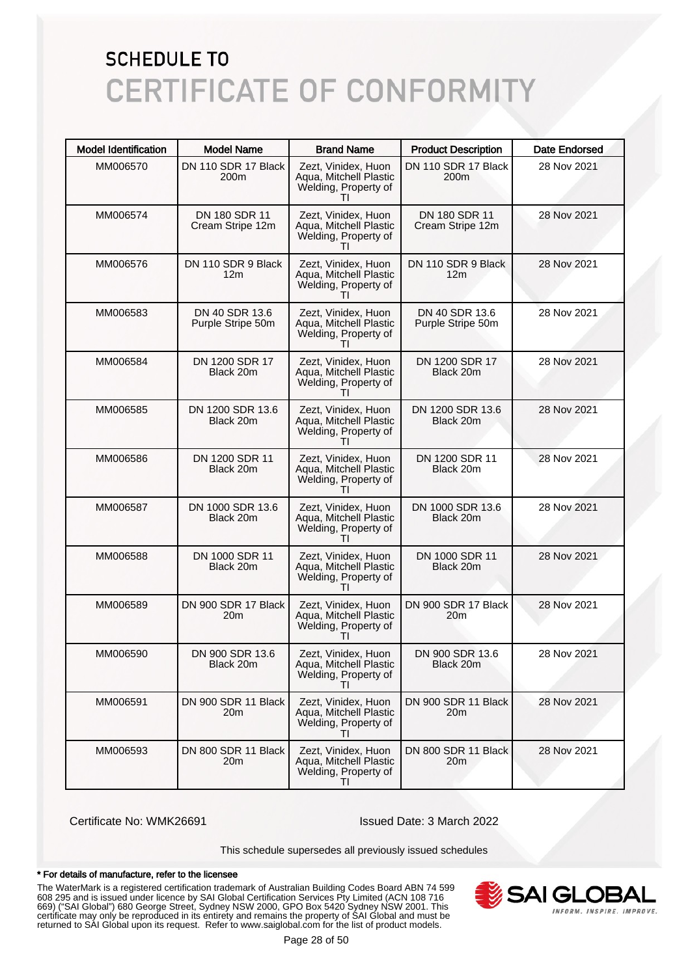| <b>Model Identification</b> | <b>Model Name</b>                     | <b>Brand Name</b>                                                                     | <b>Product Description</b>              | <b>Date Endorsed</b> |
|-----------------------------|---------------------------------------|---------------------------------------------------------------------------------------|-----------------------------------------|----------------------|
| MM006570                    | DN 110 SDR 17 Black<br>200m           | Zezt, Vinidex, Huon<br>Aqua, Mitchell Plastic<br>Welding, Property of                 | DN 110 SDR 17 Black<br>200 <sub>m</sub> | 28 Nov 2021          |
| MM006574                    | DN 180 SDR 11<br>Cream Stripe 12m     | Zezt, Vinidex, Huon<br>Aqua, Mitchell Plastic<br>Welding, Property of                 | DN 180 SDR 11<br>Cream Stripe 12m       | 28 Nov 2021          |
| MM006576                    | DN 110 SDR 9 Black<br>12 <sub>m</sub> | Zezt, Vinidex, Huon<br>Aqua, Mitchell Plastic<br>Welding, Property of                 | DN 110 SDR 9 Black<br>12 <sub>m</sub>   | 28 Nov 2021          |
| MM006583                    | DN 40 SDR 13.6<br>Purple Stripe 50m   | Zezt, Vinidex, Huon<br>Aqua, Mitchell Plastic<br>Welding, Property of                 | DN 40 SDR 13.6<br>Purple Stripe 50m     | 28 Nov 2021          |
| MM006584                    | DN 1200 SDR 17<br>Black 20m           | Zezt, Vinidex, Huon<br>Aqua, Mitchell Plastic<br>Welding, Property of                 | DN 1200 SDR 17<br>Black 20m             | 28 Nov 2021          |
| MM006585                    | DN 1200 SDR 13.6<br>Black 20m         | Zezt, Vinidex, Huon<br>Aqua, Mitchell Plastic<br>Welding, Property of<br>Τl           | DN 1200 SDR 13.6<br>Black 20m           | 28 Nov 2021          |
| MM006586                    | DN 1200 SDR 11<br>Black 20m           | Zezt, Vinidex, Huon<br>Aqua, Mitchell Plastic<br>Welding, Property of                 | DN 1200 SDR 11<br>Black 20m             | 28 Nov 2021          |
| MM006587                    | DN 1000 SDR 13.6<br>Black 20m         | Zezt, Vinidex, Huon<br>Aqua, Mitchell Plastic<br>Welding, Property of<br>$\mathbf{H}$ | DN 1000 SDR 13.6<br>Black 20m           | 28 Nov 2021          |
| MM006588                    | DN 1000 SDR 11<br>Black 20m           | Zezt, Vinidex, Huon<br>Aqua, Mitchell Plastic<br>Welding, Property of                 | DN 1000 SDR 11<br>Black 20m             | 28 Nov 2021          |
| MM006589                    | DN 900 SDR 17 Black<br>20m            | Zezt, Vinidex, Huon<br>Aqua, Mitchell Plastic<br>Welding, Property of                 | DN 900 SDR 17 Black<br>20m              | 28 Nov 2021          |
| MM006590                    | DN 900 SDR 13.6<br>Black 20m          | Zezt, Vinidex, Huon<br>Aqua, Mitchell Plastic<br>Welding, Property of<br>ΤI           | DN 900 SDR 13.6<br>Black 20m            | 28 Nov 2021          |
| MM006591                    | DN 900 SDR 11 Black<br>20m            | Zezt, Vinidex, Huon<br>Aqua, Mitchell Plastic<br>Welding, Property of<br>Τl           | DN 900 SDR 11 Black<br>20m              | 28 Nov 2021          |
| MM006593                    | DN 800 SDR 11 Black<br>20m            | Zezt, Vinidex, Huon<br>Aqua, Mitchell Plastic<br>Welding, Property of<br>ΤI           | DN 800 SDR 11 Black<br>20 <sub>m</sub>  | 28 Nov 2021          |

Certificate No: WMK26691 Issued Date: 3 March 2022

This schedule supersedes all previously issued schedules

#### \* For details of manufacture, refer to the licensee

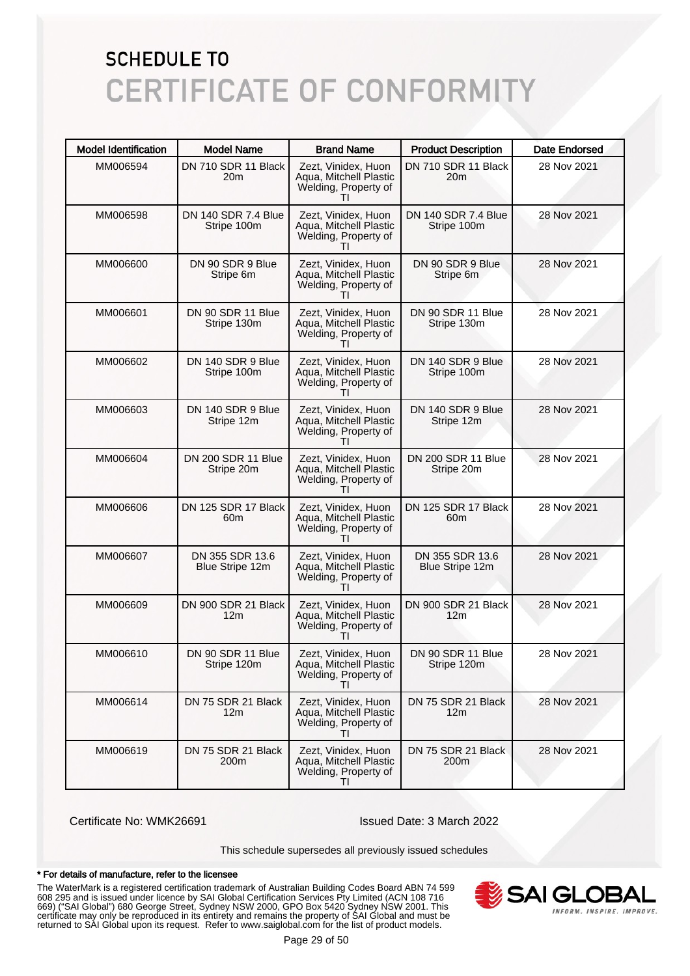| <b>Model Identification</b> | <b>Model Name</b>                      | <b>Brand Name</b>                                                           | <b>Product Description</b>             | <b>Date Endorsed</b> |
|-----------------------------|----------------------------------------|-----------------------------------------------------------------------------|----------------------------------------|----------------------|
| MM006594                    | DN 710 SDR 11 Black<br>20m             | Zezt, Vinidex, Huon<br>Aqua, Mitchell Plastic<br>Welding, Property of       | DN 710 SDR 11 Black<br>20 <sub>m</sub> | 28 Nov 2021          |
| MM006598                    | DN 140 SDR 7.4 Blue<br>Stripe 100m     | Zezt, Vinidex, Huon<br>Aqua, Mitchell Plastic<br>Welding, Property of       | DN 140 SDR 7.4 Blue<br>Stripe 100m     | 28 Nov 2021          |
| MM006600                    | DN 90 SDR 9 Blue<br>Stripe 6m          | Zezt, Vinidex, Huon<br>Aqua, Mitchell Plastic<br>Welding, Property of       | DN 90 SDR 9 Blue<br>Stripe 6m          | 28 Nov 2021          |
| MM006601                    | DN 90 SDR 11 Blue<br>Stripe 130m       | Zezt, Vinidex, Huon<br>Aqua, Mitchell Plastic<br>Welding, Property of<br>Τl | DN 90 SDR 11 Blue<br>Stripe 130m       | 28 Nov 2021          |
| MM006602                    | DN 140 SDR 9 Blue<br>Stripe 100m       | Zezt, Vinidex, Huon<br>Aqua, Mitchell Plastic<br>Welding, Property of       | DN 140 SDR 9 Blue<br>Stripe 100m       | 28 Nov 2021          |
| MM006603                    | DN 140 SDR 9 Blue<br>Stripe 12m        | Zezt, Vinidex, Huon<br>Aqua, Mitchell Plastic<br>Welding, Property of<br>Τl | DN 140 SDR 9 Blue<br>Stripe 12m        | 28 Nov 2021          |
| MM006604                    | DN 200 SDR 11 Blue<br>Stripe 20m       | Zezt, Vinidex, Huon<br>Aqua, Mitchell Plastic<br>Welding, Property of       | DN 200 SDR 11 Blue<br>Stripe 20m       | 28 Nov 2021          |
| MM006606                    | DN 125 SDR 17 Black<br>60 <sub>m</sub> | Zezt, Vinidex, Huon<br>Aqua, Mitchell Plastic<br>Welding, Property of<br>Τl | DN 125 SDR 17 Black<br>60m             | 28 Nov 2021          |
| MM006607                    | DN 355 SDR 13.6<br>Blue Stripe 12m     | Zezt, Vinidex, Huon<br>Aqua, Mitchell Plastic<br>Welding, Property of       | DN 355 SDR 13.6<br>Blue Stripe 12m     | 28 Nov 2021          |
| MM006609                    | DN 900 SDR 21 Black<br>12m             | Zezt, Vinidex, Huon<br>Aqua, Mitchell Plastic<br>Welding, Property of       | DN 900 SDR 21 Black<br>12 <sub>m</sub> | 28 Nov 2021          |
| MM006610                    | DN 90 SDR 11 Blue<br>Stripe 120m       | Zezt, Vinidex, Huon<br>Aqua, Mitchell Plastic<br>Welding, Property of<br>ΤI | DN 90 SDR 11 Blue<br>Stripe 120m       | 28 Nov 2021          |
| MM006614                    | DN 75 SDR 21 Black<br>12m              | Zezt. Vinidex. Huon<br>Aqua, Mitchell Plastic<br>Welding, Property of       | DN 75 SDR 21 Black<br>12 <sub>m</sub>  | 28 Nov 2021          |
| MM006619                    | DN 75 SDR 21 Black<br>200 <sub>m</sub> | Zezt, Vinidex, Huon<br>Aqua, Mitchell Plastic<br>Welding, Property of<br>ΤI | DN 75 SDR 21 Black<br>200m             | 28 Nov 2021          |

Certificate No: WMK26691 Issued Date: 3 March 2022

This schedule supersedes all previously issued schedules

#### \* For details of manufacture, refer to the licensee

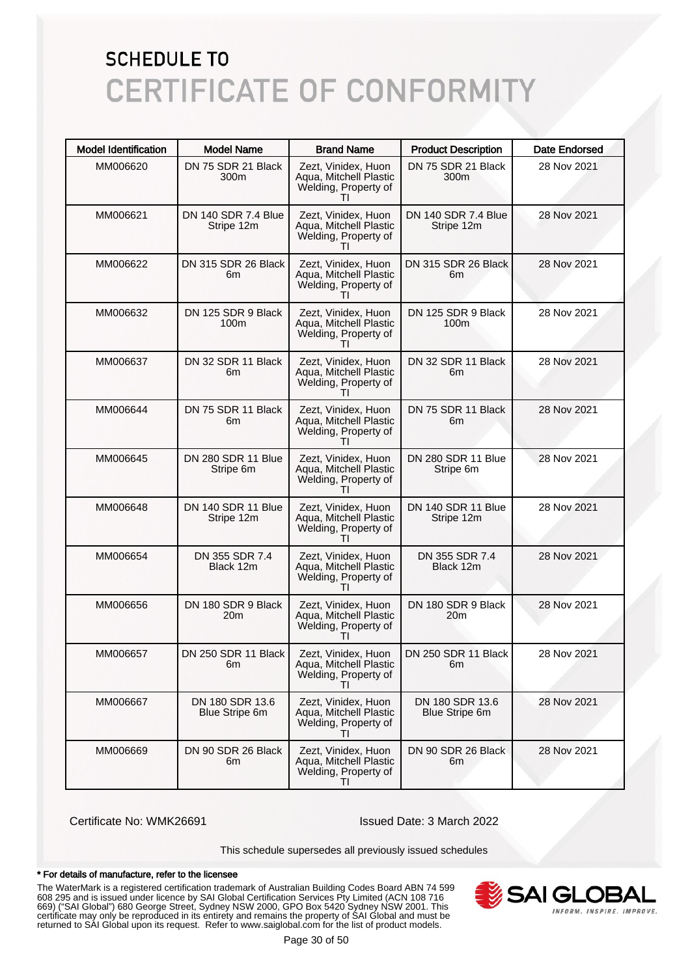| <b>Model Identification</b> | <b>Model Name</b>                        | <b>Brand Name</b>                                                                     | <b>Product Description</b>             | <b>Date Endorsed</b> |
|-----------------------------|------------------------------------------|---------------------------------------------------------------------------------------|----------------------------------------|----------------------|
| MM006620                    | DN 75 SDR 21 Black<br>300m               | Zezt, Vinidex, Huon<br>Aqua, Mitchell Plastic<br>Welding, Property of                 | DN 75 SDR 21 Black<br>300 <sub>m</sub> | 28 Nov 2021          |
| MM006621                    | DN 140 SDR 7.4 Blue<br>Stripe 12m        | Zezt, Vinidex, Huon<br>Aqua, Mitchell Plastic<br>Welding, Property of                 | DN 140 SDR 7.4 Blue<br>Stripe 12m      | 28 Nov 2021          |
| MM006622                    | DN 315 SDR 26 Black<br>6m                | Zezt, Vinidex, Huon<br>Aqua, Mitchell Plastic<br>Welding, Property of                 | DN 315 SDR 26 Black<br>6m              | 28 Nov 2021          |
| MM006632                    | DN 125 SDR 9 Black<br>100 <sub>m</sub>   | Zezt, Vinidex, Huon<br>Aqua, Mitchell Plastic<br>Welding, Property of<br>Τl           | DN 125 SDR 9 Black<br>100 <sub>m</sub> | 28 Nov 2021          |
| MM006637                    | DN 32 SDR 11 Black<br>6m                 | Zezt, Vinidex, Huon<br>Aqua, Mitchell Plastic<br>Welding, Property of                 | DN 32 SDR 11 Black<br>6m               | 28 Nov 2021          |
| MM006644                    | DN 75 SDR 11 Black<br>6m                 | Zezt, Vinidex, Huon<br>Aqua, Mitchell Plastic<br>Welding, Property of<br>Τl           | DN 75 SDR 11 Black<br>6m               | 28 Nov 2021          |
| MM006645                    | DN 280 SDR 11 Blue<br>Stripe 6m          | Zezt, Vinidex, Huon<br>Aqua, Mitchell Plastic<br>Welding, Property of                 | DN 280 SDR 11 Blue<br>Stripe 6m        | 28 Nov 2021          |
| MM006648                    | DN 140 SDR 11 Blue<br>Stripe 12m         | Zezt, Vinidex, Huon<br>Aqua, Mitchell Plastic<br>Welding, Property of<br>Τl           | DN 140 SDR 11 Blue<br>Stripe 12m       | 28 Nov 2021          |
| MM006654                    | DN 355 SDR 7.4<br>Black 12m              | Zezt, Vinidex, Huon<br>Aqua, Mitchell Plastic<br>Welding, Property of<br>$\mathbf{H}$ | DN 355 SDR 7.4<br>Black 12m            | 28 Nov 2021          |
| MM006656                    | DN 180 SDR 9 Black<br>20m                | Zezt, Vinidex, Huon<br>Aqua, Mitchell Plastic<br>Welding, Property of                 | DN 180 SDR 9 Black<br>20m              | 28 Nov 2021          |
| MM006657                    | DN 250 SDR 11 Black I<br>6m              | Zezt, Vinidex, Huon<br>Aqua, Mitchell Plastic<br>Welding, Property of<br>Τl           | DN 250 SDR 11 Black<br>6m              | 28 Nov 2021          |
| MM006667                    | DN 180 SDR 13.6<br><b>Blue Stripe 6m</b> | Zezt. Vinidex. Huon<br>Aqua, Mitchell Plastic<br>Welding, Property of                 | DN 180 SDR 13.6<br>Blue Stripe 6m      | 28 Nov 2021          |
| MM006669                    | DN 90 SDR 26 Black<br>6m                 | Zezt, Vinidex, Huon<br>Aqua, Mitchell Plastic<br>Welding, Property of<br>ΤI           | DN 90 SDR 26 Black<br>6m               | 28 Nov 2021          |

Certificate No: WMK26691 Issued Date: 3 March 2022

This schedule supersedes all previously issued schedules

#### \* For details of manufacture, refer to the licensee

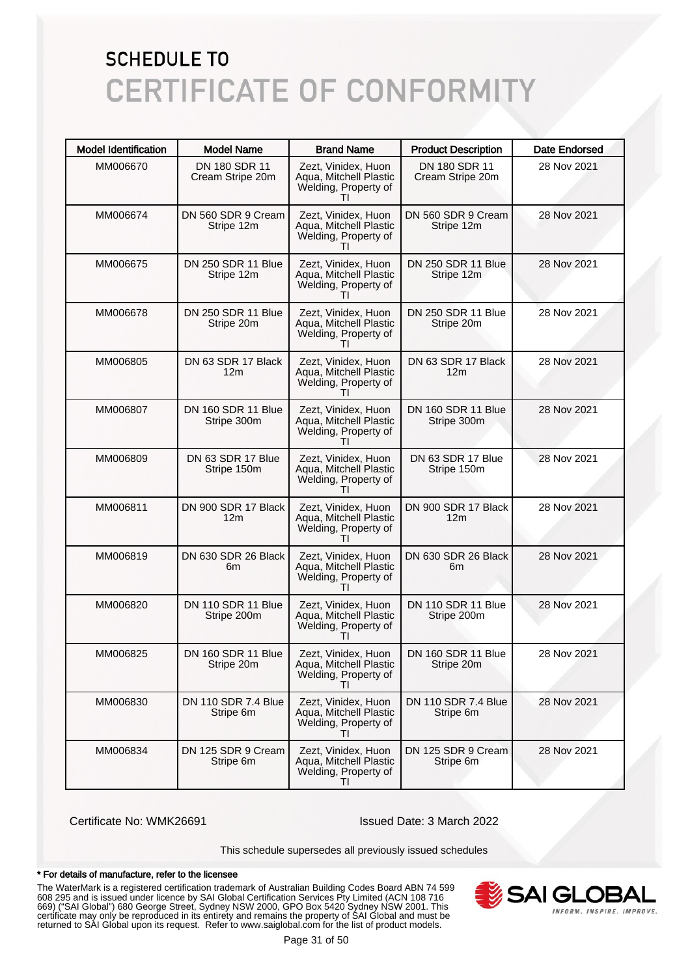| <b>Model Identification</b> | <b>Model Name</b>                 | <b>Brand Name</b>                                                                     | <b>Product Description</b>             | Date Endorsed |
|-----------------------------|-----------------------------------|---------------------------------------------------------------------------------------|----------------------------------------|---------------|
| MM006670                    | DN 180 SDR 11<br>Cream Stripe 20m | Zezt, Vinidex, Huon<br>Aqua, Mitchell Plastic<br>Welding, Property of                 | DN 180 SDR 11<br>Cream Stripe 20m      | 28 Nov 2021   |
| MM006674                    | DN 560 SDR 9 Cream<br>Stripe 12m  | Zezt, Vinidex, Huon<br>Aqua, Mitchell Plastic<br>Welding, Property of                 | DN 560 SDR 9 Cream<br>Stripe 12m       | 28 Nov 2021   |
| MM006675                    | DN 250 SDR 11 Blue<br>Stripe 12m  | Zezt, Vinidex, Huon<br>Aqua, Mitchell Plastic<br>Welding, Property of                 | DN 250 SDR 11 Blue<br>Stripe 12m       | 28 Nov 2021   |
| MM006678                    | DN 250 SDR 11 Blue<br>Stripe 20m  | Zezt, Vinidex, Huon<br>Aqua, Mitchell Plastic<br>Welding, Property of<br>Τl           | DN 250 SDR 11 Blue<br>Stripe 20m       | 28 Nov 2021   |
| MM006805                    | DN 63 SDR 17 Black<br>12m         | Zezt, Vinidex, Huon<br>Aqua, Mitchell Plastic<br>Welding, Property of                 | DN 63 SDR 17 Black<br>12m              | 28 Nov 2021   |
| MM006807                    | DN 160 SDR 11 Blue<br>Stripe 300m | Zezt, Vinidex, Huon<br>Aqua, Mitchell Plastic<br>Welding, Property of<br>Τl           | DN 160 SDR 11 Blue<br>Stripe 300m      | 28 Nov 2021   |
| MM006809                    | DN 63 SDR 17 Blue<br>Stripe 150m  | Zezt, Vinidex, Huon<br>Aqua, Mitchell Plastic<br>Welding, Property of                 | DN 63 SDR 17 Blue<br>Stripe 150m       | 28 Nov 2021   |
| MM006811                    | DN 900 SDR 17 Black<br>12m        | Zezt, Vinidex, Huon<br>Aqua, Mitchell Plastic<br>Welding, Property of<br>Τl           | DN 900 SDR 17 Black<br>12 <sub>m</sub> | 28 Nov 2021   |
| MM006819                    | DN 630 SDR 26 Black<br>6m         | Zezt, Vinidex, Huon<br>Aqua, Mitchell Plastic<br>Welding, Property of<br>Τl           | DN 630 SDR 26 Black<br>6m              | 28 Nov 2021   |
| MM006820                    | DN 110 SDR 11 Blue<br>Stripe 200m | Zezt, Vinidex, Huon<br>Aqua, Mitchell Plastic<br>Welding, Property of                 | DN 110 SDR 11 Blue<br>Stripe 200m      | 28 Nov 2021   |
| MM006825                    | DN 160 SDR 11 Blue<br>Stripe 20m  | Zezt, Vinidex, Huon<br>Aqua, Mitchell Plastic<br>Welding, Property of<br>Τl           | DN 160 SDR 11 Blue<br>Stripe 20m       | 28 Nov 2021   |
| MM006830                    | DN 110 SDR 7.4 Blue<br>Stripe 6m  | Zezt, Vinidex, Huon<br>Aqua, Mitchell Plastic<br>Welding, Property of                 | DN 110 SDR 7.4 Blue<br>Stripe 6m       | 28 Nov 2021   |
| MM006834                    | DN 125 SDR 9 Cream<br>Stripe 6m   | Zezt, Vinidex, Huon<br>Aqua, Mitchell Plastic<br>Welding, Property of<br>$\mathbf{H}$ | DN 125 SDR 9 Cream<br>Stripe 6m        | 28 Nov 2021   |

Certificate No: WMK26691 Issued Date: 3 March 2022

This schedule supersedes all previously issued schedules

#### \* For details of manufacture, refer to the licensee

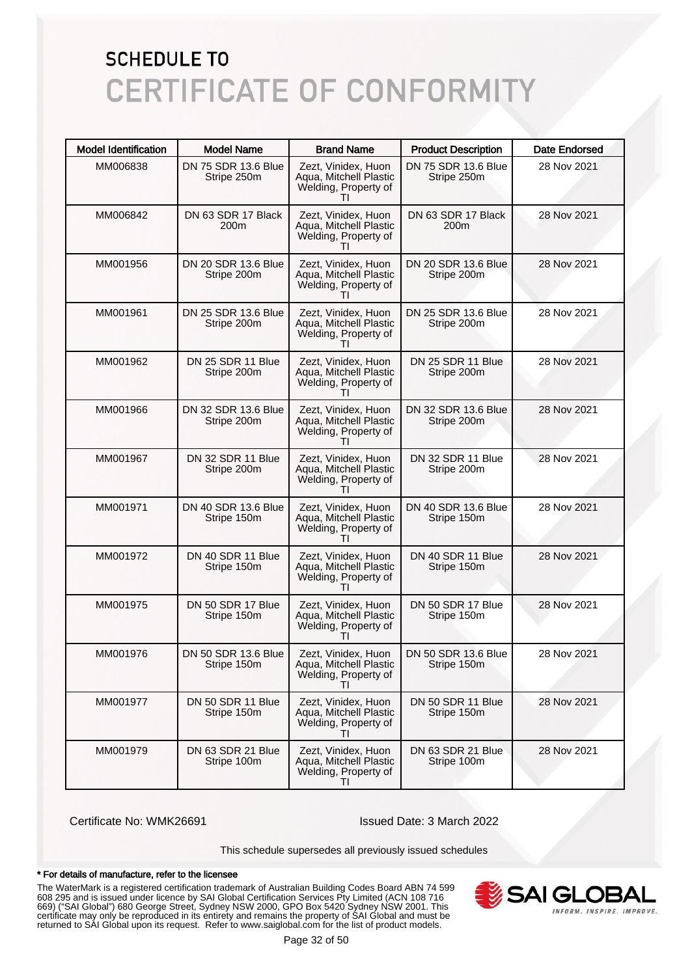| <b>Model Identification</b> | <b>Model Name</b>                  | <b>Brand Name</b>                                                                     | <b>Product Description</b>             | <b>Date Endorsed</b> |
|-----------------------------|------------------------------------|---------------------------------------------------------------------------------------|----------------------------------------|----------------------|
| MM006838                    | DN 75 SDR 13.6 Blue<br>Stripe 250m | Zezt, Vinidex, Huon<br>Aqua, Mitchell Plastic<br>Welding, Property of                 | DN 75 SDR 13.6 Blue<br>Stripe 250m     | 28 Nov 2021          |
| MM006842                    | DN 63 SDR 17 Black<br>200m         | Zezt, Vinidex, Huon<br>Aqua, Mitchell Plastic<br>Welding, Property of                 | DN 63 SDR 17 Black<br>200 <sub>m</sub> | 28 Nov 2021          |
| MM001956                    | DN 20 SDR 13.6 Blue<br>Stripe 200m | Zezt, Vinidex, Huon<br>Aqua, Mitchell Plastic<br>Welding, Property of                 | DN 20 SDR 13.6 Blue<br>Stripe 200m     | 28 Nov 2021          |
| MM001961                    | DN 25 SDR 13.6 Blue<br>Stripe 200m | Zezt, Vinidex, Huon<br>Aqua, Mitchell Plastic<br>Welding, Property of<br>Τl           | DN 25 SDR 13.6 Blue<br>Stripe 200m     | 28 Nov 2021          |
| MM001962                    | DN 25 SDR 11 Blue<br>Stripe 200m   | Zezt, Vinidex, Huon<br>Aqua, Mitchell Plastic<br>Welding, Property of                 | DN 25 SDR 11 Blue<br>Stripe 200m       | 28 Nov 2021          |
| MM001966                    | DN 32 SDR 13.6 Blue<br>Stripe 200m | Zezt, Vinidex, Huon<br>Aqua, Mitchell Plastic<br>Welding, Property of<br>Τl           | DN 32 SDR 13.6 Blue<br>Stripe 200m     | 28 Nov 2021          |
| MM001967                    | DN 32 SDR 11 Blue<br>Stripe 200m   | Zezt, Vinidex, Huon<br>Aqua, Mitchell Plastic<br>Welding, Property of                 | DN 32 SDR 11 Blue<br>Stripe 200m       | 28 Nov 2021          |
| MM001971                    | DN 40 SDR 13.6 Blue<br>Stripe 150m | Zezt, Vinidex, Huon<br>Aqua, Mitchell Plastic<br>Welding, Property of<br>Τl           | DN 40 SDR 13.6 Blue<br>Stripe 150m     | 28 Nov 2021          |
| MM001972                    | DN 40 SDR 11 Blue<br>Stripe 150m   | Zezt, Vinidex, Huon<br>Aqua, Mitchell Plastic<br>Welding, Property of                 | DN 40 SDR 11 Blue<br>Stripe 150m       | 28 Nov 2021          |
| MM001975                    | DN 50 SDR 17 Blue<br>Stripe 150m   | Zezt, Vinidex, Huon<br>Aqua, Mitchell Plastic<br>Welding, Property of                 | DN 50 SDR 17 Blue<br>Stripe 150m       | 28 Nov 2021          |
| MM001976                    | DN 50 SDR 13.6 Blue<br>Stripe 150m | Zezt, Vinidex, Huon<br>Aqua, Mitchell Plastic<br>Welding, Property of<br>Τl           | DN 50 SDR 13.6 Blue<br>Stripe 150m     | 28 Nov 2021          |
| MM001977                    | DN 50 SDR 11 Blue<br>Stripe 150m   | Zezt, Vinidex, Huon<br>Aqua, Mitchell Plastic<br>Welding, Property of                 | DN 50 SDR 11 Blue<br>Stripe 150m       | 28 Nov 2021          |
| MM001979                    | DN 63 SDR 21 Blue<br>Stripe 100m   | Zezt, Vinidex, Huon<br>Aqua, Mitchell Plastic<br>Welding, Property of<br>$\mathbf{H}$ | DN 63 SDR 21 Blue<br>Stripe 100m       | 28 Nov 2021          |

Certificate No: WMK26691 Issued Date: 3 March 2022

This schedule supersedes all previously issued schedules

#### \* For details of manufacture, refer to the licensee

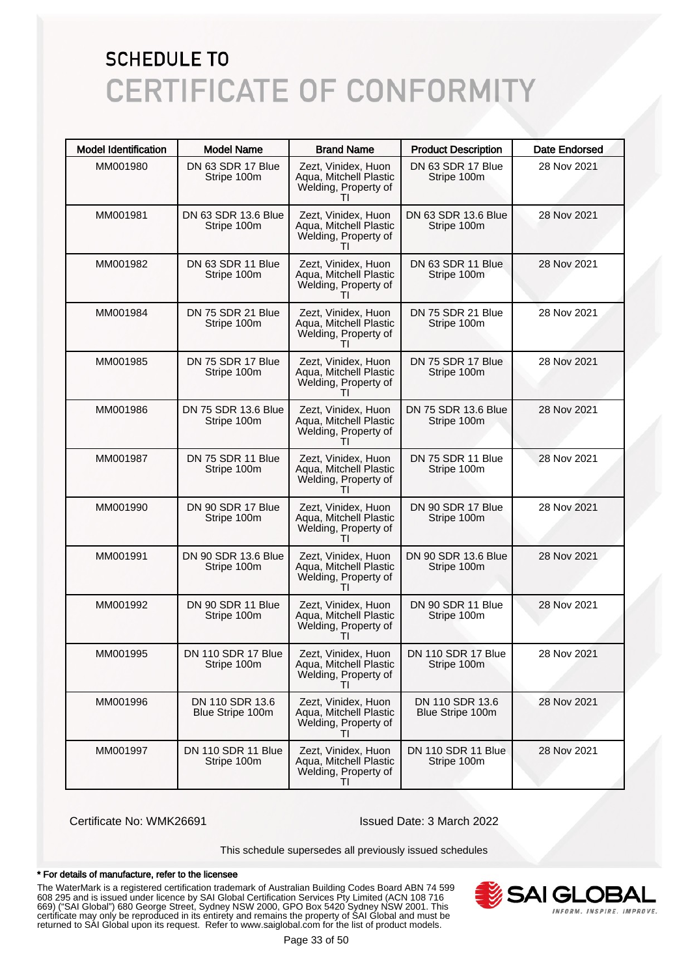| <b>Model Identification</b> | <b>Model Name</b>                        | <b>Brand Name</b>                                                                     | <b>Product Description</b>               | <b>Date Endorsed</b> |
|-----------------------------|------------------------------------------|---------------------------------------------------------------------------------------|------------------------------------------|----------------------|
| MM001980                    | DN 63 SDR 17 Blue<br>Stripe 100m         | Zezt, Vinidex, Huon<br>Aqua, Mitchell Plastic<br>Welding, Property of                 | DN 63 SDR 17 Blue<br>Stripe 100m         | 28 Nov 2021          |
| MM001981                    | DN 63 SDR 13.6 Blue<br>Stripe 100m       | Zezt, Vinidex, Huon<br>Aqua, Mitchell Plastic<br>Welding, Property of                 | DN 63 SDR 13.6 Blue<br>Stripe 100m       | 28 Nov 2021          |
| MM001982                    | DN 63 SDR 11 Blue<br>Stripe 100m         | Zezt, Vinidex, Huon<br>Aqua, Mitchell Plastic<br>Welding, Property of                 | DN 63 SDR 11 Blue<br>Stripe 100m         | 28 Nov 2021          |
| MM001984                    | DN 75 SDR 21 Blue<br>Stripe 100m         | Zezt, Vinidex, Huon<br>Aqua, Mitchell Plastic<br>Welding, Property of<br>Τl           | DN 75 SDR 21 Blue<br>Stripe 100m         | 28 Nov 2021          |
| MM001985                    | DN 75 SDR 17 Blue<br>Stripe 100m         | Zezt, Vinidex, Huon<br>Aqua, Mitchell Plastic<br>Welding, Property of                 | DN 75 SDR 17 Blue<br>Stripe 100m         | 28 Nov 2021          |
| MM001986                    | DN 75 SDR 13.6 Blue<br>Stripe 100m       | Zezt, Vinidex, Huon<br>Aqua, Mitchell Plastic<br>Welding, Property of<br>Τl           | DN 75 SDR 13.6 Blue<br>Stripe 100m       | 28 Nov 2021          |
| MM001987                    | DN 75 SDR 11 Blue<br>Stripe 100m         | Zezt, Vinidex, Huon<br>Aqua, Mitchell Plastic<br>Welding, Property of                 | DN 75 SDR 11 Blue<br>Stripe 100m         | 28 Nov 2021          |
| MM001990                    | DN 90 SDR 17 Blue<br>Stripe 100m         | Zezt, Vinidex, Huon<br>Aqua, Mitchell Plastic<br>Welding, Property of<br>Τl           | DN 90 SDR 17 Blue<br>Stripe 100m         | 28 Nov 2021          |
| MM001991                    | DN 90 SDR 13.6 Blue<br>Stripe 100m       | Zezt, Vinidex, Huon<br>Aqua, Mitchell Plastic<br>Welding, Property of<br>$\mathbf{H}$ | DN 90 SDR 13.6 Blue<br>Stripe 100m       | 28 Nov 2021          |
| MM001992                    | DN 90 SDR 11 Blue<br>Stripe 100m         | Zezt, Vinidex, Huon<br>Aqua, Mitchell Plastic<br>Welding, Property of                 | DN 90 SDR 11 Blue<br>Stripe 100m         | 28 Nov 2021          |
| MM001995                    | <b>DN 110 SDR 17 Blue</b><br>Stripe 100m | Zezt, Vinidex, Huon<br>Aqua, Mitchell Plastic<br>Welding, Property of<br>Τl           | <b>DN 110 SDR 17 Blue</b><br>Stripe 100m | 28 Nov 2021          |
| MM001996                    | DN 110 SDR 13.6<br>Blue Stripe 100m      | Zezt, Vinidex, Huon<br>Aqua, Mitchell Plastic<br>Welding, Property of                 | DN 110 SDR 13.6<br>Blue Stripe 100m      | 28 Nov 2021          |
| MM001997                    | DN 110 SDR 11 Blue<br>Stripe 100m        | Zezt, Vinidex, Huon<br>Aqua, Mitchell Plastic<br>Welding, Property of<br>$\mathbf{H}$ | DN 110 SDR 11 Blue<br>Stripe 100m        | 28 Nov 2021          |

Certificate No: WMK26691 Issued Date: 3 March 2022

This schedule supersedes all previously issued schedules

#### \* For details of manufacture, refer to the licensee

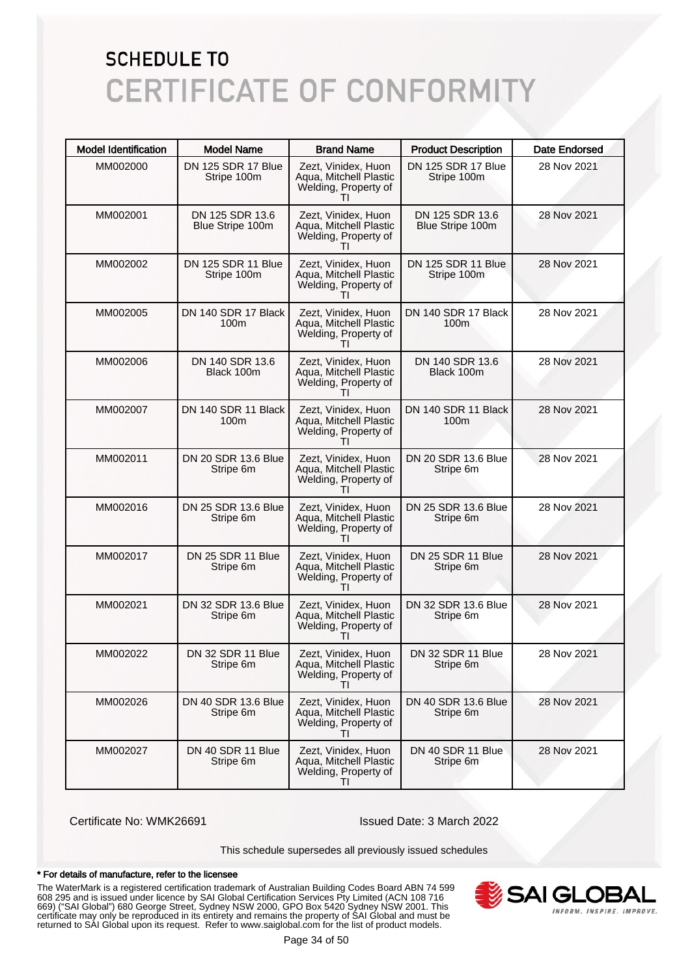| <b>Model Identification</b> | <b>Model Name</b>                       | <b>Brand Name</b>                                                                     | <b>Product Description</b>              | <b>Date Endorsed</b> |
|-----------------------------|-----------------------------------------|---------------------------------------------------------------------------------------|-----------------------------------------|----------------------|
| MM002000                    | DN 125 SDR 17 Blue<br>Stripe 100m       | Zezt, Vinidex, Huon<br>Aqua, Mitchell Plastic<br>Welding, Property of                 | DN 125 SDR 17 Blue<br>Stripe 100m       | 28 Nov 2021          |
| MM002001                    | DN 125 SDR 13.6<br>Blue Stripe 100m     | Zezt, Vinidex, Huon<br>Aqua, Mitchell Plastic<br>Welding, Property of<br>$\mathbf{H}$ | DN 125 SDR 13.6<br>Blue Stripe 100m     | 28 Nov 2021          |
| MM002002                    | DN 125 SDR 11 Blue<br>Stripe 100m       | Zezt, Vinidex, Huon<br>Aqua, Mitchell Plastic<br>Welding, Property of                 | DN 125 SDR 11 Blue<br>Stripe 100m       | 28 Nov 2021          |
| MM002005                    | DN 140 SDR 17 Black<br>100 <sub>m</sub> | Zezt, Vinidex, Huon<br>Aqua, Mitchell Plastic<br>Welding, Property of<br>Τl           | DN 140 SDR 17 Black<br>100 <sub>m</sub> | 28 Nov 2021          |
| MM002006                    | DN 140 SDR 13.6<br>Black 100m           | Zezt, Vinidex, Huon<br>Aqua, Mitchell Plastic<br>Welding, Property of                 | DN 140 SDR 13.6<br>Black 100m           | 28 Nov 2021          |
| MM002007                    | DN 140 SDR 11 Black<br>100m             | Zezt, Vinidex, Huon<br>Aqua, Mitchell Plastic<br>Welding, Property of<br>ΤI           | DN 140 SDR 11 Black<br>100 <sub>m</sub> | 28 Nov 2021          |
| MM002011                    | DN 20 SDR 13.6 Blue<br>Stripe 6m        | Zezt, Vinidex, Huon<br>Aqua, Mitchell Plastic<br>Welding, Property of<br>$\mathbf{H}$ | DN 20 SDR 13.6 Blue<br>Stripe 6m        | 28 Nov 2021          |
| MM002016                    | DN 25 SDR 13.6 Blue<br>Stripe 6m        | Zezt, Vinidex, Huon<br>Aqua, Mitchell Plastic<br>Welding, Property of<br>ΤI           | DN 25 SDR 13.6 Blue<br>Stripe 6m        | 28 Nov 2021          |
| MM002017                    | DN 25 SDR 11 Blue<br>Stripe 6m          | Zezt, Vinidex, Huon<br>Aqua, Mitchell Plastic<br>Welding, Property of<br>Τl           | DN 25 SDR 11 Blue<br>Stripe 6m          | 28 Nov 2021          |
| MM002021                    | DN 32 SDR 13.6 Blue<br>Stripe 6m        | Zezt, Vinidex, Huon<br>Aqua, Mitchell Plastic<br>Welding, Property of<br>$\mathbf{H}$ | DN 32 SDR 13.6 Blue<br>Stripe 6m        | 28 Nov 2021          |
| MM002022                    | DN 32 SDR 11 Blue<br>Stripe 6m          | Zezt, Vinidex, Huon<br>Aqua, Mitchell Plastic<br>Welding, Property of<br>ΤI           | DN 32 SDR 11 Blue<br>Stripe 6m          | 28 Nov 2021          |
| MM002026                    | DN 40 SDR 13.6 Blue<br>Stripe 6m        | Zezt, Vinidex, Huon<br>Aqua, Mitchell Plastic<br>Welding, Property of<br>$\mathbf{H}$ | DN 40 SDR 13.6 Blue<br>Stripe 6m        | 28 Nov 2021          |
| MM002027                    | DN 40 SDR 11 Blue<br>Stripe 6m          | Zezt, Vinidex, Huon<br>Aqua, Mitchell Plastic<br>Welding, Property of<br>ΤI           | DN 40 SDR 11 Blue<br>Stripe 6m          | 28 Nov 2021          |

Certificate No: WMK26691 Issued Date: 3 March 2022

This schedule supersedes all previously issued schedules

#### \* For details of manufacture, refer to the licensee

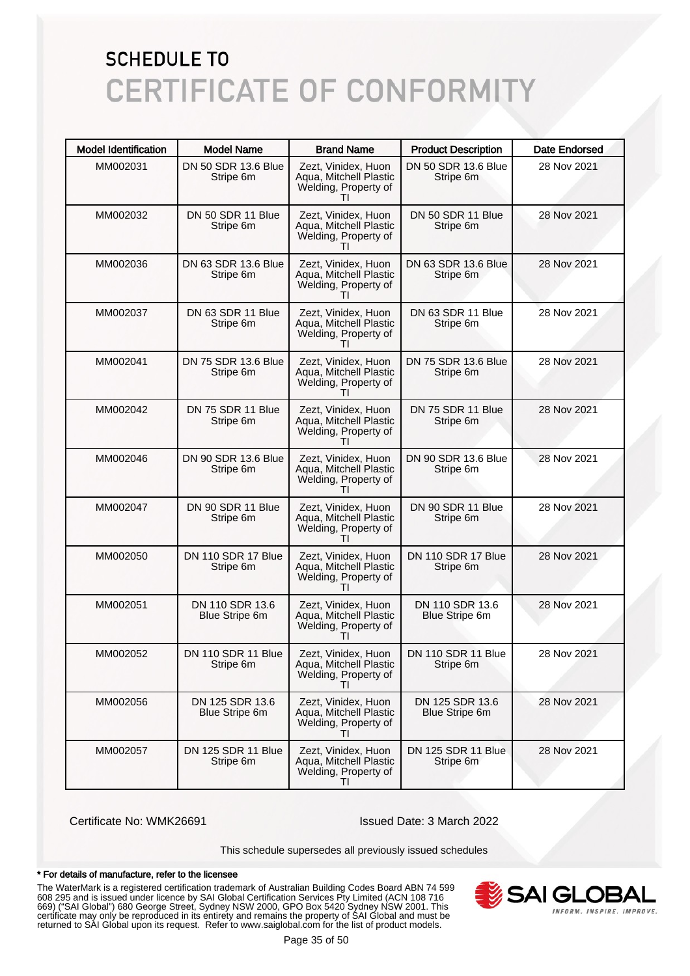| <b>Model Identification</b> | <b>Model Name</b>                        | <b>Brand Name</b>                                                                     | <b>Product Description</b>               | <b>Date Endorsed</b> |
|-----------------------------|------------------------------------------|---------------------------------------------------------------------------------------|------------------------------------------|----------------------|
| MM002031                    | DN 50 SDR 13.6 Blue<br>Stripe 6m         | Zezt, Vinidex, Huon<br>Aqua, Mitchell Plastic<br>Welding, Property of                 | DN 50 SDR 13.6 Blue<br>Stripe 6m         | 28 Nov 2021          |
| MM002032                    | DN 50 SDR 11 Blue<br>Stripe 6m           | Zezt, Vinidex, Huon<br>Aqua, Mitchell Plastic<br>Welding, Property of<br>Τl           | DN 50 SDR 11 Blue<br>Stripe 6m           | 28 Nov 2021          |
| MM002036                    | DN 63 SDR 13.6 Blue<br>Stripe 6m         | Zezt, Vinidex, Huon<br>Aqua, Mitchell Plastic<br>Welding, Property of                 | DN 63 SDR 13.6 Blue<br>Stripe 6m         | 28 Nov 2021          |
| MM002037                    | DN 63 SDR 11 Blue<br>Stripe 6m           | Zezt, Vinidex, Huon<br>Aqua, Mitchell Plastic<br>Welding, Property of<br>ΤI           | DN 63 SDR 11 Blue<br>Stripe 6m           | 28 Nov 2021          |
| MM002041                    | DN 75 SDR 13.6 Blue<br>Stripe 6m         | Zezt, Vinidex, Huon<br>Aqua, Mitchell Plastic<br>Welding, Property of                 | DN 75 SDR 13.6 Blue<br>Stripe 6m         | 28 Nov 2021          |
| MM002042                    | DN 75 SDR 11 Blue<br>Stripe 6m           | Zezt, Vinidex, Huon<br>Aqua, Mitchell Plastic<br>Welding, Property of<br>ΤI           | DN 75 SDR 11 Blue<br>Stripe 6m           | 28 Nov 2021          |
| MM002046                    | DN 90 SDR 13.6 Blue<br>Stripe 6m         | Zezt, Vinidex, Huon<br>Aqua, Mitchell Plastic<br>Welding, Property of<br>ΤI           | DN 90 SDR 13.6 Blue<br>Stripe 6m         | 28 Nov 2021          |
| MM002047                    | DN 90 SDR 11 Blue<br>Stripe 6m           | Zezt, Vinidex, Huon<br>Aqua, Mitchell Plastic<br>Welding, Property of<br>ΤI           | DN 90 SDR 11 Blue<br>Stripe 6m           | 28 Nov 2021          |
| MM002050                    | DN 110 SDR 17 Blue<br>Stripe 6m          | Zezt, Vinidex, Huon<br>Aqua, Mitchell Plastic<br>Welding, Property of<br>ΤI           | DN 110 SDR 17 Blue<br>Stripe 6m          | 28 Nov 2021          |
| MM002051                    | DN 110 SDR 13.6<br><b>Blue Stripe 6m</b> | Zezt, Vinidex, Huon<br>Aqua, Mitchell Plastic<br>Welding, Property of<br>$\mathbf{H}$ | DN 110 SDR 13.6<br><b>Blue Stripe 6m</b> | 28 Nov 2021          |
| MM002052                    | DN 110 SDR 11 Blue<br>Stripe 6m          | Zezt, Vinidex, Huon<br>Aqua, Mitchell Plastic<br>Welding, Property of<br>ΤI           | DN 110 SDR 11 Blue<br>Stripe 6m          | 28 Nov 2021          |
| MM002056                    | DN 125 SDR 13.6<br><b>Blue Stripe 6m</b> | Zezt, Vinidex, Huon<br>Aqua, Mitchell Plastic<br>Welding, Property of<br>$\mathbf{H}$ | DN 125 SDR 13.6<br>Blue Stripe 6m        | 28 Nov 2021          |
| MM002057                    | DN 125 SDR 11 Blue<br>Stripe 6m          | Zezt, Vinidex, Huon<br>Aqua, Mitchell Plastic<br>Welding, Property of<br>$\mathbf{H}$ | DN 125 SDR 11 Blue<br>Stripe 6m          | 28 Nov 2021          |

Certificate No: WMK26691 Issued Date: 3 March 2022

This schedule supersedes all previously issued schedules

#### \* For details of manufacture, refer to the licensee

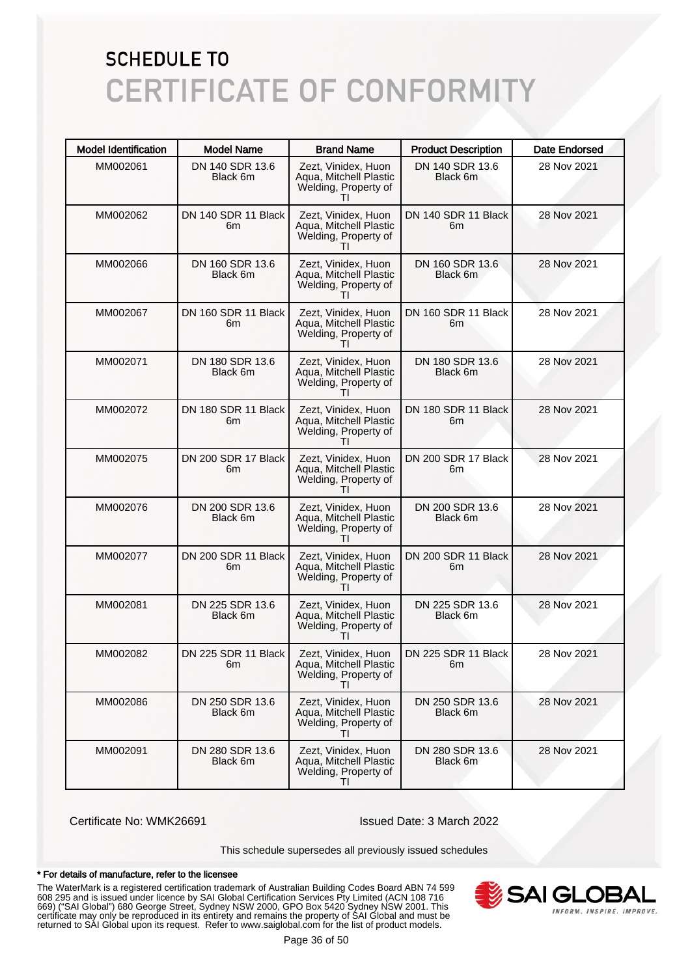| <b>Model Identification</b> | <b>Model Name</b>           | <b>Brand Name</b>                                                                     | <b>Product Description</b>  | <b>Date Endorsed</b> |
|-----------------------------|-----------------------------|---------------------------------------------------------------------------------------|-----------------------------|----------------------|
| MM002061                    | DN 140 SDR 13.6<br>Black 6m | Zezt, Vinidex, Huon<br>Aqua, Mitchell Plastic<br>Welding, Property of                 | DN 140 SDR 13.6<br>Black 6m | 28 Nov 2021          |
| MM002062                    | DN 140 SDR 11 Black<br>6m   | Zezt, Vinidex, Huon<br>Aqua, Mitchell Plastic<br>Welding, Property of<br>$\mathbf{H}$ | DN 140 SDR 11 Black<br>6m   | 28 Nov 2021          |
| MM002066                    | DN 160 SDR 13.6<br>Black 6m | Zezt, Vinidex, Huon<br>Aqua, Mitchell Plastic<br>Welding, Property of                 | DN 160 SDR 13.6<br>Black 6m | 28 Nov 2021          |
| MM002067                    | DN 160 SDR 11 Black<br>6m   | Zezt, Vinidex, Huon<br>Agua, Mitchell Plastic<br>Welding, Property of<br>ΤI           | DN 160 SDR 11 Black<br>6m   | 28 Nov 2021          |
| MM002071                    | DN 180 SDR 13.6<br>Black 6m | Zezt, Vinidex, Huon<br>Aqua, Mitchell Plastic<br>Welding, Property of                 | DN 180 SDR 13.6<br>Black 6m | 28 Nov 2021          |
| MM002072                    | DN 180 SDR 11 Black<br>6m   | Zezt, Vinidex, Huon<br>Agua, Mitchell Plastic<br>Welding, Property of<br>ΤI           | DN 180 SDR 11 Black<br>6m   | 28 Nov 2021          |
| MM002075                    | DN 200 SDR 17 Black<br>6m   | Zezt, Vinidex, Huon<br>Aqua, Mitchell Plastic<br>Welding, Property of<br>$\mathbf{H}$ | DN 200 SDR 17 Black<br>6m   | 28 Nov 2021          |
| MM002076                    | DN 200 SDR 13.6<br>Black 6m | Zezt, Vinidex, Huon<br>Aqua, Mitchell Plastic<br>Welding, Property of<br>ΤI           | DN 200 SDR 13.6<br>Black 6m | 28 Nov 2021          |
| MM002077                    | DN 200 SDR 11 Black<br>6m   | Zezt, Vinidex, Huon<br>Aqua, Mitchell Plastic<br>Welding, Property of<br>ΤI           | DN 200 SDR 11 Black<br>6m   | 28 Nov 2021          |
| MM002081                    | DN 225 SDR 13.6<br>Black 6m | Zezt, Vinidex, Huon<br>Aqua, Mitchell Plastic<br>Welding, Property of<br>$\mathbf{H}$ | DN 225 SDR 13.6<br>Black 6m | 28 Nov 2021          |
| MM002082                    | DN 225 SDR 11 Black<br>6m   | Zezt, Vinidex, Huon<br>Aqua, Mitchell Plastic<br>Welding, Property of<br>TI           | DN 225 SDR 11 Black<br>6m   | 28 Nov 2021          |
| MM002086                    | DN 250 SDR 13.6<br>Black 6m | Zezt, Vinidex, Huon<br>Aqua, Mitchell Plastic<br>Welding, Property of<br>$\mathbf{H}$ | DN 250 SDR 13.6<br>Black 6m | 28 Nov 2021          |
| MM002091                    | DN 280 SDR 13.6<br>Black 6m | Zezt, Vinidex, Huon<br>Aqua, Mitchell Plastic<br>Welding, Property of<br>ΤI           | DN 280 SDR 13.6<br>Black 6m | 28 Nov 2021          |

Certificate No: WMK26691 Issued Date: 3 March 2022

This schedule supersedes all previously issued schedules

#### \* For details of manufacture, refer to the licensee

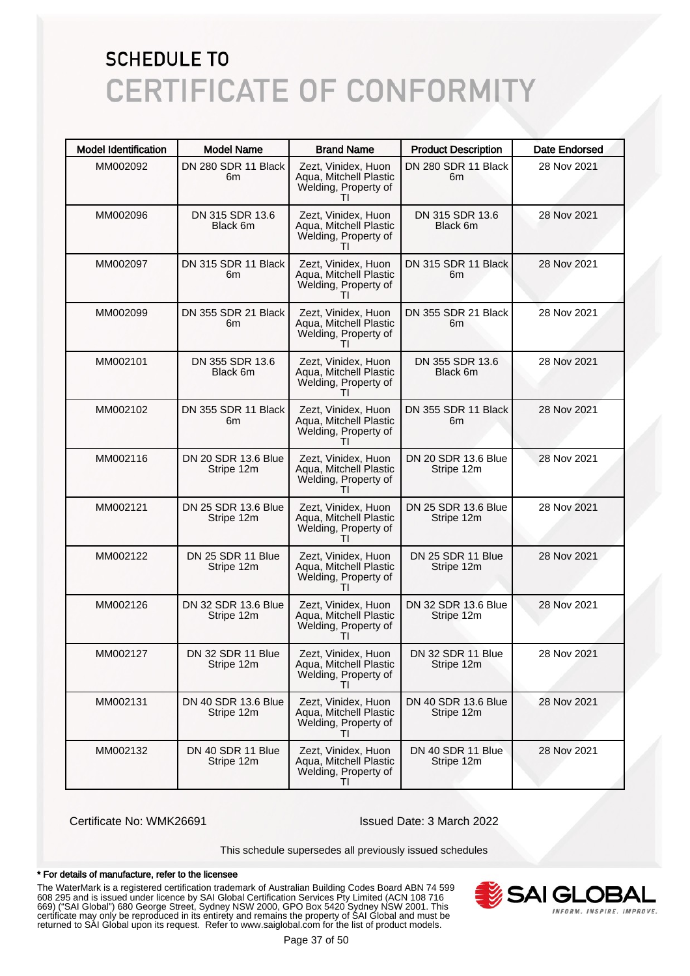| <b>Model Identification</b> | <b>Model Name</b>                 | <b>Brand Name</b>                                                                     | <b>Product Description</b>        | <b>Date Endorsed</b> |
|-----------------------------|-----------------------------------|---------------------------------------------------------------------------------------|-----------------------------------|----------------------|
| MM002092                    | DN 280 SDR 11 Black<br>6m         | Zezt, Vinidex, Huon<br>Aqua, Mitchell Plastic<br>Welding, Property of                 | DN 280 SDR 11 Black<br>6m         | 28 Nov 2021          |
| MM002096                    | DN 315 SDR 13.6<br>Black 6m       | Zezt, Vinidex, Huon<br>Aqua, Mitchell Plastic<br>Welding, Property of                 | DN 315 SDR 13.6<br>Black 6m       | 28 Nov 2021          |
| MM002097                    | DN 315 SDR 11 Black<br>6m         | Zezt, Vinidex, Huon<br>Aqua, Mitchell Plastic<br>Welding, Property of                 | DN 315 SDR 11 Black<br>6m         | 28 Nov 2021          |
| MM002099                    | DN 355 SDR 21 Black<br>6m         | Zezt, Vinidex, Huon<br>Aqua, Mitchell Plastic<br>Welding, Property of<br>Τl           | DN 355 SDR 21 Black<br>6m         | 28 Nov 2021          |
| MM002101                    | DN 355 SDR 13.6<br>Black 6m       | Zezt, Vinidex, Huon<br>Aqua, Mitchell Plastic<br>Welding, Property of                 | DN 355 SDR 13.6<br>Black 6m       | 28 Nov 2021          |
| MM002102                    | DN 355 SDR 11 Black<br>6m         | Zezt, Vinidex, Huon<br>Aqua, Mitchell Plastic<br>Welding, Property of<br>Τl           | DN 355 SDR 11 Black<br>6m         | 28 Nov 2021          |
| MM002116                    | DN 20 SDR 13.6 Blue<br>Stripe 12m | Zezt, Vinidex, Huon<br>Aqua, Mitchell Plastic<br>Welding, Property of                 | DN 20 SDR 13.6 Blue<br>Stripe 12m | 28 Nov 2021          |
| MM002121                    | DN 25 SDR 13.6 Blue<br>Stripe 12m | Zezt, Vinidex, Huon<br>Aqua, Mitchell Plastic<br>Welding, Property of<br>Τl           | DN 25 SDR 13.6 Blue<br>Stripe 12m | 28 Nov 2021          |
| MM002122                    | DN 25 SDR 11 Blue<br>Stripe 12m   | Zezt, Vinidex, Huon<br>Aqua, Mitchell Plastic<br>Welding, Property of<br>Τl           | DN 25 SDR 11 Blue<br>Stripe 12m   | 28 Nov 2021          |
| MM002126                    | DN 32 SDR 13.6 Blue<br>Stripe 12m | Zezt, Vinidex, Huon<br>Aqua, Mitchell Plastic<br>Welding, Property of<br>$\mathbf{H}$ | DN 32 SDR 13.6 Blue<br>Stripe 12m | 28 Nov 2021          |
| MM002127                    | DN 32 SDR 11 Blue<br>Stripe 12m   | Zezt, Vinidex, Huon<br>Aqua, Mitchell Plastic<br>Welding, Property of<br>ΤI           | DN 32 SDR 11 Blue<br>Stripe 12m   | 28 Nov 2021          |
| MM002131                    | DN 40 SDR 13.6 Blue<br>Stripe 12m | Zezt, Vinidex, Huon<br>Aqua, Mitchell Plastic<br>Welding, Property of                 | DN 40 SDR 13.6 Blue<br>Stripe 12m | 28 Nov 2021          |
| MM002132                    | DN 40 SDR 11 Blue<br>Stripe 12m   | Zezt, Vinidex, Huon<br>Aqua, Mitchell Plastic<br>Welding, Property of<br>$\mathbf{H}$ | DN 40 SDR 11 Blue<br>Stripe 12m   | 28 Nov 2021          |

Certificate No: WMK26691 Issued Date: 3 March 2022

This schedule supersedes all previously issued schedules

#### \* For details of manufacture, refer to the licensee

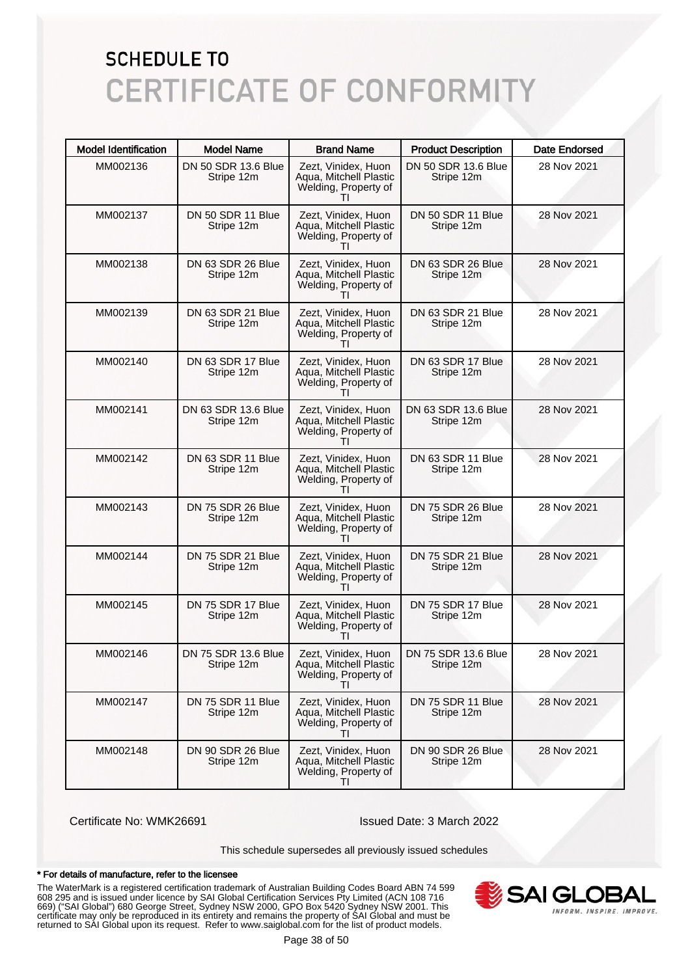| <b>Model Identification</b> | <b>Model Name</b>                 | <b>Brand Name</b>                                                                     | <b>Product Description</b>        | <b>Date Endorsed</b> |
|-----------------------------|-----------------------------------|---------------------------------------------------------------------------------------|-----------------------------------|----------------------|
| MM002136                    | DN 50 SDR 13.6 Blue<br>Stripe 12m | Zezt, Vinidex, Huon<br>Aqua, Mitchell Plastic<br>Welding, Property of                 | DN 50 SDR 13.6 Blue<br>Stripe 12m | 28 Nov 2021          |
| MM002137                    | DN 50 SDR 11 Blue<br>Stripe 12m   | Zezt, Vinidex, Huon<br>Aqua, Mitchell Plastic<br>Welding, Property of                 | DN 50 SDR 11 Blue<br>Stripe 12m   | 28 Nov 2021          |
| MM002138                    | DN 63 SDR 26 Blue<br>Stripe 12m   | Zezt, Vinidex, Huon<br>Aqua, Mitchell Plastic<br>Welding, Property of                 | DN 63 SDR 26 Blue<br>Stripe 12m   | 28 Nov 2021          |
| MM002139                    | DN 63 SDR 21 Blue<br>Stripe 12m   | Zezt, Vinidex, Huon<br>Aqua, Mitchell Plastic<br>Welding, Property of<br>Τl           | DN 63 SDR 21 Blue<br>Stripe 12m   | 28 Nov 2021          |
| MM002140                    | DN 63 SDR 17 Blue<br>Stripe 12m   | Zezt, Vinidex, Huon<br>Aqua, Mitchell Plastic<br>Welding, Property of                 | DN 63 SDR 17 Blue<br>Stripe 12m   | 28 Nov 2021          |
| MM002141                    | DN 63 SDR 13.6 Blue<br>Stripe 12m | Zezt, Vinidex, Huon<br>Aqua, Mitchell Plastic<br>Welding, Property of<br>Τl           | DN 63 SDR 13.6 Blue<br>Stripe 12m | 28 Nov 2021          |
| MM002142                    | DN 63 SDR 11 Blue<br>Stripe 12m   | Zezt, Vinidex, Huon<br>Aqua, Mitchell Plastic<br>Welding, Property of                 | DN 63 SDR 11 Blue<br>Stripe 12m   | 28 Nov 2021          |
| MM002143                    | DN 75 SDR 26 Blue<br>Stripe 12m   | Zezt, Vinidex, Huon<br>Aqua, Mitchell Plastic<br>Welding, Property of<br>Τl           | DN 75 SDR 26 Blue<br>Stripe 12m   | 28 Nov 2021          |
| MM002144                    | DN 75 SDR 21 Blue<br>Stripe 12m   | Zezt, Vinidex, Huon<br>Aqua, Mitchell Plastic<br>Welding, Property of                 | DN 75 SDR 21 Blue<br>Stripe 12m   | 28 Nov 2021          |
| MM002145                    | DN 75 SDR 17 Blue<br>Stripe 12m   | Zezt, Vinidex, Huon<br>Aqua, Mitchell Plastic<br>Welding, Property of                 | DN 75 SDR 17 Blue<br>Stripe 12m   | 28 Nov 2021          |
| MM002146                    | DN 75 SDR 13.6 Blue<br>Stripe 12m | Zezt, Vinidex, Huon<br>Aqua, Mitchell Plastic<br>Welding, Property of<br>ΤI           | DN 75 SDR 13.6 Blue<br>Stripe 12m | 28 Nov 2021          |
| MM002147                    | DN 75 SDR 11 Blue<br>Stripe 12m   | Zezt, Vinidex, Huon<br>Aqua, Mitchell Plastic<br>Welding, Property of                 | DN 75 SDR 11 Blue<br>Stripe 12m   | 28 Nov 2021          |
| MM002148                    | DN 90 SDR 26 Blue<br>Stripe 12m   | Zezt, Vinidex, Huon<br>Aqua, Mitchell Plastic<br>Welding, Property of<br>$\mathbf{H}$ | DN 90 SDR 26 Blue<br>Stripe 12m   | 28 Nov 2021          |

Certificate No: WMK26691 Issued Date: 3 March 2022

This schedule supersedes all previously issued schedules

#### \* For details of manufacture, refer to the licensee

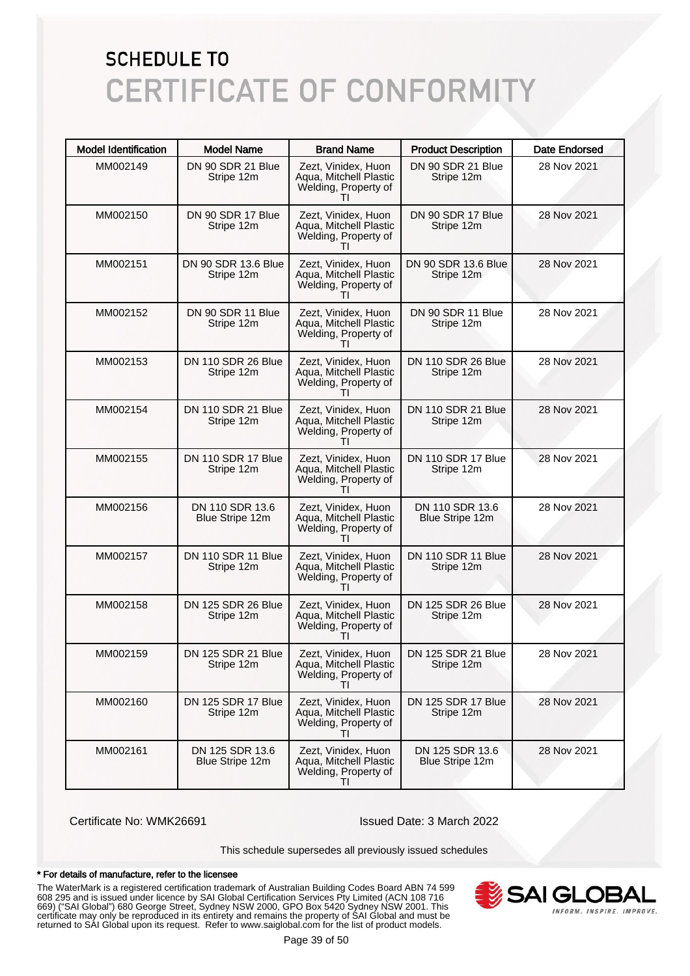| <b>Model Identification</b> | <b>Model Name</b>                       | <b>Brand Name</b>                                                                     | <b>Product Description</b>              | <b>Date Endorsed</b> |
|-----------------------------|-----------------------------------------|---------------------------------------------------------------------------------------|-----------------------------------------|----------------------|
| MM002149                    | DN 90 SDR 21 Blue<br>Stripe 12m         | Zezt, Vinidex, Huon<br>Aqua, Mitchell Plastic<br>Welding, Property of                 | DN 90 SDR 21 Blue<br>Stripe 12m         | 28 Nov 2021          |
| MM002150                    | DN 90 SDR 17 Blue<br>Stripe 12m         | Zezt, Vinidex, Huon<br>Aqua, Mitchell Plastic<br>Welding, Property of                 | DN 90 SDR 17 Blue<br>Stripe 12m         | 28 Nov 2021          |
| MM002151                    | DN 90 SDR 13.6 Blue<br>Stripe 12m       | Zezt, Vinidex, Huon<br>Aqua, Mitchell Plastic<br>Welding, Property of                 | DN 90 SDR 13.6 Blue<br>Stripe 12m       | 28 Nov 2021          |
| MM002152                    | DN 90 SDR 11 Blue<br>Stripe 12m         | Zezt, Vinidex, Huon<br>Aqua, Mitchell Plastic<br>Welding, Property of<br>$\mathbf{I}$ | DN 90 SDR 11 Blue<br>Stripe 12m         | 28 Nov 2021          |
| MM002153                    | DN 110 SDR 26 Blue<br>Stripe 12m        | Zezt, Vinidex, Huon<br>Aqua, Mitchell Plastic<br>Welding, Property of                 | DN 110 SDR 26 Blue<br>Stripe 12m        | 28 Nov 2021          |
| MM002154                    | DN 110 SDR 21 Blue<br>Stripe 12m        | Zezt, Vinidex, Huon<br>Aqua, Mitchell Plastic<br>Welding, Property of<br>ΤI           | DN 110 SDR 21 Blue<br>Stripe 12m        | 28 Nov 2021          |
| MM002155                    | DN 110 SDR 17 Blue<br>Stripe 12m        | Zezt, Vinidex, Huon<br>Aqua, Mitchell Plastic<br>Welding, Property of                 | DN 110 SDR 17 Blue<br>Stripe 12m        | 28 Nov 2021          |
| MM002156                    | DN 110 SDR 13.6<br>Blue Stripe 12m      | Zezt, Vinidex, Huon<br>Aqua, Mitchell Plastic<br>Welding, Property of<br>ΤI           | DN 110 SDR 13.6<br>Blue Stripe 12m      | 28 Nov 2021          |
| MM002157                    | DN 110 SDR 11 Blue<br>Stripe 12m        | Zezt, Vinidex, Huon<br>Aqua, Mitchell Plastic<br>Welding, Property of                 | DN 110 SDR 11 Blue<br>Stripe 12m        | 28 Nov 2021          |
| MM002158                    | DN 125 SDR 26 Blue<br>Stripe 12m        | Zezt, Vinidex, Huon<br>Aqua, Mitchell Plastic<br>Welding, Property of                 | DN 125 SDR 26 Blue<br>Stripe 12m        | 28 Nov 2021          |
| MM002159                    | DN 125 SDR 21 Blue<br>Stripe 12m        | Zezt, Vinidex, Huon<br>Aqua, Mitchell Plastic<br>Welding, Property of<br>ΤI           | DN 125 SDR 21 Blue<br>Stripe 12m        | 28 Nov 2021          |
| MM002160                    | <b>DN 125 SDR 17 Blue</b><br>Stripe 12m | Zezt, Vinidex, Huon<br>Aqua, Mitchell Plastic<br>Welding, Property of                 | <b>DN 125 SDR 17 Blue</b><br>Stripe 12m | 28 Nov 2021          |
| MM002161                    | DN 125 SDR 13.6<br>Blue Stripe 12m      | Zezt, Vinidex, Huon<br>Aqua, Mitchell Plastic<br>Welding, Property of<br>$\mathbf{H}$ | DN 125 SDR 13.6<br>Blue Stripe 12m      | 28 Nov 2021          |

Certificate No: WMK26691 Issued Date: 3 March 2022

This schedule supersedes all previously issued schedules

#### \* For details of manufacture, refer to the licensee

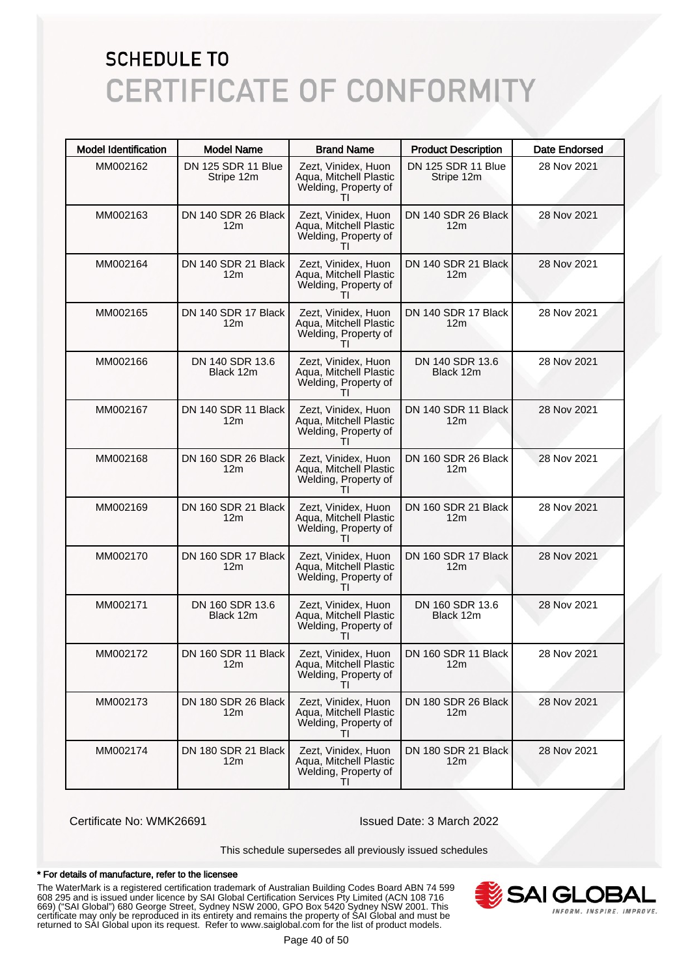| <b>Model Identification</b> | <b>Model Name</b>                      | <b>Brand Name</b>                                                                     | <b>Product Description</b>              | Date Endorsed |
|-----------------------------|----------------------------------------|---------------------------------------------------------------------------------------|-----------------------------------------|---------------|
| MM002162                    | DN 125 SDR 11 Blue<br>Stripe 12m       | Zezt, Vinidex, Huon<br>Aqua, Mitchell Plastic<br>Welding, Property of                 | <b>DN 125 SDR 11 Blue</b><br>Stripe 12m | 28 Nov 2021   |
| MM002163                    | DN 140 SDR 26 Black<br>12 <sub>m</sub> | Zezt, Vinidex, Huon<br>Aqua, Mitchell Plastic<br>Welding, Property of<br>ΤI           | DN 140 SDR 26 Black<br>12 <sub>m</sub>  | 28 Nov 2021   |
| MM002164                    | DN 140 SDR 21 Black<br>12m             | Zezt, Vinidex, Huon<br>Aqua, Mitchell Plastic<br>Welding, Property of                 | DN 140 SDR 21 Black<br>12 <sub>m</sub>  | 28 Nov 2021   |
| MM002165                    | DN 140 SDR 17 Black<br>12m             | Zezt, Vinidex, Huon<br>Aqua, Mitchell Plastic<br>Welding, Property of<br>ΤI           | DN 140 SDR 17 Black<br>12 <sub>m</sub>  | 28 Nov 2021   |
| MM002166                    | DN 140 SDR 13.6<br>Black 12m           | Zezt, Vinidex, Huon<br>Aqua, Mitchell Plastic<br>Welding, Property of                 | DN 140 SDR 13.6<br>Black 12m            | 28 Nov 2021   |
| MM002167                    | DN 140 SDR 11 Black<br>12m             | Zezt, Vinidex, Huon<br>Aqua, Mitchell Plastic<br>Welding, Property of<br>ΤI           | DN 140 SDR 11 Black<br>12 <sub>m</sub>  | 28 Nov 2021   |
| MM002168                    | DN 160 SDR 26 Black<br>12m             | Zezt, Vinidex, Huon<br>Aqua, Mitchell Plastic<br>Welding, Property of<br>$\mathbf{H}$ | DN 160 SDR 26 Black<br>12 <sub>m</sub>  | 28 Nov 2021   |
| MM002169                    | DN 160 SDR 21 Black<br>12m             | Zezt, Vinidex, Huon<br>Aqua, Mitchell Plastic<br>Welding, Property of<br>ΤI           | DN 160 SDR 21 Black<br>12 <sub>m</sub>  | 28 Nov 2021   |
| MM002170                    | DN 160 SDR 17 Black<br>12m             | Zezt, Vinidex, Huon<br>Aqua, Mitchell Plastic<br>Welding, Property of<br>ΤI           | DN 160 SDR 17 Black<br>12 <sub>m</sub>  | 28 Nov 2021   |
| MM002171                    | DN 160 SDR 13.6<br>Black 12m           | Zezt, Vinidex, Huon<br>Aqua, Mitchell Plastic<br>Welding, Property of<br>Ш            | DN 160 SDR 13.6<br>Black 12m            | 28 Nov 2021   |
| MM002172                    | DN 160 SDR 11 Black<br>12m             | Zezt, Vinidex, Huon<br>Aqua, Mitchell Plastic<br>Welding, Property of<br>ΤI           | DN 160 SDR 11 Black<br>12m              | 28 Nov 2021   |
| MM002173                    | DN 180 SDR 26 Black<br>12m             | Zezt, Vinidex, Huon<br>Aqua, Mitchell Plastic<br>Welding, Property of<br>$\mathbf{H}$ | DN 180 SDR 26 Black<br>12 <sub>m</sub>  | 28 Nov 2021   |
| MM002174                    | DN 180 SDR 21 Black<br>12m             | Zezt, Vinidex, Huon<br>Aqua, Mitchell Plastic<br>Welding, Property of<br>ΤI           | DN 180 SDR 21 Black<br>12m              | 28 Nov 2021   |

Certificate No: WMK26691 Issued Date: 3 March 2022

This schedule supersedes all previously issued schedules

#### \* For details of manufacture, refer to the licensee

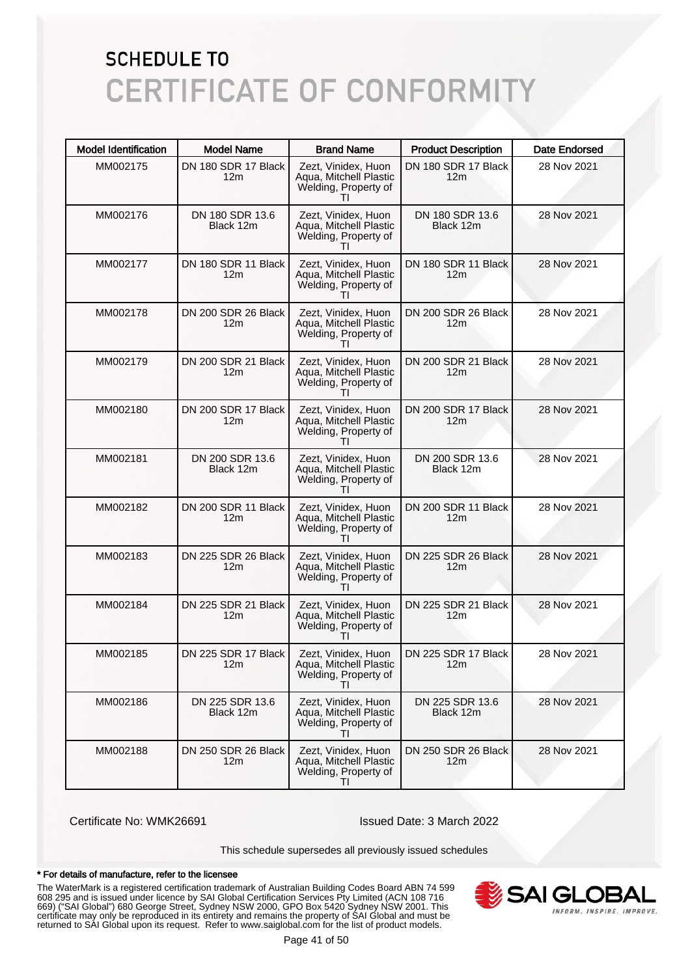| <b>Model Identification</b> | <b>Model Name</b>                      | <b>Brand Name</b>                                                                     | <b>Product Description</b>             | <b>Date Endorsed</b> |
|-----------------------------|----------------------------------------|---------------------------------------------------------------------------------------|----------------------------------------|----------------------|
| MM002175                    | DN 180 SDR 17 Black<br>12m             | Zezt, Vinidex, Huon<br>Aqua, Mitchell Plastic<br>Welding, Property of                 | DN 180 SDR 17 Black<br>12 <sub>m</sub> | 28 Nov 2021          |
| MM002176                    | DN 180 SDR 13.6<br>Black 12m           | Zezt, Vinidex, Huon<br>Aqua, Mitchell Plastic<br>Welding, Property of<br>Ш            | DN 180 SDR 13.6<br>Black 12m           | 28 Nov 2021          |
| MM002177                    | DN 180 SDR 11 Black<br>12 <sub>m</sub> | Zezt, Vinidex, Huon<br>Aqua, Mitchell Plastic<br>Welding, Property of                 | DN 180 SDR 11 Black<br>12 <sub>m</sub> | 28 Nov 2021          |
| MM002178                    | DN 200 SDR 26 Black<br>12m             | Zezt, Vinidex, Huon<br>Agua, Mitchell Plastic<br>Welding, Property of<br>ΤI           | DN 200 SDR 26 Black<br>12 <sub>m</sub> | 28 Nov 2021          |
| MM002179                    | DN 200 SDR 21 Black<br>12m             | Zezt, Vinidex, Huon<br>Aqua, Mitchell Plastic<br>Welding, Property of                 | DN 200 SDR 21 Black<br>12 <sub>m</sub> | 28 Nov 2021          |
| MM002180                    | DN 200 SDR 17 Black<br>12m             | Zezt, Vinidex, Huon<br>Agua, Mitchell Plastic<br>Welding, Property of<br>ΤI           | DN 200 SDR 17 Black<br>12 <sub>m</sub> | 28 Nov 2021          |
| MM002181                    | DN 200 SDR 13.6<br>Black 12m           | Zezt, Vinidex, Huon<br>Aqua, Mitchell Plastic<br>Welding, Property of<br>$\mathbf{H}$ | DN 200 SDR 13.6<br>Black 12m           | 28 Nov 2021          |
| MM002182                    | DN 200 SDR 11 Black<br>12 <sub>m</sub> | Zezt, Vinidex, Huon<br>Aqua, Mitchell Plastic<br>Welding, Property of<br>ΤI           | DN 200 SDR 11 Black<br>12 <sub>m</sub> | 28 Nov 2021          |
| MM002183                    | DN 225 SDR 26 Black<br>12m             | Zezt, Vinidex, Huon<br>Aqua, Mitchell Plastic<br>Welding, Property of<br>ΤI           | DN 225 SDR 26 Black<br>12 <sub>m</sub> | 28 Nov 2021          |
| MM002184                    | DN 225 SDR 21 Black<br>12m             | Zezt, Vinidex, Huon<br>Aqua, Mitchell Plastic<br>Welding, Property of<br>$\mathbf{H}$ | DN 225 SDR 21 Black<br>12 <sub>m</sub> | 28 Nov 2021          |
| MM002185                    | DN 225 SDR 17 Black<br>12m             | Zezt, Vinidex, Huon<br>Aqua, Mitchell Plastic<br>Welding, Property of<br>TI           | DN 225 SDR 17 Black<br>12m             | 28 Nov 2021          |
| MM002186                    | DN 225 SDR 13.6<br>Black 12m           | Zezt, Vinidex, Huon<br>Aqua, Mitchell Plastic<br>Welding, Property of<br>$\mathbf{H}$ | DN 225 SDR 13.6<br>Black 12m           | 28 Nov 2021          |
| MM002188                    | DN 250 SDR 26 Black<br>12m             | Zezt, Vinidex, Huon<br>Aqua, Mitchell Plastic<br>Welding, Property of<br>ΤI           | DN 250 SDR 26 Black<br>12 <sub>m</sub> | 28 Nov 2021          |

Certificate No: WMK26691 Issued Date: 3 March 2022

This schedule supersedes all previously issued schedules

#### \* For details of manufacture, refer to the licensee

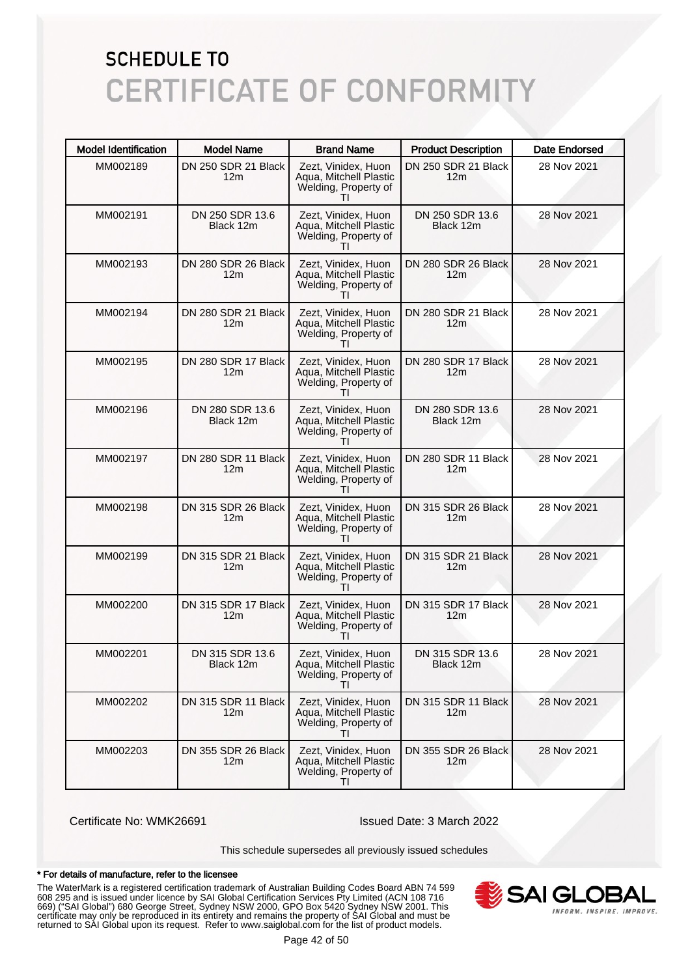| <b>Model Identification</b> | <b>Model Name</b>                      | <b>Brand Name</b>                                                                     | <b>Product Description</b>             | <b>Date Endorsed</b> |
|-----------------------------|----------------------------------------|---------------------------------------------------------------------------------------|----------------------------------------|----------------------|
| MM002189                    | DN 250 SDR 21 Black<br>12m             | Zezt, Vinidex, Huon<br>Aqua, Mitchell Plastic<br>Welding, Property of                 | DN 250 SDR 21 Black<br>12 <sub>m</sub> | 28 Nov 2021          |
| MM002191                    | DN 250 SDR 13.6<br>Black 12m           | Zezt, Vinidex, Huon<br>Aqua, Mitchell Plastic<br>Welding, Property of<br>Τl           | DN 250 SDR 13.6<br>Black 12m           | 28 Nov 2021          |
| MM002193                    | DN 280 SDR 26 Black<br>12 <sub>m</sub> | Zezt, Vinidex, Huon<br>Aqua, Mitchell Plastic<br>Welding, Property of                 | DN 280 SDR 26 Black<br>12 <sub>m</sub> | 28 Nov 2021          |
| MM002194                    | DN 280 SDR 21 Black<br>12m             | Zezt, Vinidex, Huon<br>Aqua, Mitchell Plastic<br>Welding, Property of<br>ΤI           | DN 280 SDR 21 Black<br>12 <sub>m</sub> | 28 Nov 2021          |
| MM002195                    | DN 280 SDR 17 Black<br>12m             | Zezt, Vinidex, Huon<br>Aqua, Mitchell Plastic<br>Welding, Property of                 | DN 280 SDR 17 Black<br>12 <sub>m</sub> | 28 Nov 2021          |
| MM002196                    | DN 280 SDR 13.6<br>Black 12m           | Zezt, Vinidex, Huon<br>Aqua, Mitchell Plastic<br>Welding, Property of<br>ΤI           | DN 280 SDR 13.6<br>Black 12m           | 28 Nov 2021          |
| MM002197                    | DN 280 SDR 11 Black<br>12m             | Zezt, Vinidex, Huon<br>Aqua, Mitchell Plastic<br>Welding, Property of                 | DN 280 SDR 11 Black<br>12 <sub>m</sub> | 28 Nov 2021          |
| MM002198                    | DN 315 SDR 26 Black<br>12 <sub>m</sub> | Zezt, Vinidex, Huon<br>Aqua, Mitchell Plastic<br>Welding, Property of<br>Τl           | DN 315 SDR 26 Black<br>12 <sub>m</sub> | 28 Nov 2021          |
| MM002199                    | DN 315 SDR 21 Black<br>12m             | Zezt, Vinidex, Huon<br>Aqua, Mitchell Plastic<br>Welding, Property of<br>Τl           | DN 315 SDR 21 Black<br>12 <sub>m</sub> | 28 Nov 2021          |
| MM002200                    | DN 315 SDR 17 Black<br>12m             | Zezt, Vinidex, Huon<br>Aqua, Mitchell Plastic<br>Welding, Property of<br>$\mathbf{H}$ | DN 315 SDR 17 Black<br>12 <sub>m</sub> | 28 Nov 2021          |
| MM002201                    | DN 315 SDR 13.6<br>Black 12m           | Zezt, Vinidex, Huon<br>Aqua, Mitchell Plastic<br>Welding, Property of<br>ΤI           | DN 315 SDR 13.6<br>Black 12m           | 28 Nov 2021          |
| MM002202                    | DN 315 SDR 11 Black<br>12m             | Zezt. Vinidex. Huon<br>Aqua, Mitchell Plastic<br>Welding, Property of<br>Τl           | DN 315 SDR 11 Black<br>12 <sub>m</sub> | 28 Nov 2021          |
| MM002203                    | DN 355 SDR 26 Black<br>12 <sub>m</sub> | Zezt, Vinidex, Huon<br>Aqua, Mitchell Plastic<br>Welding, Property of<br>ΤI           | DN 355 SDR 26 Black<br>12 <sub>m</sub> | 28 Nov 2021          |

Certificate No: WMK26691 Issued Date: 3 March 2022

This schedule supersedes all previously issued schedules

#### \* For details of manufacture, refer to the licensee

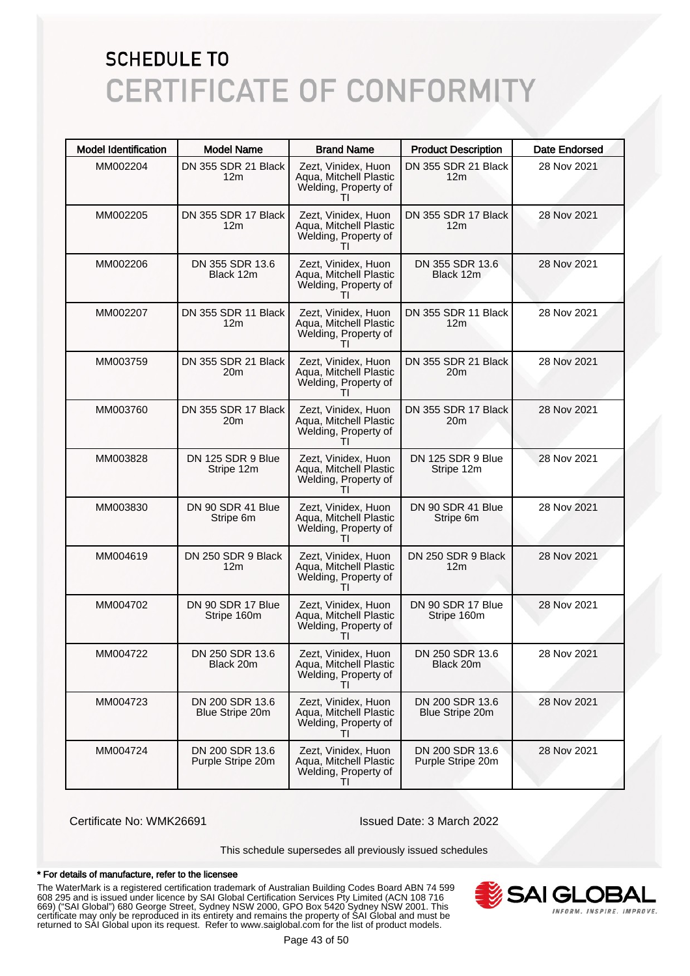| <b>Model Identification</b> | <b>Model Name</b>                      | <b>Brand Name</b>                                                                     | <b>Product Description</b>             | <b>Date Endorsed</b> |
|-----------------------------|----------------------------------------|---------------------------------------------------------------------------------------|----------------------------------------|----------------------|
| MM002204                    | DN 355 SDR 21 Black<br>12m             | Zezt, Vinidex, Huon<br>Aqua, Mitchell Plastic<br>Welding, Property of                 | DN 355 SDR 21 Black<br>12 <sub>m</sub> | 28 Nov 2021          |
| MM002205                    | DN 355 SDR 17 Black<br>12m             | Zezt, Vinidex, Huon<br>Aqua, Mitchell Plastic<br>Welding, Property of<br>$\mathbf{H}$ | DN 355 SDR 17 Black<br>12 <sub>m</sub> | 28 Nov 2021          |
| MM002206                    | DN 355 SDR 13.6<br>Black 12m           | Zezt, Vinidex, Huon<br>Aqua, Mitchell Plastic<br>Welding, Property of                 | DN 355 SDR 13.6<br>Black 12m           | 28 Nov 2021          |
| MM002207                    | DN 355 SDR 11 Black<br>12 <sub>m</sub> | Zezt, Vinidex, Huon<br>Aqua, Mitchell Plastic<br>Welding, Property of<br>ΤI           | DN 355 SDR 11 Black<br>12 <sub>m</sub> | 28 Nov 2021          |
| MM003759                    | DN 355 SDR 21 Black<br>20m             | Zezt, Vinidex, Huon<br>Aqua, Mitchell Plastic<br>Welding, Property of                 | DN 355 SDR 21 Black<br>20m             | 28 Nov 2021          |
| MM003760                    | DN 355 SDR 17 Black<br>20m             | Zezt, Vinidex, Huon<br>Aqua, Mitchell Plastic<br>Welding, Property of<br>ΤI           | DN 355 SDR 17 Black<br>20 <sub>m</sub> | 28 Nov 2021          |
| MM003828                    | DN 125 SDR 9 Blue<br>Stripe 12m        | Zezt, Vinidex, Huon<br>Aqua, Mitchell Plastic<br>Welding, Property of<br>$\mathbf{H}$ | DN 125 SDR 9 Blue<br>Stripe 12m        | 28 Nov 2021          |
| MM003830                    | DN 90 SDR 41 Blue<br>Stripe 6m         | Zezt, Vinidex, Huon<br>Aqua, Mitchell Plastic<br>Welding, Property of<br>ΤI           | DN 90 SDR 41 Blue<br>Stripe 6m         | 28 Nov 2021          |
| MM004619                    | DN 250 SDR 9 Black<br>12m              | Zezt, Vinidex, Huon<br>Aqua, Mitchell Plastic<br>Welding, Property of<br>ΤI           | DN 250 SDR 9 Black<br>12 <sub>m</sub>  | 28 Nov 2021          |
| MM004702                    | DN 90 SDR 17 Blue<br>Stripe 160m       | Zezt, Vinidex, Huon<br>Aqua, Mitchell Plastic<br>Welding, Property of<br>$\mathbf{H}$ | DN 90 SDR 17 Blue<br>Stripe 160m       | 28 Nov 2021          |
| MM004722                    | DN 250 SDR 13.6<br>Black 20m           | Zezt, Vinidex, Huon<br>Aqua, Mitchell Plastic<br>Welding, Property of<br>ΤI           | DN 250 SDR 13.6<br>Black 20m           | 28 Nov 2021          |
| MM004723                    | DN 200 SDR 13.6<br>Blue Stripe 20m     | Zezt, Vinidex, Huon<br>Aqua, Mitchell Plastic<br>Welding, Property of<br>$\mathbf{H}$ | DN 200 SDR 13.6<br>Blue Stripe 20m     | 28 Nov 2021          |
| MM004724                    | DN 200 SDR 13.6<br>Purple Stripe 20m   | Zezt, Vinidex, Huon<br>Aqua, Mitchell Plastic<br>Welding, Property of<br>ΤI           | DN 200 SDR 13.6<br>Purple Stripe 20m   | 28 Nov 2021          |

Certificate No: WMK26691 Issued Date: 3 March 2022

This schedule supersedes all previously issued schedules

#### \* For details of manufacture, refer to the licensee

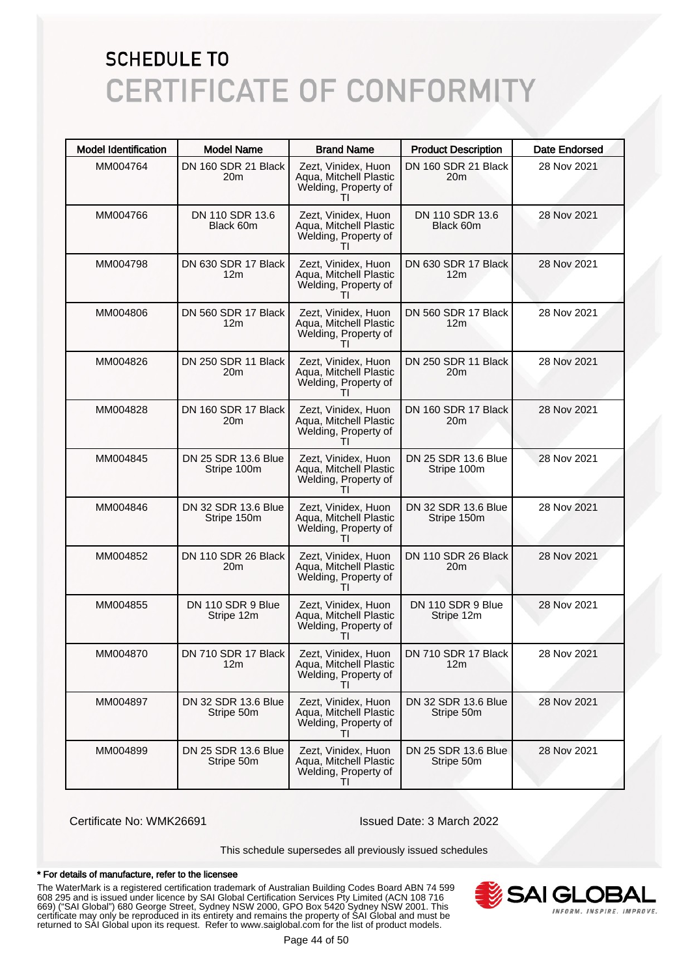| <b>Model Identification</b> | <b>Model Name</b>                      | <b>Brand Name</b>                                                                     | <b>Product Description</b>             | <b>Date Endorsed</b> |
|-----------------------------|----------------------------------------|---------------------------------------------------------------------------------------|----------------------------------------|----------------------|
| MM004764                    | DN 160 SDR 21 Black<br>20m             | Zezt, Vinidex, Huon<br>Aqua, Mitchell Plastic<br>Welding, Property of                 | DN 160 SDR 21 Black<br>20 <sub>m</sub> | 28 Nov 2021          |
| MM004766                    | DN 110 SDR 13.6<br>Black 60m           | Zezt, Vinidex, Huon<br>Aqua, Mitchell Plastic<br>Welding, Property of<br>$\mathbf{L}$ | DN 110 SDR 13.6<br>Black 60m           | 28 Nov 2021          |
| MM004798                    | DN 630 SDR 17 Black<br>12 <sub>m</sub> | Zezt, Vinidex, Huon<br>Aqua, Mitchell Plastic<br>Welding, Property of                 | DN 630 SDR 17 Black<br>12 <sub>m</sub> | 28 Nov 2021          |
| MM004806                    | DN 560 SDR 17 Black<br>12 <sub>m</sub> | Zezt, Vinidex, Huon<br>Aqua, Mitchell Plastic<br>Welding, Property of<br>Τl           | DN 560 SDR 17 Black<br>12 <sub>m</sub> | 28 Nov 2021          |
| MM004826                    | DN 250 SDR 11 Black<br>20m             | Zezt, Vinidex, Huon<br>Aqua, Mitchell Plastic<br>Welding, Property of                 | DN 250 SDR 11 Black<br>20 <sub>m</sub> | 28 Nov 2021          |
| MM004828                    | DN 160 SDR 17 Black<br>20m             | Zezt, Vinidex, Huon<br>Aqua, Mitchell Plastic<br>Welding, Property of<br>Τl           | DN 160 SDR 17 Black<br>20 <sub>m</sub> | 28 Nov 2021          |
| MM004845                    | DN 25 SDR 13.6 Blue<br>Stripe 100m     | Zezt, Vinidex, Huon<br>Aqua, Mitchell Plastic<br>Welding, Property of                 | DN 25 SDR 13.6 Blue<br>Stripe 100m     | 28 Nov 2021          |
| MM004846                    | DN 32 SDR 13.6 Blue<br>Stripe 150m     | Zezt, Vinidex, Huon<br>Aqua, Mitchell Plastic<br>Welding, Property of<br>Τl           | DN 32 SDR 13.6 Blue<br>Stripe 150m     | 28 Nov 2021          |
| MM004852                    | DN 110 SDR 26 Black<br>20m             | Zezt, Vinidex, Huon<br>Aqua, Mitchell Plastic<br>Welding, Property of<br>Τl           | DN 110 SDR 26 Black<br>20m             | 28 Nov 2021          |
| MM004855                    | DN 110 SDR 9 Blue<br>Stripe 12m        | Zezt, Vinidex, Huon<br>Aqua, Mitchell Plastic<br>Welding, Property of                 | DN 110 SDR 9 Blue<br>Stripe 12m        | 28 Nov 2021          |
| MM004870                    | DN 710 SDR 17 Black I<br>12m           | Zezt, Vinidex, Huon<br>Aqua, Mitchell Plastic<br>Welding, Property of<br>ΤI           | DN 710 SDR 17 Black<br>12m             | 28 Nov 2021          |
| MM004897                    | DN 32 SDR 13.6 Blue<br>Stripe 50m      | Zezt, Vinidex, Huon<br>Aqua, Mitchell Plastic<br>Welding, Property of                 | DN 32 SDR 13.6 Blue<br>Stripe 50m      | 28 Nov 2021          |
| MM004899                    | DN 25 SDR 13.6 Blue<br>Stripe 50m      | Zezt, Vinidex, Huon<br>Aqua, Mitchell Plastic<br>Welding, Property of<br>$\mathbf{H}$ | DN 25 SDR 13.6 Blue<br>Stripe 50m      | 28 Nov 2021          |

Certificate No: WMK26691 Issued Date: 3 March 2022

This schedule supersedes all previously issued schedules

#### \* For details of manufacture, refer to the licensee

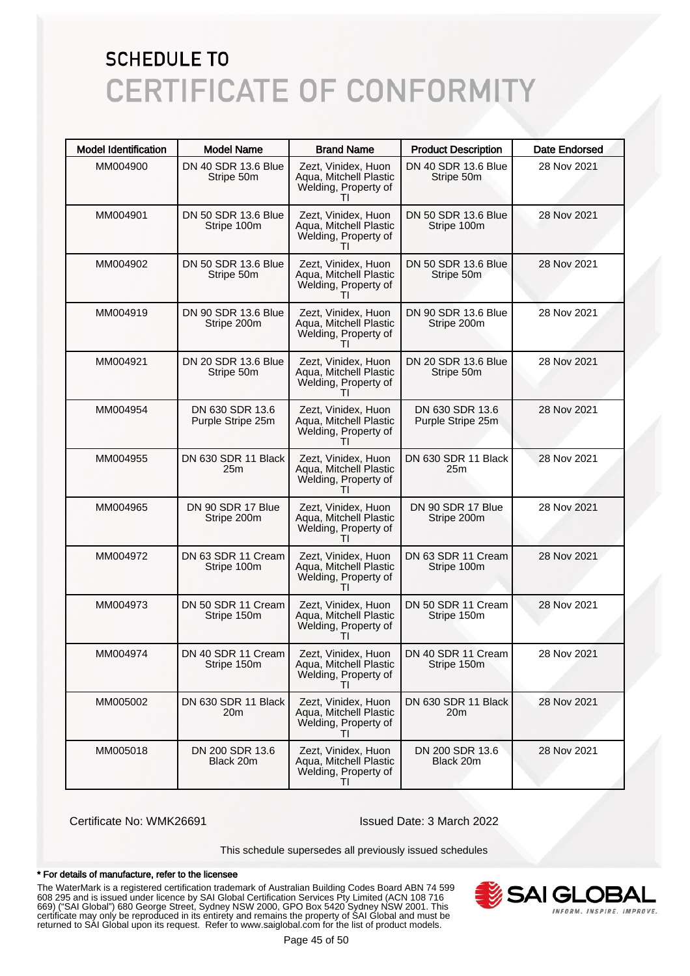| <b>Model Identification</b> | <b>Model Name</b>                    | <b>Brand Name</b>                                                                     | <b>Product Description</b>           | <b>Date Endorsed</b> |
|-----------------------------|--------------------------------------|---------------------------------------------------------------------------------------|--------------------------------------|----------------------|
| MM004900                    | DN 40 SDR 13.6 Blue<br>Stripe 50m    | Zezt, Vinidex, Huon<br>Aqua, Mitchell Plastic<br>Welding, Property of                 | DN 40 SDR 13.6 Blue<br>Stripe 50m    | 28 Nov 2021          |
| MM004901                    | DN 50 SDR 13.6 Blue<br>Stripe 100m   | Zezt, Vinidex, Huon<br>Aqua, Mitchell Plastic<br>Welding, Property of<br>$\mathbf{H}$ | DN 50 SDR 13.6 Blue<br>Stripe 100m   | 28 Nov 2021          |
| MM004902                    | DN 50 SDR 13.6 Blue<br>Stripe 50m    | Zezt, Vinidex, Huon<br>Aqua, Mitchell Plastic<br>Welding, Property of                 | DN 50 SDR 13.6 Blue<br>Stripe 50m    | 28 Nov 2021          |
| MM004919                    | DN 90 SDR 13.6 Blue<br>Stripe 200m   | Zezt, Vinidex, Huon<br>Aqua, Mitchell Plastic<br>Welding, Property of<br>Τl           | DN 90 SDR 13.6 Blue<br>Stripe 200m   | 28 Nov 2021          |
| MM004921                    | DN 20 SDR 13.6 Blue<br>Stripe 50m    | Zezt, Vinidex, Huon<br>Aqua, Mitchell Plastic<br>Welding, Property of                 | DN 20 SDR 13.6 Blue<br>Stripe 50m    | 28 Nov 2021          |
| MM004954                    | DN 630 SDR 13.6<br>Purple Stripe 25m | Zezt, Vinidex, Huon<br>Aqua, Mitchell Plastic<br>Welding, Property of<br>ΤI           | DN 630 SDR 13.6<br>Purple Stripe 25m | 28 Nov 2021          |
| MM004955                    | DN 630 SDR 11 Black<br>25m           | Zezt, Vinidex, Huon<br>Aqua, Mitchell Plastic<br>Welding, Property of<br>$\mathbf{H}$ | DN 630 SDR 11 Black<br>25m           | 28 Nov 2021          |
| MM004965                    | DN 90 SDR 17 Blue<br>Stripe 200m     | Zezt, Vinidex, Huon<br>Aqua, Mitchell Plastic<br>Welding, Property of<br>ΤI           | DN 90 SDR 17 Blue<br>Stripe 200m     | 28 Nov 2021          |
| MM004972                    | DN 63 SDR 11 Cream<br>Stripe 100m    | Zezt, Vinidex, Huon<br>Aqua, Mitchell Plastic<br>Welding, Property of<br>Τl           | DN 63 SDR 11 Cream<br>Stripe 100m    | 28 Nov 2021          |
| MM004973                    | DN 50 SDR 11 Cream<br>Stripe 150m    | Zezt, Vinidex, Huon<br>Aqua, Mitchell Plastic<br>Welding, Property of<br>$\mathbf{H}$ | DN 50 SDR 11 Cream<br>Stripe 150m    | 28 Nov 2021          |
| MM004974                    | DN 40 SDR 11 Cream<br>Stripe 150m    | Zezt, Vinidex, Huon<br>Aqua, Mitchell Plastic<br>Welding, Property of<br>ΤI           | DN 40 SDR 11 Cream<br>Stripe 150m    | 28 Nov 2021          |
| MM005002                    | DN 630 SDR 11 Black<br>20m           | Zezt, Vinidex, Huon<br>Aqua, Mitchell Plastic<br>Welding, Property of<br>$\mathbf{H}$ | DN 630 SDR 11 Black<br>20m           | 28 Nov 2021          |
| MM005018                    | DN 200 SDR 13.6<br>Black 20m         | Zezt, Vinidex, Huon<br>Aqua, Mitchell Plastic<br>Welding, Property of<br>ΤI           | DN 200 SDR 13.6<br>Black 20m         | 28 Nov 2021          |

Certificate No: WMK26691 Issued Date: 3 March 2022

This schedule supersedes all previously issued schedules

#### \* For details of manufacture, refer to the licensee

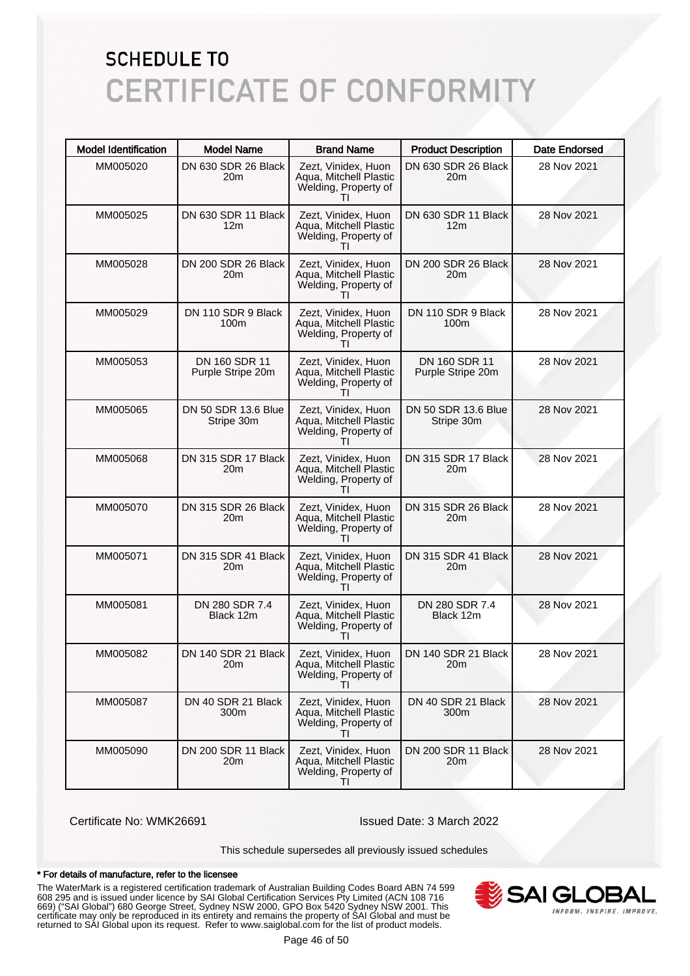| <b>Model Identification</b> | <b>Model Name</b>                      | <b>Brand Name</b>                                                                     | <b>Product Description</b>             | <b>Date Endorsed</b> |
|-----------------------------|----------------------------------------|---------------------------------------------------------------------------------------|----------------------------------------|----------------------|
| MM005020                    | DN 630 SDR 26 Black<br>20m             | Zezt, Vinidex, Huon<br>Aqua, Mitchell Plastic<br>Welding, Property of                 | DN 630 SDR 26 Black<br>20 <sub>m</sub> | 28 Nov 2021          |
| MM005025                    | DN 630 SDR 11 Black<br>12 <sub>m</sub> | Zezt, Vinidex, Huon<br>Aqua, Mitchell Plastic<br>Welding, Property of<br>$\mathbf{L}$ | DN 630 SDR 11 Black<br>12 <sub>m</sub> | 28 Nov 2021          |
| MM005028                    | DN 200 SDR 26 Black<br>20m             | Zezt, Vinidex, Huon<br>Aqua, Mitchell Plastic<br>Welding, Property of                 | DN 200 SDR 26 Black<br>20m             | 28 Nov 2021          |
| MM005029                    | DN 110 SDR 9 Black<br>100 <sub>m</sub> | Zezt, Vinidex, Huon<br>Aqua, Mitchell Plastic<br>Welding, Property of<br>Τl           | DN 110 SDR 9 Black<br>100 <sub>m</sub> | 28 Nov 2021          |
| MM005053                    | DN 160 SDR 11<br>Purple Stripe 20m     | Zezt, Vinidex, Huon<br>Aqua, Mitchell Plastic<br>Welding, Property of                 | DN 160 SDR 11<br>Purple Stripe 20m     | 28 Nov 2021          |
| MM005065                    | DN 50 SDR 13.6 Blue<br>Stripe 30m      | Zezt, Vinidex, Huon<br>Aqua, Mitchell Plastic<br>Welding, Property of<br>Τl           | DN 50 SDR 13.6 Blue<br>Stripe 30m      | 28 Nov 2021          |
| MM005068                    | DN 315 SDR 17 Black<br>20m             | Zezt, Vinidex, Huon<br>Aqua, Mitchell Plastic<br>Welding, Property of                 | DN 315 SDR 17 Black<br>20m             | 28 Nov 2021          |
| MM005070                    | DN 315 SDR 26 Black<br>20m             | Zezt, Vinidex, Huon<br>Aqua, Mitchell Plastic<br>Welding, Property of<br>Τl           | DN 315 SDR 26 Black<br>20m             | 28 Nov 2021          |
| MM005071                    | DN 315 SDR 41 Black<br>20m             | Zezt, Vinidex, Huon<br>Aqua, Mitchell Plastic<br>Welding, Property of<br>Τl           | DN 315 SDR 41 Black<br>20m             | 28 Nov 2021          |
| MM005081                    | DN 280 SDR 7.4<br>Black 12m            | Zezt, Vinidex, Huon<br>Aqua, Mitchell Plastic<br>Welding, Property of                 | DN 280 SDR 7.4<br>Black 12m            | 28 Nov 2021          |
| MM005082                    | DN 140 SDR 21 Black<br>20m             | Zezt, Vinidex, Huon<br>Aqua, Mitchell Plastic<br>Welding, Property of<br>ΤI           | DN 140 SDR 21 Black<br>20 <sub>m</sub> | 28 Nov 2021          |
| MM005087                    | DN 40 SDR 21 Black<br>300m             | Zezt, Vinidex, Huon<br>Agua, Mitchell Plastic<br>Welding, Property of                 | DN 40 SDR 21 Black<br>300m             | 28 Nov 2021          |
| MM005090                    | DN 200 SDR 11 Black<br>20m             | Zezt, Vinidex, Huon<br>Aqua, Mitchell Plastic<br>Welding, Property of<br>ΤI           | DN 200 SDR 11 Black<br>20 <sub>m</sub> | 28 Nov 2021          |

Certificate No: WMK26691 Issued Date: 3 March 2022

This schedule supersedes all previously issued schedules

#### \* For details of manufacture, refer to the licensee

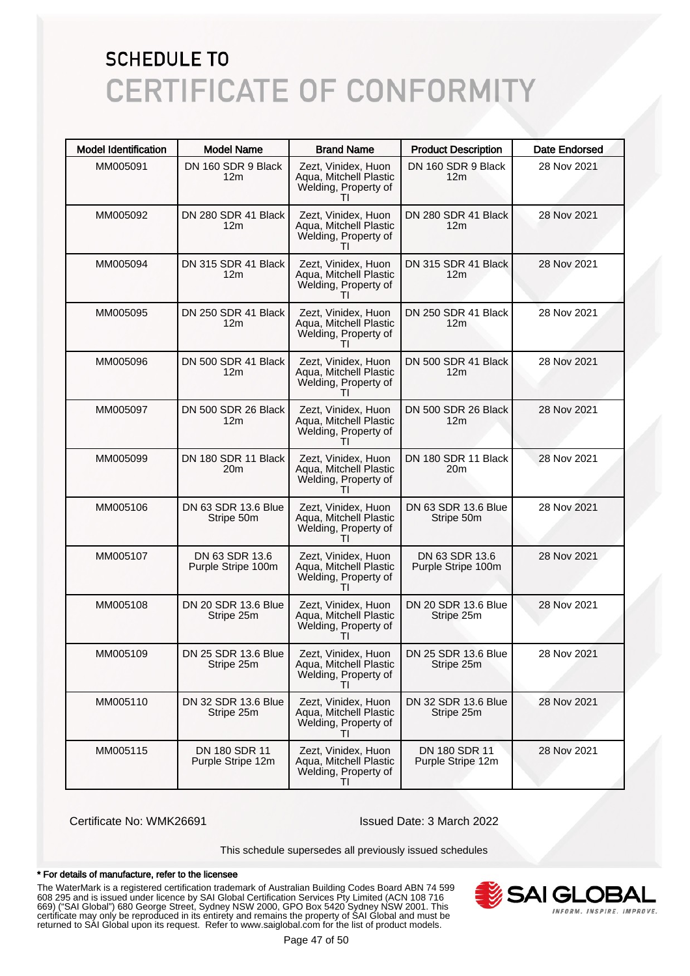| <b>Model Identification</b> | <b>Model Name</b>                      | <b>Brand Name</b>                                                                     | <b>Product Description</b>             | <b>Date Endorsed</b> |
|-----------------------------|----------------------------------------|---------------------------------------------------------------------------------------|----------------------------------------|----------------------|
| MM005091                    | DN 160 SDR 9 Black<br>12m              | Zezt, Vinidex, Huon<br>Aqua, Mitchell Plastic<br>Welding, Property of                 | DN 160 SDR 9 Black<br>12 <sub>m</sub>  | 28 Nov 2021          |
| MM005092                    | DN 280 SDR 41 Black<br>12 <sub>m</sub> | Zezt, Vinidex, Huon<br>Aqua, Mitchell Plastic<br>Welding, Property of<br>Τl           | DN 280 SDR 41 Black<br>12 <sub>m</sub> | 28 Nov 2021          |
| MM005094                    | DN 315 SDR 41 Black<br>12 <sub>m</sub> | Zezt, Vinidex, Huon<br>Aqua, Mitchell Plastic<br>Welding, Property of                 | DN 315 SDR 41 Black<br>12 <sub>m</sub> | 28 Nov 2021          |
| MM005095                    | DN 250 SDR 41 Black<br>12 <sub>m</sub> | Zezt, Vinidex, Huon<br>Aqua, Mitchell Plastic<br>Welding, Property of<br>Τl           | DN 250 SDR 41 Black<br>12 <sub>m</sub> | 28 Nov 2021          |
| MM005096                    | DN 500 SDR 41 Black<br>12m             | Zezt, Vinidex, Huon<br>Aqua, Mitchell Plastic<br>Welding, Property of                 | DN 500 SDR 41 Black<br>12 <sub>m</sub> | 28 Nov 2021          |
| MM005097                    | DN 500 SDR 26 Black<br>12 <sub>m</sub> | Zezt, Vinidex, Huon<br>Aqua, Mitchell Plastic<br>Welding, Property of<br>Τl           | DN 500 SDR 26 Black<br>12 <sub>m</sub> | 28 Nov 2021          |
| MM005099                    | DN 180 SDR 11 Black<br>20m             | Zezt, Vinidex, Huon<br>Aqua, Mitchell Plastic<br>Welding, Property of                 | DN 180 SDR 11 Black<br>20m             | 28 Nov 2021          |
| MM005106                    | DN 63 SDR 13.6 Blue<br>Stripe 50m      | Zezt, Vinidex, Huon<br>Aqua, Mitchell Plastic<br>Welding, Property of<br>Τl           | DN 63 SDR 13.6 Blue<br>Stripe 50m      | 28 Nov 2021          |
| MM005107                    | DN 63 SDR 13.6<br>Purple Stripe 100m   | Zezt, Vinidex, Huon<br>Aqua, Mitchell Plastic<br>Welding, Property of<br>Τl           | DN 63 SDR 13.6<br>Purple Stripe 100m   | 28 Nov 2021          |
| MM005108                    | DN 20 SDR 13.6 Blue<br>Stripe 25m      | Zezt, Vinidex, Huon<br>Aqua, Mitchell Plastic<br>Welding, Property of<br>$\mathbf{I}$ | DN 20 SDR 13.6 Blue<br>Stripe 25m      | 28 Nov 2021          |
| MM005109                    | DN 25 SDR 13.6 Blue<br>Stripe 25m      | Zezt, Vinidex, Huon<br>Aqua, Mitchell Plastic<br>Welding, Property of<br>Τl           | DN 25 SDR 13.6 Blue<br>Stripe 25m      | 28 Nov 2021          |
| MM005110                    | DN 32 SDR 13.6 Blue<br>Stripe 25m      | Zezt, Vinidex, Huon<br>Aqua, Mitchell Plastic<br>Welding, Property of                 | DN 32 SDR 13.6 Blue<br>Stripe 25m      | 28 Nov 2021          |
| MM005115                    | DN 180 SDR 11<br>Purple Stripe 12m     | Zezt, Vinidex, Huon<br>Aqua, Mitchell Plastic<br>Welding, Property of<br>$\mathbf{H}$ | DN 180 SDR 11<br>Purple Stripe 12m     | 28 Nov 2021          |

Certificate No: WMK26691 Issued Date: 3 March 2022

This schedule supersedes all previously issued schedules

#### \* For details of manufacture, refer to the licensee

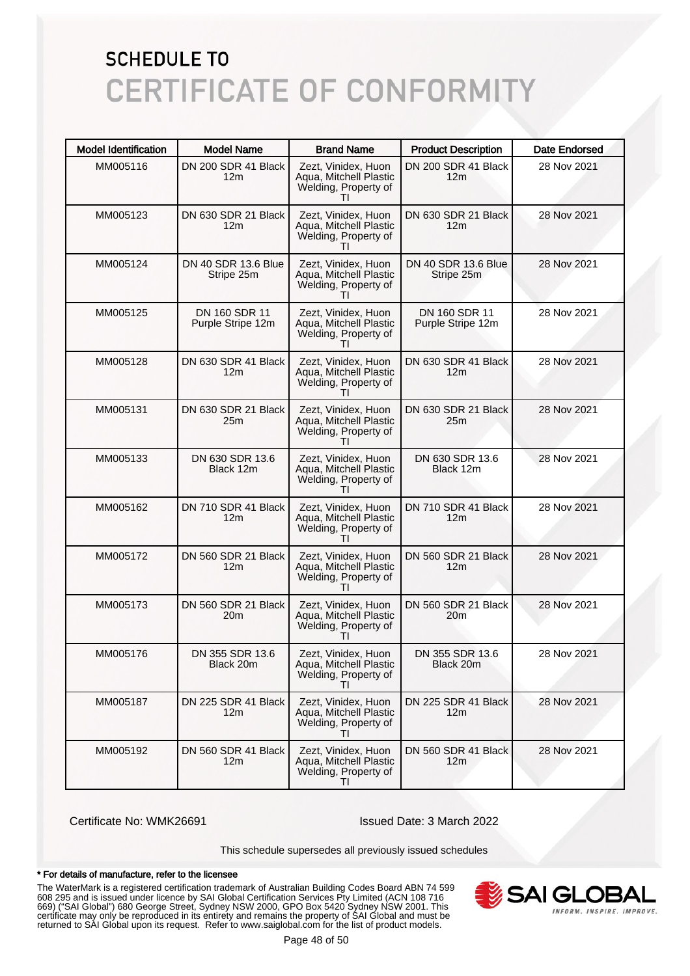| <b>Model Identification</b> | <b>Model Name</b>                      | <b>Brand Name</b>                                                                     | <b>Product Description</b>             | <b>Date Endorsed</b> |
|-----------------------------|----------------------------------------|---------------------------------------------------------------------------------------|----------------------------------------|----------------------|
| MM005116                    | DN 200 SDR 41 Black<br>12m             | Zezt, Vinidex, Huon<br>Aqua, Mitchell Plastic<br>Welding, Property of                 | DN 200 SDR 41 Black<br>12 <sub>m</sub> | 28 Nov 2021          |
| MM005123                    | DN 630 SDR 21 Black<br>12 <sub>m</sub> | Zezt, Vinidex, Huon<br>Aqua, Mitchell Plastic<br>Welding, Property of<br>Ш            | DN 630 SDR 21 Black<br>12 <sub>m</sub> | 28 Nov 2021          |
| MM005124                    | DN 40 SDR 13.6 Blue<br>Stripe 25m      | Zezt, Vinidex, Huon<br>Aqua, Mitchell Plastic<br>Welding, Property of                 | DN 40 SDR 13.6 Blue<br>Stripe 25m      | 28 Nov 2021          |
| MM005125                    | DN 160 SDR 11<br>Purple Stripe 12m     | Zezt, Vinidex, Huon<br>Aqua, Mitchell Plastic<br>Welding, Property of<br>Ш            | DN 160 SDR 11<br>Purple Stripe 12m     | 28 Nov 2021          |
| MM005128                    | DN 630 SDR 41 Black<br>12m             | Zezt, Vinidex, Huon<br>Aqua, Mitchell Plastic<br>Welding, Property of                 | DN 630 SDR 41 Black<br>12 <sub>m</sub> | 28 Nov 2021          |
| MM005131                    | DN 630 SDR 21 Black<br>25m             | Zezt, Vinidex, Huon<br>Aqua, Mitchell Plastic<br>Welding, Property of<br>Ш            | DN 630 SDR 21 Black<br>25m             | 28 Nov 2021          |
| MM005133                    | DN 630 SDR 13.6<br>Black 12m           | Zezt, Vinidex, Huon<br>Aqua, Mitchell Plastic<br>Welding, Property of<br>Ш            | DN 630 SDR 13.6<br>Black 12m           | 28 Nov 2021          |
| MM005162                    | DN 710 SDR 41 Black<br>12 <sub>m</sub> | Zezt, Vinidex, Huon<br>Aqua, Mitchell Plastic<br>Welding, Property of<br>$\mathbf{H}$ | DN 710 SDR 41 Black<br>12 <sub>m</sub> | 28 Nov 2021          |
| MM005172                    | DN 560 SDR 21 Black<br>12m             | Zezt, Vinidex, Huon<br>Aqua, Mitchell Plastic<br>Welding, Property of<br>Ш            | DN 560 SDR 21 Black<br>12 <sub>m</sub> | 28 Nov 2021          |
| MM005173                    | DN 560 SDR 21 Black<br>20m             | Zezt, Vinidex, Huon<br>Aqua, Mitchell Plastic<br>Welding, Property of<br>Ш            | DN 560 SDR 21 Black<br>20m             | 28 Nov 2021          |
| MM005176                    | DN 355 SDR 13.6<br>Black 20m           | Zezt, Vinidex, Huon<br>Aqua, Mitchell Plastic<br>Welding, Property of<br>ΤI           | DN 355 SDR 13.6<br>Black 20m           | 28 Nov 2021          |
| MM005187                    | DN 225 SDR 41 Black<br>12m             | Zezt, Vinidex, Huon<br>Aqua, Mitchell Plastic<br>Welding, Property of<br>$\mathbf{H}$ | DN 225 SDR 41 Black<br>12 <sub>m</sub> | 28 Nov 2021          |
| MM005192                    | DN 560 SDR 41 Black<br>12m             | Zezt, Vinidex, Huon<br>Aqua, Mitchell Plastic<br>Welding, Property of<br>ΤI           | DN 560 SDR 41 Black<br>12m             | 28 Nov 2021          |

Certificate No: WMK26691 Issued Date: 3 March 2022

This schedule supersedes all previously issued schedules

#### \* For details of manufacture, refer to the licensee

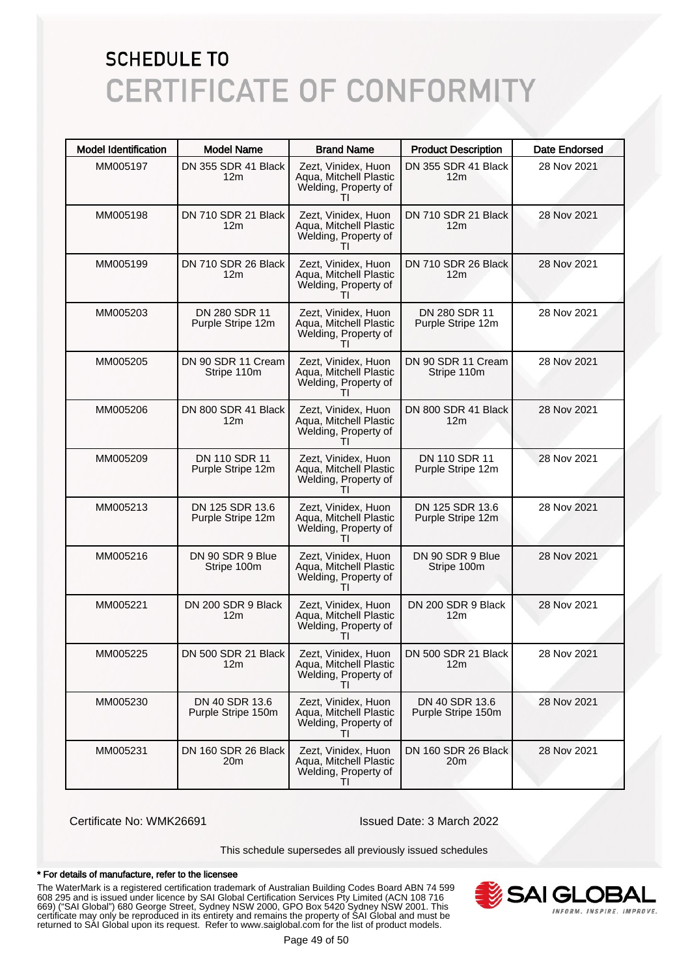| <b>Model Identification</b> | <b>Model Name</b>                      | <b>Brand Name</b>                                                                     | <b>Product Description</b>             | <b>Date Endorsed</b> |
|-----------------------------|----------------------------------------|---------------------------------------------------------------------------------------|----------------------------------------|----------------------|
| MM005197                    | DN 355 SDR 41 Black<br>12m             | Zezt, Vinidex, Huon<br>Aqua, Mitchell Plastic<br>Welding, Property of                 | DN 355 SDR 41 Black<br>12 <sub>m</sub> | 28 Nov 2021          |
| MM005198                    | DN 710 SDR 21 Black<br>12m             | Zezt, Vinidex, Huon<br>Aqua, Mitchell Plastic<br>Welding, Property of<br>$\mathbf{H}$ | DN 710 SDR 21 Black<br>12 <sub>m</sub> | 28 Nov 2021          |
| MM005199                    | DN 710 SDR 26 Black<br>12 <sub>m</sub> | Zezt, Vinidex, Huon<br>Aqua, Mitchell Plastic<br>Welding, Property of                 | DN 710 SDR 26 Black<br>12 <sub>m</sub> | 28 Nov 2021          |
| MM005203                    | DN 280 SDR 11<br>Purple Stripe 12m     | Zezt, Vinidex, Huon<br>Aqua, Mitchell Plastic<br>Welding, Property of<br>$\mathbf{H}$ | DN 280 SDR 11<br>Purple Stripe 12m     | 28 Nov 2021          |
| MM005205                    | DN 90 SDR 11 Cream<br>Stripe 110m      | Zezt, Vinidex, Huon<br>Aqua, Mitchell Plastic<br>Welding, Property of                 | DN 90 SDR 11 Cream<br>Stripe 110m      | 28 Nov 2021          |
| MM005206                    | DN 800 SDR 41 Black<br>12m             | Zezt, Vinidex, Huon<br>Aqua, Mitchell Plastic<br>Welding, Property of<br>ΤI           | DN 800 SDR 41 Black<br>12 <sub>m</sub> | 28 Nov 2021          |
| MM005209                    | DN 110 SDR 11<br>Purple Stripe 12m     | Zezt, Vinidex, Huon<br>Aqua, Mitchell Plastic<br>Welding, Property of                 | DN 110 SDR 11<br>Purple Stripe 12m     | 28 Nov 2021          |
| MM005213                    | DN 125 SDR 13.6<br>Purple Stripe 12m   | Zezt, Vinidex, Huon<br>Aqua, Mitchell Plastic<br>Welding, Property of<br>Τl           | DN 125 SDR 13.6<br>Purple Stripe 12m   | 28 Nov 2021          |
| MM005216                    | DN 90 SDR 9 Blue<br>Stripe 100m        | Zezt, Vinidex, Huon<br>Aqua, Mitchell Plastic<br>Welding, Property of<br>$\mathbf{H}$ | DN 90 SDR 9 Blue<br>Stripe 100m        | 28 Nov 2021          |
| MM005221                    | DN 200 SDR 9 Black<br>12m              | Zezt, Vinidex, Huon<br>Aqua, Mitchell Plastic<br>Welding, Property of<br>$\mathbf{H}$ | DN 200 SDR 9 Black<br>12 <sub>m</sub>  | 28 Nov 2021          |
| MM005225                    | DN 500 SDR 21 Black<br>12m             | Zezt, Vinidex, Huon<br>Aqua, Mitchell Plastic<br>Welding, Property of<br>ΤI           | DN 500 SDR 21 Black<br>12m             | 28 Nov 2021          |
| MM005230                    | DN 40 SDR 13.6<br>Purple Stripe 150m   | Zezt, Vinidex, Huon<br>Aqua, Mitchell Plastic<br>Welding, Property of<br>$\mathbf{H}$ | DN 40 SDR 13.6<br>Purple Stripe 150m   | 28 Nov 2021          |
| MM005231                    | DN 160 SDR 26 Black<br>20m             | Zezt, Vinidex, Huon<br>Aqua, Mitchell Plastic<br>Welding, Property of<br>ΤI           | DN 160 SDR 26 Black<br>20 <sub>m</sub> | 28 Nov 2021          |

Certificate No: WMK26691 Issued Date: 3 March 2022

This schedule supersedes all previously issued schedules

#### \* For details of manufacture, refer to the licensee